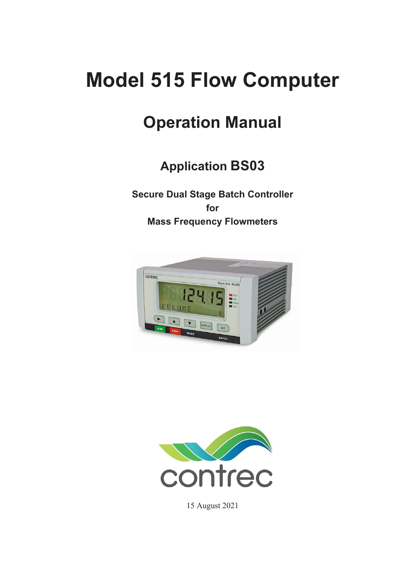# **Model 515 Flow Computer**

# **Operation Manual**

**Application BS03**

**Secure Dual Stage Batch Controller for Mass Frequency Flowmeters**





15 August 2021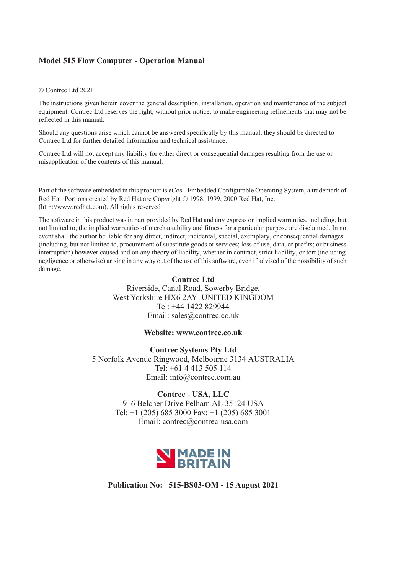#### **Model 515 Flow Computer - Operation Manual**

#### © Contrec Ltd 2021

The instructions given herein cover the general description, installation, operation and maintenance of the subject equipment. Contrec Ltd reserves the right, without prior notice, to make engineering refinements that may not be reflected in this manual.

Should any questions arise which cannot be answered specifically by this manual, they should be directed to Contrec Ltd for further detailed information and technical assistance.

Contrec Ltd will not accept any liability for either direct or consequential damages resulting from the use or misapplication of the contents of this manual.

Part of the software embedded in this product is eCos - Embedded Configurable Operating System, a trademark of Red Hat. Portions created by Red Hat are Copyright © 1998, 1999, 2000 Red Hat, Inc. (http://www.redhat.com). All rights reserved

The software in this product was in part provided by Red Hat and any express or implied warranties, including, but not limited to, the implied warranties of merchantability and fitness for a particular purpose are disclaimed. In no event shall the author be liable for any direct, indirect, incidental, special, exemplary, or consequential damages (including, but not limited to, procurement of substitute goods or services; loss of use, data, or profits; or business interruption) however caused and on any theory of liability, whether in contract, strict liability, or tort (including negligence or otherwise) arising in any way out of the use of this software, even if advised of the possibility of such damage.

#### **Contrec Ltd**

Riverside, Canal Road, Sowerby Bridge, West Yorkshire HX6 2AY UNITED KINGDOM Tel: +44 1422 829944 Email: sales@contrec.co.uk

#### **Website: www.contrec.co.uk**

**Contrec Systems Pty Ltd** 5 Norfolk Avenue Ringwood, Melbourne 3134 AUSTRALIA Tel: +61 4 413 505 114 Email: info@contrec.com.au

### **Contrec - USA, LLC**

916 Belcher Drive Pelham AL 35124 USA Tel: +1 (205) 685 3000 Fax: +1 (205) 685 3001 Email: contrec@contrec-usa.com



**Publication No: 515-BS03-OM - 15 August 2021**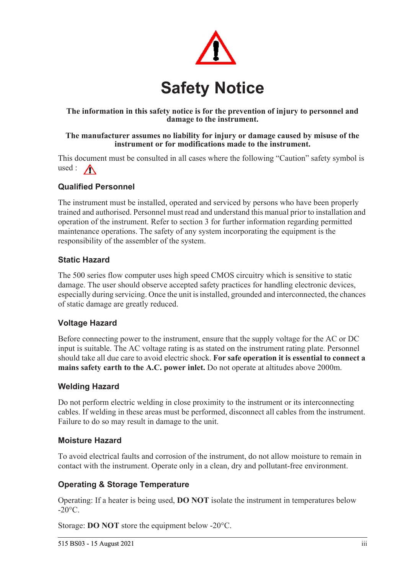

#### **The information in this safety notice is for the prevention of injury to personnel and damage to the instrument.**

#### **The manufacturer assumes no liability for injury or damage caused by misuse of the instrument or for modifications made to the instrument.**

This document must be consulted in all cases where the following "Caution" safety symbol is used :  $\bigwedge$ 

#### **Qualified Personnel**

The instrument must be installed, operated and serviced by persons who have been properly trained and authorised. Personnel must read and understand this manual prior to installation and operation of the instrument. Refer to section 3 for further information regarding permitted maintenance operations. The safety of any system incorporating the equipment is the responsibility of the assembler of the system.

#### **Static Hazard**

The 500 series flow computer uses high speed CMOS circuitry which is sensitive to static damage. The user should observe accepted safety practices for handling electronic devices, especially during servicing. Once the unit is installed, grounded and interconnected, the chances of static damage are greatly reduced.

#### **Voltage Hazard**

Before connecting power to the instrument, ensure that the supply voltage for the AC or DC input is suitable. The AC voltage rating is as stated on the instrument rating plate. Personnel should take all due care to avoid electric shock. **For safe operation it is essential to connect a mains safety earth to the A.C. power inlet.** Do not operate at altitudes above 2000m.

#### **Welding Hazard**

Do not perform electric welding in close proximity to the instrument or its interconnecting cables. If welding in these areas must be performed, disconnect all cables from the instrument. Failure to do so may result in damage to the unit.

#### **Moisture Hazard**

To avoid electrical faults and corrosion of the instrument, do not allow moisture to remain in contact with the instrument. Operate only in a clean, dry and pollutant-free environment.

#### **Operating & Storage Temperature**

Operating: If a heater is being used, **DO NOT** isolate the instrument in temperatures below  $-20^{\circ}$ C.

Storage: **DO NOT** store the equipment below -20°C.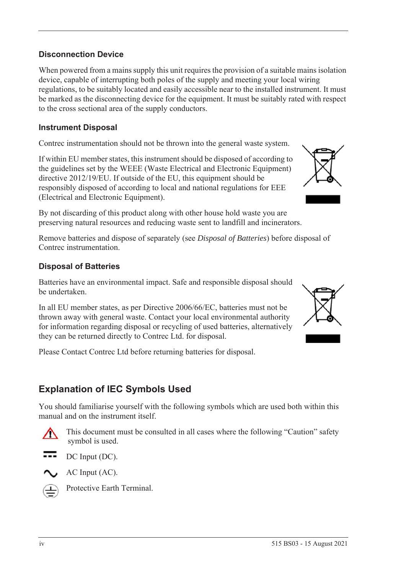#### **Disconnection Device**

When powered from a mains supply this unit requires the provision of a suitable mains isolation device, capable of interrupting both poles of the supply and meeting your local wiring regulations, to be suitably located and easily accessible near to the installed instrument. It must be marked as the disconnecting device for the equipment. It must be suitably rated with respect to the cross sectional area of the supply conductors.

#### **Instrument Disposal**

Contrec instrumentation should not be thrown into the general waste system.

If within EU member states, this instrument should be disposed of according to the guidelines set by the WEEE (Waste Electrical and Electronic Equipment) directive 2012/19/EU. If outside of the EU, this equipment should be responsibly disposed of according to local and national regulations for EEE (Electrical and Electronic Equipment).

By not discarding of this product along with other house hold waste you are preserving natural resources and reducing waste sent to landfill and incinerators.

Remove batteries and dispose of separately (see *Disposal of Batteries*) before disposal of Contrec instrumentation.

#### **Disposal of Batteries**

Batteries have an environmental impact. Safe and responsible disposal should be undertaken.

In all EU member states, as per Directive 2006/66/EC, batteries must not be thrown away with general waste. Contact your local environmental authority for information regarding disposal or recycling of used batteries, alternatively they can be returned directly to Contrec Ltd. for disposal.

Please Contact Contrec Ltd before returning batteries for disposal.

## **Explanation of IEC Symbols Used**

You should familiarise yourself with the following symbols which are used both within this manual and on the instrument itself.

 This document must be consulted in all cases where the following "Caution" safety symbol is used.

| -- | DC Input (DC). |  |
|----|----------------|--|
|----|----------------|--|







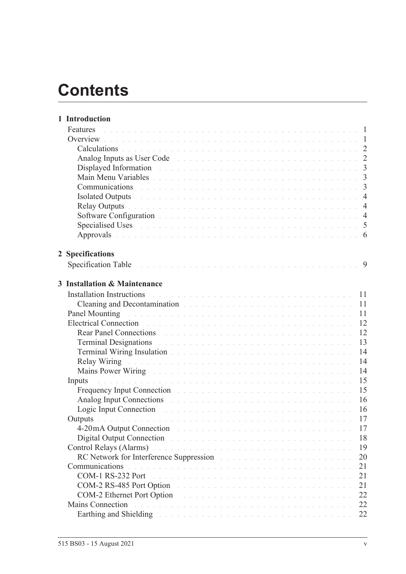# **Contents**

| 1 Introduction                                                                                                                                                                                                                 |    |
|--------------------------------------------------------------------------------------------------------------------------------------------------------------------------------------------------------------------------------|----|
| Features<br>. The contract of the contract of the contract of the contract of the contract of $\mathcal{A}$                                                                                                                    |    |
|                                                                                                                                                                                                                                |    |
| Calculations de la communication de la communication de la communication de la communication de la communication                                                                                                               |    |
| Analog Inputs as User Code and a contract to the contract the contract of the 2                                                                                                                                                |    |
| Displayed Information and the contract of the contract of the contract of the contract of the 3                                                                                                                                |    |
|                                                                                                                                                                                                                                |    |
| Communications research and contract the contract of the contract of the contract of the 3                                                                                                                                     |    |
| Isolated Outputs and a contract the contract of the contract of the contract of the contract of the contract of                                                                                                                |    |
|                                                                                                                                                                                                                                |    |
|                                                                                                                                                                                                                                |    |
| Specialised Uses <b>Specialised</b> Uses <b>Specialised</b> Uses <b>Specialised</b> Uses <b>Specialised</b> Uses <b>Specialised</b> Uses                                                                                       |    |
| Approvals and continuous continuous continuous continuous continuous continuous 6                                                                                                                                              |    |
|                                                                                                                                                                                                                                |    |
| 2 Specifications                                                                                                                                                                                                               |    |
|                                                                                                                                                                                                                                |    |
|                                                                                                                                                                                                                                |    |
| 3 Installation & Maintenance                                                                                                                                                                                                   |    |
| Installation Instructions and the contract of the contract of the contract of the contract of the contract of the contract of the contract of the contract of the contract of the contract of the contract of the contract of  |    |
| Cleaning and Decontamination and the contract of the contract of the contract of the contract of the contract of the contract of the contract of the contract of the contract of the contract of the contract of the contract  | 11 |
| Panel Mounting research and containing the companion of the companion of the companion of the companion of the companion of the companion of the companion of the companion of the companion of the companion of the companion | 11 |
| Electrical Connection and a construction of the contract of the contract of the contract of the contract of the                                                                                                                | 12 |
| Rear Panel Connections and the contract of the contract of the contract of the contract of the contract of the                                                                                                                 | 12 |
| Terminal Designations and a contract the contract of the contract of the contract of the contract of the contract of the contract of the contract of the contract of the contract of the contract of the contract of the contr | 13 |
| Terminal Wiring Insulation and a contract the contract of the contract of the contract of                                                                                                                                      | 14 |
|                                                                                                                                                                                                                                | 14 |
| Mains Power Wiring Theory of the Contract of the Contract of the Contract of the Contract of the Contract of the Contract of the Contract of the Contract of the Contract of the Contract of the Contract of the Contract of t | 14 |
| المتابع المتعاطي والمتعاطي والمتعاطي والمتعاطي والمتعاطي والمتعاطي والمتعاطي والمتعاطي والمتعاطي والمتعاطي والمتعاطي<br>Inputs                                                                                                 | 15 |
| Frequency Input Connection and a constant of the contract of the contract of the contract of the contract of the contract of the contract of the contract of the contract of the contract of the contract of the contract of t | 15 |
| Analog Input Connections and a contract the contract of the contract of the contract of the contract of the contract of the contract of the contract of the contract of the contract of the contract of the contract of the co | 16 |
| Logic Input Connection and the contract of the contract of the contract of the contract of the contract of the contract of the contract of the contract of the contract of the contract of the contract of the contract of the | 16 |
| Outputs                                                                                                                                                                                                                        |    |
| 4-20 mA Output Connection and a construction of the contract of the contract of the contract of the contract of the contract of the contract of the contract of the contract of the contract of the contract of the contract o | 17 |
| Digital Output Connection and a construction of the contract of the contract of the contract of the contract of                                                                                                                | 18 |
| Control Relays (Alarms) and a control of the control of the control of the control of the control of the control of the control of the control of the control of the control of the control of the control of the control of t | 19 |
| RC Network for Interference Suppression and a contract to the contract of the set of the set of the set of the                                                                                                                 | 20 |
| Communications<br>.<br>The contract of the contract of the contract of the contract of the contract of the contract of the contract of                                                                                         | 21 |
| COM-1 RS-232 Port<br>.<br>In the second complete service of the complete service of the complete service of the complete service of the                                                                                        | 21 |
| COM-2 RS-485 Port Option and the community of the community of the community of the community of the community                                                                                                                 | 21 |
| COM-2 Ethernet Port Option                                                                                                                                                                                                     | 22 |
| <b>Mains Connection</b><br>.<br>In the company of the company of the company of the company of the company of the company of the company of th                                                                                 | 22 |
| Earthing and Shielding Theorem 2014 Contract of the Contract of the Contract of the Contract of the Contract of the Contract of the Contract of the Contract of the Contract of the Contract of the Contract of the Contract o | 22 |
|                                                                                                                                                                                                                                |    |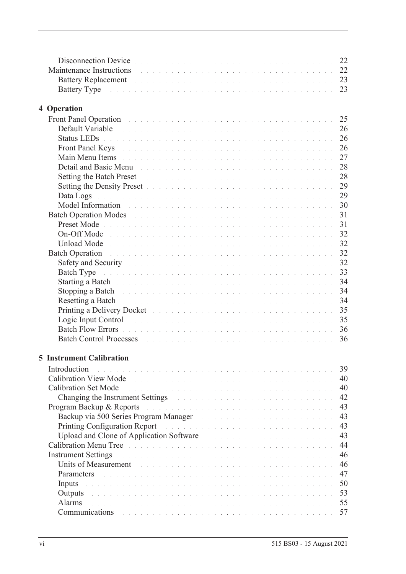| Maintenance Instructions<br>.<br>المناطق المناطق المناطق المناطق المناطق المناطق المناطق المناطق المناطق المناطق المناطق المناطق المناطق المناطق<br>Battery Replacement and a contract of the contract of the contract of the contract of the contract of the contract of the contract of the contract of the contract of the contract of the contract of the contract of the cont<br>Battery Type and a substitution of the state of the state of the state of the state of the state of the state of the state of the state of the state of the state of the state of the state of the state of the state of the s |  |  |  |  |  |  |  | 22<br>22<br>23<br>23 |
|----------------------------------------------------------------------------------------------------------------------------------------------------------------------------------------------------------------------------------------------------------------------------------------------------------------------------------------------------------------------------------------------------------------------------------------------------------------------------------------------------------------------------------------------------------------------------------------------------------------------|--|--|--|--|--|--|--|----------------------|
| 4 Operation                                                                                                                                                                                                                                                                                                                                                                                                                                                                                                                                                                                                          |  |  |  |  |  |  |  |                      |
| Front Panel Operation and the contract of the contract of the contract of the contract of the contract of the contract of the contract of the contract of the contract of the contract of the contract of the contract of the                                                                                                                                                                                                                                                                                                                                                                                        |  |  |  |  |  |  |  | 25                   |
| Default Variable the company of the company of the company of the company of the company of the company of the                                                                                                                                                                                                                                                                                                                                                                                                                                                                                                       |  |  |  |  |  |  |  | 26                   |
| <b>Status LEDs</b><br>and the company of the company of the company of the company of the company of the company of the company of the                                                                                                                                                                                                                                                                                                                                                                                                                                                                               |  |  |  |  |  |  |  | 26                   |
| Front Panel Keys and a subsequently assumed to the contract of the set of the set of the set of the set of the                                                                                                                                                                                                                                                                                                                                                                                                                                                                                                       |  |  |  |  |  |  |  | 26                   |
| Main Menu Items and a conservative conservative conservative conservative conservative                                                                                                                                                                                                                                                                                                                                                                                                                                                                                                                               |  |  |  |  |  |  |  | 27                   |
| Detail and Basic Menu and a substitution of the contract of the contract of the contract of the contract of the                                                                                                                                                                                                                                                                                                                                                                                                                                                                                                      |  |  |  |  |  |  |  | 28                   |
| <b>Setting the Batch Preset Contract Contract Contract Contract Contract Contract Contract Contract Contract Contract Contract Contract Contract Contract Contract Contract Contract Contract Contract Contract Contract Contr</b>                                                                                                                                                                                                                                                                                                                                                                                   |  |  |  |  |  |  |  | 28                   |
| <b>Setting the Density Preset</b> by the contract of the contract of the contract of the contract of the contract of the contract of the contract of the contract of the contract of the contract of the contract of the contract o                                                                                                                                                                                                                                                                                                                                                                                  |  |  |  |  |  |  |  | 29                   |
| Data Logs (Alberta Alberta Alberta Alberta Alberta Alberta Alberta Alberta Alberta Alberta Alberta Alberta Alb                                                                                                                                                                                                                                                                                                                                                                                                                                                                                                       |  |  |  |  |  |  |  | 29                   |
| Model Information and a construction of the construction of the construction of the construction of the construction of the construction of the construction of the construction of the construction of the construction of th                                                                                                                                                                                                                                                                                                                                                                                       |  |  |  |  |  |  |  | 30                   |
| Batch Operation Modes and a construction of the construction of the construction of the construction of the construction of the construction of the construction of the construction of the construction of the construction o                                                                                                                                                                                                                                                                                                                                                                                       |  |  |  |  |  |  |  | 31                   |
| Preset Mode the community of the community of the community of the community of the community of the community of the community of the community of the community of the community of the community of the community of the co                                                                                                                                                                                                                                                                                                                                                                                       |  |  |  |  |  |  |  | 31                   |
| On-Off Mode the community of the community of the community of the community of the community of the community of the community of the community of the community of the community of the community of the community of the co                                                                                                                                                                                                                                                                                                                                                                                       |  |  |  |  |  |  |  | 32                   |
| Unload Mode the community of the community of the community of the community of the community of the community of the community of the community of the community of the community of the community of the community of the co                                                                                                                                                                                                                                                                                                                                                                                       |  |  |  |  |  |  |  | 32                   |
| Batch Operation and a construction of the construction of the construction of the construction of the construction of the construction of the construction of the construction of the construction of the construction of the                                                                                                                                                                                                                                                                                                                                                                                        |  |  |  |  |  |  |  | 32                   |
| Safety and Security and the company of the company of the company of the second state of the second state of the second state of the second state of the second state of the second state of the second state of the second st                                                                                                                                                                                                                                                                                                                                                                                       |  |  |  |  |  |  |  | 32                   |
| <b>Batch Type</b> enterpresent and a series of the contract of the contract of the contract of the contract of the contract of the contract of the contract of the contract of the contract of the contract of the contract of the                                                                                                                                                                                                                                                                                                                                                                                   |  |  |  |  |  |  |  | 33                   |
| Starting a Batch research and contract the contract of the contract of the contract of the contract of the contract of the contract of the contract of the contract of the contract of the contract of the contract of the con                                                                                                                                                                                                                                                                                                                                                                                       |  |  |  |  |  |  |  | 34                   |
| Stopping a Batch and a contract the contract of the contract of the contract of the contract of the contract of                                                                                                                                                                                                                                                                                                                                                                                                                                                                                                      |  |  |  |  |  |  |  | 34                   |
| Resetting a Batch research and the second contract of the second contract of the second second contract of the second second second second second second second second second second second second second second second second                                                                                                                                                                                                                                                                                                                                                                                       |  |  |  |  |  |  |  | 34                   |
|                                                                                                                                                                                                                                                                                                                                                                                                                                                                                                                                                                                                                      |  |  |  |  |  |  |  | 35                   |
| Logic Input Control<br>.<br>The contract of the contract of the contract of the contract of the contract of the contract of the contract of                                                                                                                                                                                                                                                                                                                                                                                                                                                                          |  |  |  |  |  |  |  | 35                   |
|                                                                                                                                                                                                                                                                                                                                                                                                                                                                                                                                                                                                                      |  |  |  |  |  |  |  | 36                   |
| Batch Control Processes and a control of the control of the control of the control of the control of the control of the control of the control of the control of the control of the control of the control of the control of t                                                                                                                                                                                                                                                                                                                                                                                       |  |  |  |  |  |  |  | 36                   |
| <b>5</b> Instrument Calibration                                                                                                                                                                                                                                                                                                                                                                                                                                                                                                                                                                                      |  |  |  |  |  |  |  |                      |
|                                                                                                                                                                                                                                                                                                                                                                                                                                                                                                                                                                                                                      |  |  |  |  |  |  |  |                      |
| Introduction<br>de la caractería de la caractería de la caractería de la caractería de la caractería de la caractería                                                                                                                                                                                                                                                                                                                                                                                                                                                                                                |  |  |  |  |  |  |  | 39                   |
| Calibration View Mode                                                                                                                                                                                                                                                                                                                                                                                                                                                                                                                                                                                                |  |  |  |  |  |  |  | 40                   |
| <b>Calibration Set Mode</b><br>and the company of the company of the company of the company of the company of the company of the company of the                                                                                                                                                                                                                                                                                                                                                                                                                                                                      |  |  |  |  |  |  |  | 40                   |
| Changing the Instrument Settings and the contract of the contract of the contract of the contract of the contract of the contract of the contract of the contract of the contract of the contract of the contract of the contr                                                                                                                                                                                                                                                                                                                                                                                       |  |  |  |  |  |  |  | 42                   |
| Program Backup & Reports and the contract of the contract of the contract of the contract of the contract of the contract of the contract of the contract of the contract of the contract of the contract of the contract of t                                                                                                                                                                                                                                                                                                                                                                                       |  |  |  |  |  |  |  | 43                   |
| Backup via 500 Series Program Manager and a construction of the construction of the series of the construction of the construction of the construction of the construction of the construction of the construction of the cons                                                                                                                                                                                                                                                                                                                                                                                       |  |  |  |  |  |  |  | 43                   |
| Printing Configuration Report<br>and the contract of the contract of the contract of the contract of the contract of the contract of the contract of the contract of the contract of the contract of the contract of the contract of the contract of the contra                                                                                                                                                                                                                                                                                                                                                      |  |  |  |  |  |  |  | 43                   |
| Upload and Clone of Application Software and a substitution of Application Software                                                                                                                                                                                                                                                                                                                                                                                                                                                                                                                                  |  |  |  |  |  |  |  | 43                   |
|                                                                                                                                                                                                                                                                                                                                                                                                                                                                                                                                                                                                                      |  |  |  |  |  |  |  | 44                   |
| Instrument Settings and a communication of the communication of the communication of the communication of the                                                                                                                                                                                                                                                                                                                                                                                                                                                                                                        |  |  |  |  |  |  |  | 46                   |
| Units of Measurement<br>and the component of the component of the component of the component of the component of the component of the component of the component of the component of the component of the component of the component of the component                                                                                                                                                                                                                                                                                                                                                                |  |  |  |  |  |  |  | 46                   |
| Parameters<br>de la caractería de la caractería de la caractería de la caractería de la caractería                                                                                                                                                                                                                                                                                                                                                                                                                                                                                                                   |  |  |  |  |  |  |  | 47                   |
| Inputs<br>a constitución de la constitución de la constitución de la constitución de la constitución de la constitución                                                                                                                                                                                                                                                                                                                                                                                                                                                                                              |  |  |  |  |  |  |  | 50                   |
| Outputs<br>na na mana na mana na mana na mana na mana na mana na mana na mana na mana na mana na mana                                                                                                                                                                                                                                                                                                                                                                                                                                                                                                                |  |  |  |  |  |  |  | 53                   |
| Alarms<br>.<br>Na na mana na mana na mana na mana na mana na mana na mana na                                                                                                                                                                                                                                                                                                                                                                                                                                                                                                                                         |  |  |  |  |  |  |  | 55                   |
| Communications<br>a sa bana na kana na kana na kana na kana na kana na kana na kana na kana na kana na kana na kana na kana na k                                                                                                                                                                                                                                                                                                                                                                                                                                                                                     |  |  |  |  |  |  |  | 57                   |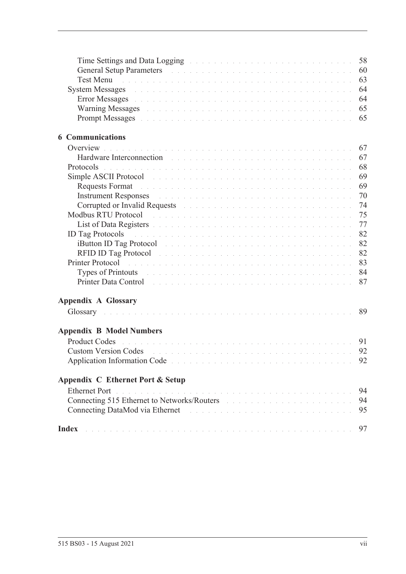| Time Settings and Data Logging Marshall and the contract of the Settings and Data Logging Marshall and the contract of the contract of the contract of the contract of the contract of the contract of the contract of the con<br>General Setup Parameters and a construction of the construction of the construction of |  |  |  |  |  |  |  |  | 58<br>60 |
|--------------------------------------------------------------------------------------------------------------------------------------------------------------------------------------------------------------------------------------------------------------------------------------------------------------------------|--|--|--|--|--|--|--|--|----------|
|                                                                                                                                                                                                                                                                                                                          |  |  |  |  |  |  |  |  | 63       |
| System Messages and a construction of the construction of the construction of the construction of the construction of the construction of the construction of the construction of the construction of the construction of the                                                                                            |  |  |  |  |  |  |  |  | 64       |
|                                                                                                                                                                                                                                                                                                                          |  |  |  |  |  |  |  |  | 64       |
| Warning Messages and a contract the contract of the contract of the contract of the contract of the contract of the contract of the contract of the contract of the contract of the contract of the contract of the contract o                                                                                           |  |  |  |  |  |  |  |  | 65       |
|                                                                                                                                                                                                                                                                                                                          |  |  |  |  |  |  |  |  | 65       |
| <b>6</b> Communications                                                                                                                                                                                                                                                                                                  |  |  |  |  |  |  |  |  |          |
|                                                                                                                                                                                                                                                                                                                          |  |  |  |  |  |  |  |  | 67       |
| Hardware Interconnection and the contract of the contract of the contract of the contract of the contract of the contract of the contract of the contract of the contract of the contract of the contract of the contract of t                                                                                           |  |  |  |  |  |  |  |  | 67       |
| Protocols and an annual contract of the contract of the contract of the contract of the contract of the contract of the contract of the contract of the contract of the contract of the contract of the contract of the contra                                                                                           |  |  |  |  |  |  |  |  | 68       |
| Simple ASCII Protocol and the contract of the contract of the contract of the contract of the contract of the                                                                                                                                                                                                            |  |  |  |  |  |  |  |  | 69       |
| Requests Format enterprise and a series of the contract of the contract of the contract of the contract of the contract of the contract of the contract of the contract of the contract of the contract of the contract of the                                                                                           |  |  |  |  |  |  |  |  | 69       |
| Instrument Responses and a contract the contract of the contract of the contract of the contract of the contract of the contract of the contract of the contract of the contract of the contract of the contract of the contra                                                                                           |  |  |  |  |  |  |  |  | 70       |
| Corrupted or Invalid Requests and a contract to the contract of the contract of the                                                                                                                                                                                                                                      |  |  |  |  |  |  |  |  | 74       |
| Modbus RTU Protocol<br>.<br>The contract of the contract of the contract of the contract of the contract of the contract of the contract of                                                                                                                                                                              |  |  |  |  |  |  |  |  | 75       |
| List of Data Registers and a contract the contract of the contract of the contract of                                                                                                                                                                                                                                    |  |  |  |  |  |  |  |  | 77       |
| ID Tag Protocols and a construction of the construction of the construction of the construction of the construction of the construction of the construction of the construction of the construction of the construction of the                                                                                           |  |  |  |  |  |  |  |  | 82       |
| <b>iButton ID Tag Protocol</b> and the same and the same and the same and the same and the same of the same of the same of the same of the same of the same of the same of the same of the same of the same of the same of the same                                                                                      |  |  |  |  |  |  |  |  | 82       |
| RFID ID Tag Protocol and a construction of the construction of the construction of the construction of the construction of the construction of the construction of the construction of the construction of the construction of                                                                                           |  |  |  |  |  |  |  |  | 82       |
| Printer Protocol and a construction of the construction of the construction of the construction of the construction of the construction of the construction of the construction of the construction of the construction of the                                                                                           |  |  |  |  |  |  |  |  | 83       |
| Types of Printouts and the contract of the contract of the contract of the contract of the contract of the contract of the contract of the contract of the contract of the contract of the contract of the contract of the con                                                                                           |  |  |  |  |  |  |  |  | 84       |
| Printer Data Control and a control of the control of the control of the control of the control of the control of the control of the control of the control of the control of the control of the control of the control of the                                                                                            |  |  |  |  |  |  |  |  | 87       |
| <b>Appendix A Glossary</b>                                                                                                                                                                                                                                                                                               |  |  |  |  |  |  |  |  |          |
|                                                                                                                                                                                                                                                                                                                          |  |  |  |  |  |  |  |  |          |
| <b>Appendix B Model Numbers</b>                                                                                                                                                                                                                                                                                          |  |  |  |  |  |  |  |  |          |
| <b>Product Codes</b>                                                                                                                                                                                                                                                                                                     |  |  |  |  |  |  |  |  |          |
|                                                                                                                                                                                                                                                                                                                          |  |  |  |  |  |  |  |  |          |
|                                                                                                                                                                                                                                                                                                                          |  |  |  |  |  |  |  |  |          |
| Appendix C Ethernet Port & Setup                                                                                                                                                                                                                                                                                         |  |  |  |  |  |  |  |  |          |
| <b>Ethernet Port</b><br>.<br>In the second term of the second term of the second term of the second term of the second term of the second t                                                                                                                                                                              |  |  |  |  |  |  |  |  | 94       |
| Connecting 515 Ethernet to Networks/Routers and a substitution of the state of the state of the state of the state of the state of the state of the state of the state of the state of the state of the state of the state of                                                                                            |  |  |  |  |  |  |  |  | 94       |
| Connecting DataMod via Ethernet and a constant and a constant and a constant of                                                                                                                                                                                                                                          |  |  |  |  |  |  |  |  | 95       |
| <b>Index</b><br>.<br>In the second complete the second complete that the second complete the second complete that the second complet                                                                                                                                                                                     |  |  |  |  |  |  |  |  | 97       |
|                                                                                                                                                                                                                                                                                                                          |  |  |  |  |  |  |  |  |          |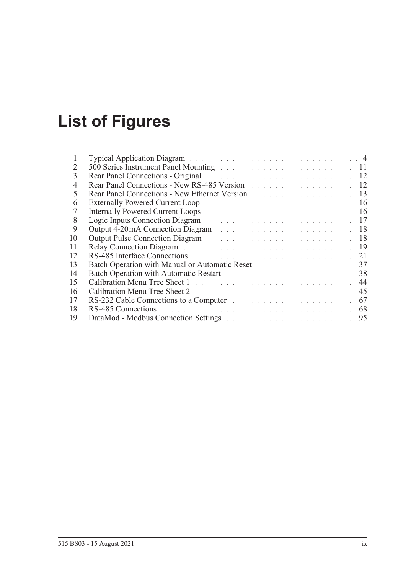# **List of Figures**

| I  | Typical Application Diagram and a contract of the contract of the contract of the 4                                                                                                                                            |    |
|----|--------------------------------------------------------------------------------------------------------------------------------------------------------------------------------------------------------------------------------|----|
| 2  | 500 Series Instrument Panel Mounting and a contract of the series of the 11                                                                                                                                                    |    |
| 3  | Rear Panel Connections - Original and a substitution of the contract of the contract of the contract of the contract of the contract of the contract of the contract of the contract of the contract of the contract of the co | 12 |
| 4  | Rear Panel Connections - New RS-485 Version                                                                                                                                                                                    | 12 |
| 5  | Rear Panel Connections - New Ethernet Version                                                                                                                                                                                  | 13 |
| 6  |                                                                                                                                                                                                                                | 16 |
| 7  | Internally Powered Current Loops and a contract to the contract of the contract of the contract of the contract of the contract of the contract of the contract of the contract of the contract of the contract of the contrac | 16 |
| 8  | Logic Inputs Connection Diagram and a connection of the Connection of the Connection of the Connection of the Connection of the Connection of the Connection of the Connection of the Connection of the Connection of the Conn | 17 |
| 9  | Output 4-20mA Connection Diagram                                                                                                                                                                                               | 18 |
| 10 | Output Pulse Connection Diagram and a connection of the Connection of the Connection of the Connection of the Connection of the Connection of the Connection of the Connection of the Connection of the Connection of the Conn | 18 |
| 11 | Relay Connection Diagram and a connection of the connection of the connection of the connection of the connection of the connection of the connection of the connection of the connection of the connection of the connection  | 19 |
| 12 |                                                                                                                                                                                                                                | 21 |
| 13 | Batch Operation with Manual or Automatic Reset <b>Election Lines and State 19 and State 19 and State 1</b>                                                                                                                     |    |
| 14 | Batch Operation with Automatic Restart Marshall and Australia and Australia and Australia and Australia                                                                                                                        | 38 |
| 15 | Calibration Menu Tree Sheet 1 and a communication of the community of the Sheet 1 and 200 metabolism                                                                                                                           | 44 |
| 16 | Calibration Menu Tree Sheet 2 and the contract of the contract of the contract of the contract of the contract of the contract of the contract of the contract of the contract of the contract of the contract of the contract | 45 |
| 17 | RS-232 Cable Connections to a Computer and a substitution of the connection of the Connection of the Connection of the Connection of the Connection of the Connection of the Connection of the Connection of the Connection of | 67 |
| 18 |                                                                                                                                                                                                                                | 68 |
| 19 | DataMod - Modbus Connection Settings and a connection of the settings of the settings of the settings of the settings of the settings of the settings of the settings of the settings of the settings of the settings of the s | 95 |
|    |                                                                                                                                                                                                                                |    |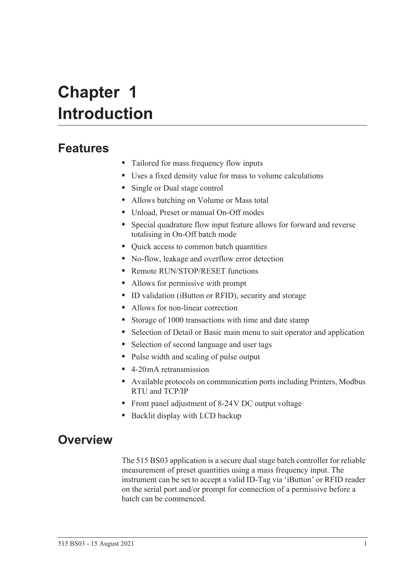# <span id="page-10-0"></span>**Chapter 1 Introduction**

## <span id="page-10-1"></span>**Features**

- **•** Tailored for mass frequency flow inputs
- **•** Uses a fixed density value for mass to volume calculations
- **•** Single or Dual stage control
- **•** Allows batching on Volume or Mass total
- **•** Unload, Preset or manual On-Off modes
- **•** Special quadrature flow input feature allows for forward and reverse totalising in On-Off batch mode
- **•** Quick access to common batch quantities
- No-flow, leakage and overflow error detection
- **•** Remote RUN/STOP/RESET functions
- **•** Allows for permissive with prompt
- **•** ID validation (iButton or RFID), security and storage
- Allows for non-linear correction
- **•** Storage of 1000 transactions with time and date stamp
- **•** Selection of Detail or Basic main menu to suit operator and application
- **•** Selection of second language and user tags
- **•** Pulse width and scaling of pulse output
- **•** 4-20 mA retransmission
- **•** Available protocols on communication ports including Printers, Modbus RTU and TCP/IP
- **•** Front panel adjustment of 8-24 V DC output voltage
- **•** Backlit display with LCD backup

## <span id="page-10-2"></span>**Overview**

The 515 BS03 application is a secure dual stage batch controller for reliable measurement of preset quantities using a mass frequency input. The instrument can be set to accept a valid ID-Tag via 'iButton' or RFID reader on the serial port and/or prompt for connection of a permissive before a batch can be commenced.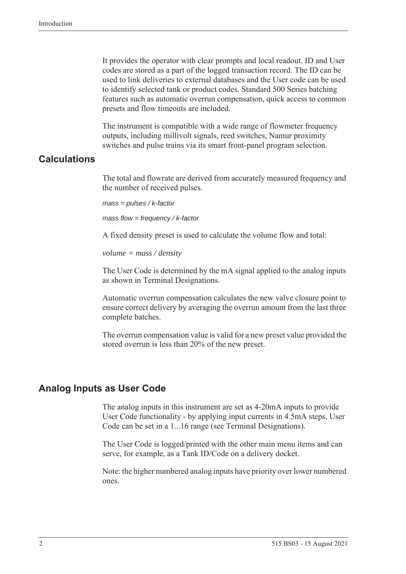It provides the operator with clear prompts and local readout. ID and User codes are stored as a part of the logged transaction record. The ID can be used to link deliveries to external databases and the User code can be used to identify selected tank or product codes. Standard 500 Series batching features such as automatic overrun compensation, quick access to common presets and flow timeouts are included.

The instrument is compatible with a wide range of flowmeter frequency outputs, including millivolt signals, reed switches, Namur proximity switches and pulse trains via its smart front-panel program selection.

#### <span id="page-11-0"></span>**Calculations**

The total and flowrate are derived from accurately measured frequency and the number of received pulses.

*mass = pulses / k-factor mass flow = frequency / k-factor*

A fixed density preset is used to calculate the volume flow and total:

*volume = mass / density*

The User Code is determined by the mA signal applied to the analog inputs as shown in Terminal Designations.

Automatic overrun compensation calculates the new valve closure point to ensure correct delivery by averaging the overrun amount from the last three complete batches.

The overrun compensation value is valid for a new preset value provided the stored overrun is less than 20% of the new preset.

### <span id="page-11-1"></span>**Analog Inputs as User Code**

The analog inputs in this instrument are set as 4-20mA inputs to provide User Code functionality - by applying input currents in 4.5mA steps, User Code can be set in a 1...16 range (see Terminal Designations).

The User Code is logged/printed with the other main menu items and can serve, for example, as a Tank ID/Code on a delivery docket.

Note: the higher numbered analog inputs have priority over lower numbered ones.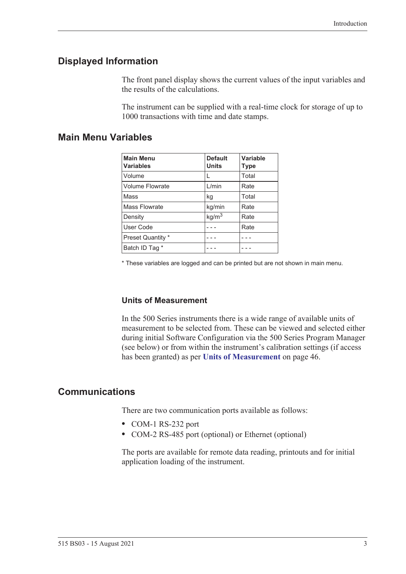### <span id="page-12-0"></span>**Displayed Information**

The front panel display shows the current values of the input variables and the results of the calculations.

The instrument can be supplied with a real-time clock for storage of up to 1000 transactions with time and date stamps.

### <span id="page-12-1"></span>**Main Menu Variables**

| <b>Main Menu</b><br><b>Variables</b> | <b>Default</b><br><b>Units</b> | <b>Variable</b><br><b>Type</b> |
|--------------------------------------|--------------------------------|--------------------------------|
| Volume                               |                                | Total                          |
| <b>Volume Flowrate</b>               | L/min                          | Rate                           |
| Mass                                 | kg                             | Total                          |
| <b>Mass Flowrate</b>                 | kg/min                         | Rate                           |
| Density                              | kg/m <sup>3</sup>              | Rate                           |
| User Code                            |                                | Rate                           |
| Preset Quantity *                    |                                |                                |
| Batch ID Tag *                       |                                |                                |

\* These variables are logged and can be printed but are not shown in main menu.

#### **Units of Measurement**

In the 500 Series instruments there is a wide range of available units of measurement to be selected from. These can be viewed and selected either during initial Software Configuration via the 500 Series Program Manager (see below) or from within the instrument's calibration settings (if access has been granted) as per **[Units of Measurement](#page-55-2)** on page 46.

## <span id="page-12-2"></span>**Communications**

There are two communication ports available as follows:

- **•** COM-1 RS-232 port
- **•** COM-2 RS-485 port (optional) or Ethernet (optional)

The ports are available for remote data reading, printouts and for initial application loading of the instrument.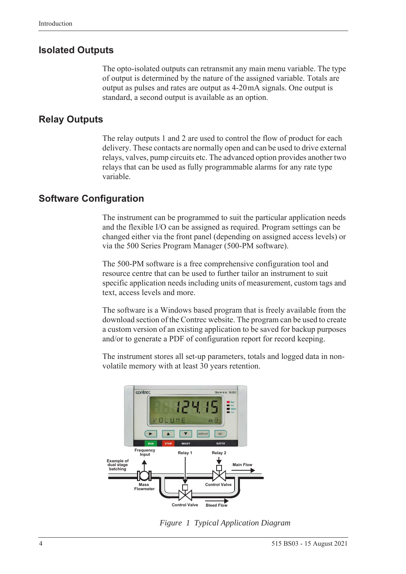## <span id="page-13-0"></span>**Isolated Outputs**

The opto-isolated outputs can retransmit any main menu variable. The type of output is determined by the nature of the assigned variable. Totals are output as pulses and rates are output as 4-20 mA signals. One output is standard, a second output is available as an option.

## <span id="page-13-1"></span>**Relay Outputs**

The relay outputs 1 and 2 are used to control the flow of product for each delivery. These contacts are normally open and can be used to drive external relays, valves, pump circuits etc. The advanced option provides another two relays that can be used as fully programmable alarms for any rate type variable.

## <span id="page-13-2"></span>**Software Configuration**

The instrument can be programmed to suit the particular application needs and the flexible I/O can be assigned as required. Program settings can be changed either via the front panel (depending on assigned access levels) or via the 500 Series Program Manager (500-PM software).

The 500-PM software is a free comprehensive configuration tool and resource centre that can be used to further tailor an instrument to suit specific application needs including units of measurement, custom tags and text, access levels and more.

The software is a Windows based program that is freely available from the download section of the Contrec website. The program can be used to create a custom version of an existing application to be saved for backup purposes and/or to generate a PDF of configuration report for record keeping.

The instrument stores all set-up parameters, totals and logged data in nonvolatile memory with at least 30 years retention.



<span id="page-13-3"></span>*Figure 1 Typical Application Diagram*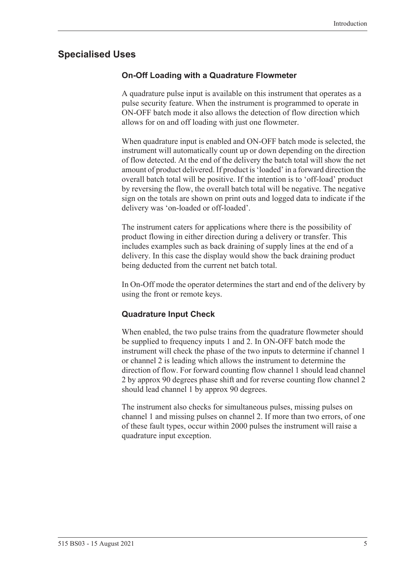## <span id="page-14-0"></span>**Specialised Uses**

#### **On-Off Loading with a Quadrature Flowmeter**

A quadrature pulse input is available on this instrument that operates as a pulse security feature. When the instrument is programmed to operate in ON-OFF batch mode it also allows the detection of flow direction which allows for on and off loading with just one flowmeter.

When quadrature input is enabled and ON-OFF batch mode is selected, the instrument will automatically count up or down depending on the direction of flow detected. At the end of the delivery the batch total will show the net amount of product delivered. If product is 'loaded' in a forward direction the overall batch total will be positive. If the intention is to 'off-load' product by reversing the flow, the overall batch total will be negative. The negative sign on the totals are shown on print outs and logged data to indicate if the delivery was 'on-loaded or off-loaded'.

The instrument caters for applications where there is the possibility of product flowing in either direction during a delivery or transfer. This includes examples such as back draining of supply lines at the end of a delivery. In this case the display would show the back draining product being deducted from the current net batch total.

In On-Off mode the operator determines the start and end of the delivery by using the front or remote keys.

#### **Quadrature Input Check**

When enabled, the two pulse trains from the quadrature flowmeter should be supplied to frequency inputs 1 and 2. In ON-OFF batch mode the instrument will check the phase of the two inputs to determine if channel 1 or channel 2 is leading which allows the instrument to determine the direction of flow. For forward counting flow channel 1 should lead channel 2 by approx 90 degrees phase shift and for reverse counting flow channel 2 should lead channel 1 by approx 90 degrees.

The instrument also checks for simultaneous pulses, missing pulses on channel 1 and missing pulses on channel 2. If more than two errors, of one of these fault types, occur within 2000 pulses the instrument will raise a quadrature input exception.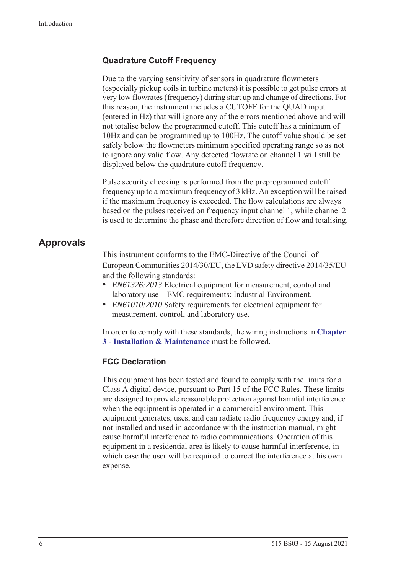#### **Quadrature Cutoff Frequency**

Due to the varying sensitivity of sensors in quadrature flowmeters (especially pickup coils in turbine meters) it is possible to get pulse errors at very low flowrates (frequency) during start up and change of directions. For this reason, the instrument includes a CUTOFF for the QUAD input (entered in Hz) that will ignore any of the errors mentioned above and will not totalise below the programmed cutoff. This cutoff has a minimum of 10Hz and can be programmed up to 100Hz. The cutoff value should be set safely below the flowmeters minimum specified operating range so as not to ignore any valid flow. Any detected flowrate on channel 1 will still be displayed below the quadrature cutoff frequency.

Pulse security checking is performed from the preprogrammed cutoff frequency up to a maximum frequency of 3 kHz. An exception will be raised if the maximum frequency is exceeded. The flow calculations are always based on the pulses received on frequency input channel 1, while channel 2 is used to determine the phase and therefore direction of flow and totalising.

#### <span id="page-15-0"></span>**Approvals**

This instrument conforms to the EMC-Directive of the Council of European Communities 2014/30/EU, the LVD safety directive 2014/35/EU and the following standards:

- **•** *EN61326:2013* Electrical equipment for measurement, control and laboratory use – EMC requirements: Industrial Environment.
- **•** *EN61010:2010* Safety requirements for electrical equipment for measurement, control, and laboratory use.

In order to comply with these standards, the wiring instructions in **[Chapter](#page-20-5)  [3 - Installation & Maintenance](#page-20-5)** must be followed.

#### **FCC Declaration**

This equipment has been tested and found to comply with the limits for a Class A digital device, pursuant to Part 15 of the FCC Rules. These limits are designed to provide reasonable protection against harmful interference when the equipment is operated in a commercial environment. This equipment generates, uses, and can radiate radio frequency energy and, if not installed and used in accordance with the instruction manual, might cause harmful interference to radio communications. Operation of this equipment in a residential area is likely to cause harmful interference, in which case the user will be required to correct the interference at his own expense.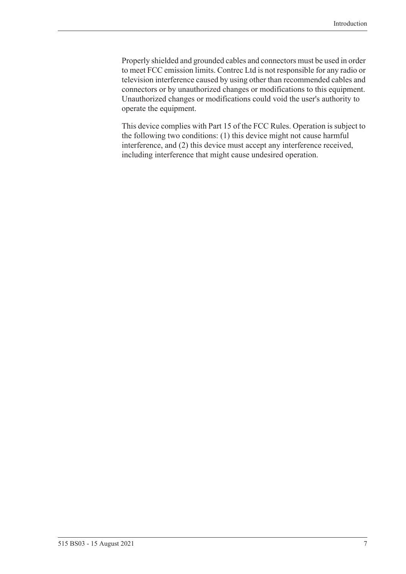Properly shielded and grounded cables and connectors must be used in order to meet FCC emission limits. Contrec Ltd is not responsible for any radio or television interference caused by using other than recommended cables and connectors or by unauthorized changes or modifications to this equipment. Unauthorized changes or modifications could void the user's authority to operate the equipment.

This device complies with Part 15 of the FCC Rules. Operation is subject to the following two conditions: (1) this device might not cause harmful interference, and (2) this device must accept any interference received, including interference that might cause undesired operation.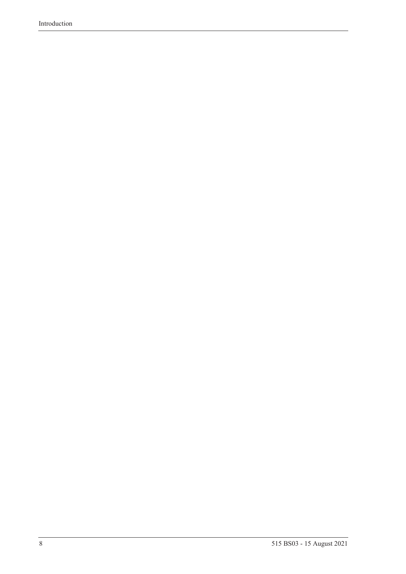Introduction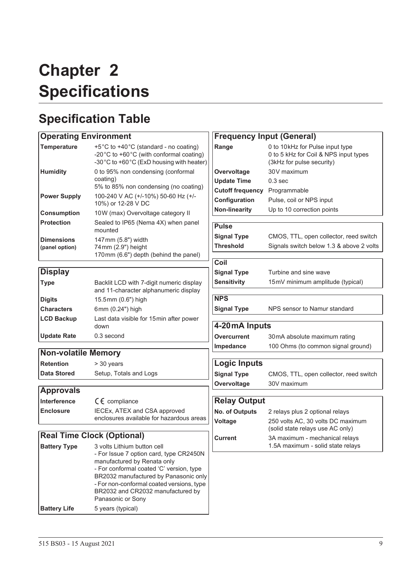# <span id="page-18-0"></span>**Chapter 2 Specifications**

## <span id="page-18-1"></span>**Specification Table**

#### **Operating Environment Temperature**  $+5^{\circ}$ C to  $+40^{\circ}$ C (standard - no coating) -20 °C to +60 °C (with conformal coating) -30 °C to +60 °C (ExD housing with heater) **Humidity** 0 to 95% non condensing (conformal coating) 5% to 85% non condensing (no coating) **Power Supply** 100-240 V AC (+/-10%) 50-60 Hz (+/- 10%) or 12-28 V DC **Consumption** 10W (max) Overvoltage category II **Protection** Sealed to IP65 (Nema 4X) when panel mounted **Dimensions (panel option)** 147 mm (5.8") width 74 mm (2.9") height 170 mm (6.6") depth (behind the panel) **Display Type** Backlit LCD with 7-digit numeric display and 11-character alphanumeric display **Digits** 15.5 mm (0.6") high **Characters** 6mm (0.24") high **LCD Backup** Last data visible for 15 min after power down **Update Rate** 0.3 second **Non-volatile Memory Retention** > 30 years **Data Stored** Setup, Totals and Logs **Approvals Interference** C E compliance **Enclosure** IECEx, ATEX and CSA approved enclosures available for hazardous areas **Real Time Clock (Optional) Battery Type** 3 volts Lithium button cell - For Issue 7 option card, type CR2450N manufactured by Renata only - For conformal coated 'C' version, type BR2032 manufactured by Panasonic only - For non-conformal coated versions, type BR2032 and CR2032 manufactured by Panasonic or Sony **Battery Life** 5 years (typical) **Frequency Input (General) Range** 0 to 10 kHz for Pulse input type 0 to 5 kHz for Coil & NPS input types (3kHz for pulse security) **Overvoltage** 30V maximum **Update Time** 0.3 sec **Cutoff frequency** Programmable **Configuration** Pulse, coil or NPS input **Non-linearity** Up to 10 correction points **Pulse Signal Type** CMOS, TTL, open collector, reed switch **Threshold** Signals switch below 1.3 & above 2 volts **Coil Signal Type** Turbine and sine wave **Sensitivity** 15mV minimum amplitude (typical) **NPS Signal Type** NPS sensor to Namur standard **4-20 mA Inputs Overcurrent** 30 mA absolute maximum rating **Impedance** 100 Ohms (to common signal ground) **Logic Inputs Signal Type** CMOS, TTL, open collector, reed switch **Overvoltage** 30V maximum **Relay Output No. of Outputs** 2 relays plus 2 optional relays **Voltage** 250 volts AC, 30 volts DC maximum (solid state relays use AC only) **Current** 3A maximum - mechanical relays 1.5A maximum - solid state relays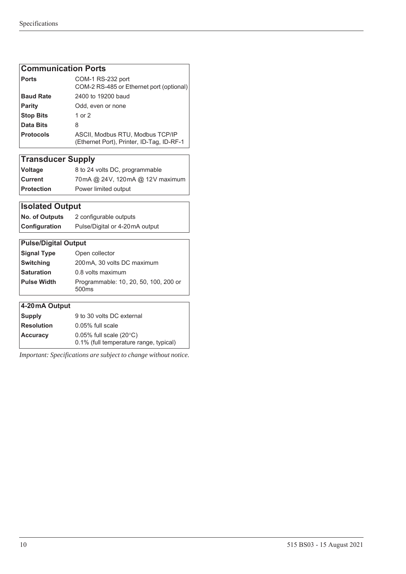#### **Communication Ports**

| <b>Ports</b>     | COM-1 RS-232 port<br>COM-2 RS-485 or Ethernet port (optional)                 |
|------------------|-------------------------------------------------------------------------------|
| <b>Baud Rate</b> | 2400 to 19200 baud                                                            |
| <b>Parity</b>    | Odd, even or none                                                             |
| <b>Stop Bits</b> | 1 or 2                                                                        |
| <b>Data Bits</b> | 8                                                                             |
| <b>Protocols</b> | ASCII, Modbus RTU, Modbus TCP/IP<br>(Ethernet Port), Printer, ID-Tag, ID-RF-1 |

#### **Transducer Supply**

| Voltage           | 8 to 24 volts DC, programmable  |
|-------------------|---------------------------------|
| Current           | 70mA @ 24V, 120mA @ 12V maximum |
| <b>Protection</b> | Power limited output            |

#### **Isolated Output**

| <b>No. of Outputs</b> | 2 configurable outputs         |
|-----------------------|--------------------------------|
| <b>Configuration</b>  | Pulse/Digital or 4-20mA output |

#### **Pulse/Digital Output Signal Type** Open collector **Switching** 200mA, 30 volts DC maximum **Saturation** 0.8 volts maximum

**Pulse Width** Programmable: 10 , 20, 50, 100, 200 or 500ms

#### **4-20 mA Output Supply** 9 to 30 volts DC external **Resolution** 0.05% full scale **Accuracy** 0.05% full scale (20°C)

0.1% (full temperature range, typical)

*Important: Specifications are subject to change without notice.*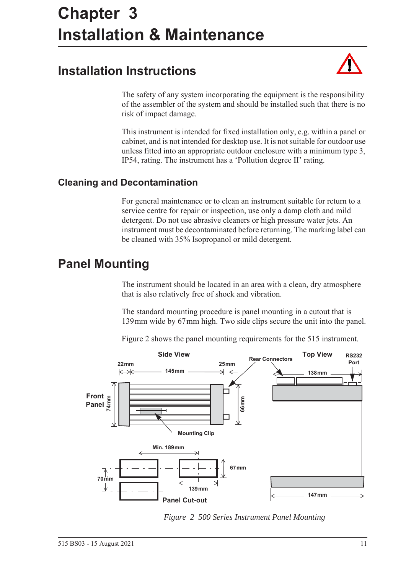# <span id="page-20-5"></span><span id="page-20-0"></span>**Chapter 3 Installation & Maintenance**

## <span id="page-20-1"></span>**Installation Instructions**



The safety of any system incorporating the equipment is the responsibility of the assembler of the system and should be installed such that there is no risk of impact damage.

This instrument is intended for fixed installation only, e.g. within a panel or cabinet, and is not intended for desktop use. It is not suitable for outdoor use unless fitted into an appropriate outdoor enclosure with a minimum type 3, IP54, rating. The instrument has a 'Pollution degree II' rating.

## <span id="page-20-2"></span>**Cleaning and Decontamination**

For general maintenance or to clean an instrument suitable for return to a service centre for repair or inspection, use only a damp cloth and mild detergent. Do not use abrasive cleaners or high pressure water jets. An instrument must be decontaminated before returning. The marking label can be cleaned with 35% Isopropanol or mild detergent.

## <span id="page-20-3"></span>**Panel Mounting**

The instrument should be located in an area with a clean, dry atmosphere that is also relatively free of shock and vibration.

The standard mounting procedure is panel mounting in a cutout that is 139 mm wide by 67 mm high. Two side clips secure the unit into the panel.



[Figure 2](#page-20-4) shows the panel mounting requirements for the 515 instrument.

<span id="page-20-4"></span>*Figure 2 500 Series Instrument Panel Mounting*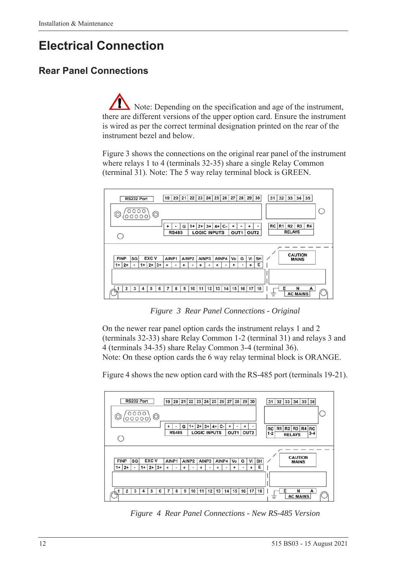## <span id="page-21-0"></span>**Electrical Connection**

## <span id="page-21-1"></span>**Rear Panel Connections**

Note: Depending on the specification and age of the instrument, there are different versions of the upper option card. Ensure the instrument is wired as per the correct terminal designation printed on the rear of the instrument bezel and below.

[Figure 3](#page-21-2) shows the connections on the original rear panel of the instrument where relays 1 to 4 (terminals 32-35) share a single Relay Common (terminal 31). Note: The 5 way relay terminal block is GREEN.



*Figure 3 Rear Panel Connections - Original*

<span id="page-21-2"></span>On the newer rear panel option cards the instrument relays 1 and 2 (terminals 32-33) share Relay Common 1-2 (terminal 31) and relays 3 and 4 (terminals 34-35) share Relay Common 3-4 (terminal 36). Note: On these option cards the 6 way relay terminal block is ORANGE.

[Figure 4](#page-21-3) shows the new option card with the RS-485 port (terminals 19-21).



<span id="page-21-3"></span>*Figure 4 Rear Panel Connections - New RS-485 Version*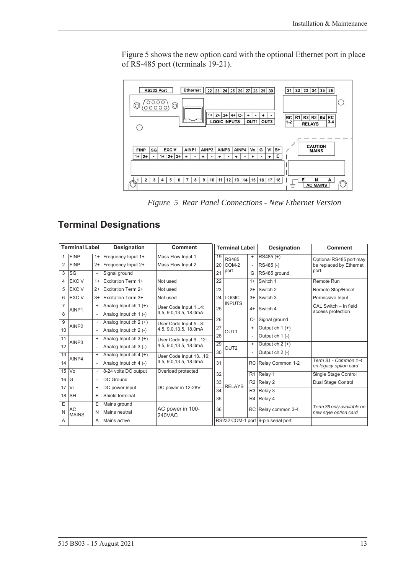[Figure 5](#page-22-1) shows the new option card with the optional Ethernet port in place of RS-485 port (terminals 19-21).



<span id="page-22-1"></span>*Figure 5 Rear Panel Connections - New Ethernet Version*

## <span id="page-22-0"></span>**Terminal Designations**

|                | <b>Terminal Label</b>  |                          | Designation               | <b>Comment</b>                    |                 | <b>Terminal Label</b> |                | <b>Designation</b>                 | <b>Comment</b>                                |
|----------------|------------------------|--------------------------|---------------------------|-----------------------------------|-----------------|-----------------------|----------------|------------------------------------|-----------------------------------------------|
|                | <b>FINP</b>            | $1+$                     | Frequency Input 1+        | Mass Flow Input 1                 | 19              | <b>RS485</b>          | $+$            | $RS485 (+)$                        | Optional RS485 port may                       |
| $\overline{2}$ | <b>FINP</b>            | $2+$                     | Frequency Input 2+        | Mass Flow Input 2                 | 20 <sub>1</sub> | COM-2                 |                | RS485 (-)                          | be replaced by Ethernet                       |
| 3              | $\overline{\text{SG}}$ | $\overline{\phantom{a}}$ | Signal ground             |                                   | 21              | port                  | G              | RS485 ground                       | port.                                         |
| 4              | <b>EXC V</b>           | $1+$                     | <b>Excitation Term 1+</b> | Not used                          | 22              |                       | $1+$           | Switch 1                           | Remote Run                                    |
| 5              | EXC V                  | $2+$                     | <b>Excitation Term 2+</b> | Not used                          | 23              |                       | $2+$           | Switch 2                           | Remote Stop/Reset                             |
| 6              | EXC V                  | $3+$                     | Excitation Term 3+        | Not used                          | 24 <sup>1</sup> | LOGIC                 | $3+$           | Switch 3                           | Permissive Input                              |
|                | AINP1                  | $\ddot{}$                | Analog Input ch $1 (+)$   | User Code Input 14:               | 25              | <b>INPUTS</b>         | $4+$           | Switch 4                           | CAL Switch - In field                         |
| 8              |                        |                          | Analog Input ch 1 (-)     | 4.5, 9.0, 13.5, 18.0mA            |                 |                       |                |                                    | access protection                             |
| 9              | AINP <sub>2</sub>      | $\ddot{}$                | Analog Input ch $2 (+)$   | User Code Input 58:               | 26              |                       | $C-$           | Signal ground                      |                                               |
| 10             |                        |                          | Analog Input ch 2 (-)     | 4.5, 9.0, 13.5, 18.0mA            | $\overline{27}$ | OUT <sub>1</sub>      | $\ddot{}$      | Output ch $1 (+)$                  |                                               |
| 11             |                        | $\ddot{}$                | Analog Input ch $3 (+)$   | User Code Input 912:              | 28              |                       |                | Output ch 1 (-)                    |                                               |
| 12             | AINP3                  |                          | Analog Input ch 3 (-)     | 4.5, 9.0, 13.5, 18.0mA            | 29              | OUT <sub>2</sub>      | $\ddot{}$      | Output ch $2 (+)$                  |                                               |
| 13             |                        | $\ddot{}$                | Analog Input ch $4 (+)$   | User Code Input 1316:             | 30              |                       |                | Output ch 2 (-)                    |                                               |
| 14             | AINP4                  | $\overline{\phantom{a}}$ | Analog Input ch 4 (-)     | 4.5, 9.0, 13.5, 18.0mA            | 31              |                       | <b>RC</b>      | Relay Common 1-2                   | Term 31 - Common 1-4<br>on legacy option card |
| 15             | <b>Vo</b>              | $\ddot{}$                | 8-24 volts DC output      | Overload protected                | 32              |                       | R <sub>1</sub> | Relay 1                            | Single Stage Control                          |
| 16             | G                      | $\overline{\phantom{a}}$ | DC Ground                 |                                   | 33              |                       | R <sub>2</sub> | Relay 2                            | Dual Stage Control                            |
| 17             | Vi                     | $\ddot{}$                | DC power input            | DC power in 12-28V                | 34              | <b>RELAYS</b>         | R3             | Relay 3                            |                                               |
| 18             | <b>SH</b>              | E                        | Shield terminal           |                                   | 35              |                       | R <sub>4</sub> | Relay 4                            |                                               |
| Ε              |                        | E                        | Mains ground              |                                   |                 |                       |                |                                    | Term 36 only available on                     |
| N              | AC<br><b>MAINS</b>     | N                        | Mains neutral             | AC power in 100-<br><b>240VAC</b> | 36              |                       |                | RC Relay common 3-4                | new style option card                         |
| A              |                        | A                        | Mains active              |                                   |                 |                       |                | RS232 COM-1 port 9-pin serial port |                                               |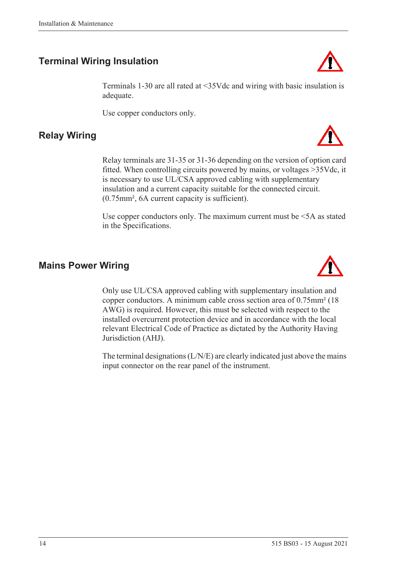## <span id="page-23-0"></span>**Terminal Wiring Insulation**

Terminals 1-30 are all rated at <35Vdc and wiring with basic insulation is adequate.

Use copper conductors only.

## <span id="page-23-1"></span>**Relay Wiring**

Relay terminals are 31-35 or 31-36 depending on the version of option card fitted. When controlling circuits powered by mains, or voltages >35Vdc, it is necessary to use UL/CSA approved cabling with supplementary insulation and a current capacity suitable for the connected circuit. (0.75mm², 6A current capacity is sufficient).

Use copper conductors only. The maximum current must be  $\leq 5A$  as stated in the Specifications.

## <span id="page-23-2"></span>**Mains Power Wiring**

Only use UL/CSA approved cabling with supplementary insulation and copper conductors. A minimum cable cross section area of 0.75mm² (18 AWG) is required. However, this must be selected with respect to the installed overcurrent protection device and in accordance with the local relevant Electrical Code of Practice as dictated by the Authority Having Jurisdiction (AHJ).

The terminal designations (L/N/E) are clearly indicated just above the mains input connector on the rear panel of the instrument.



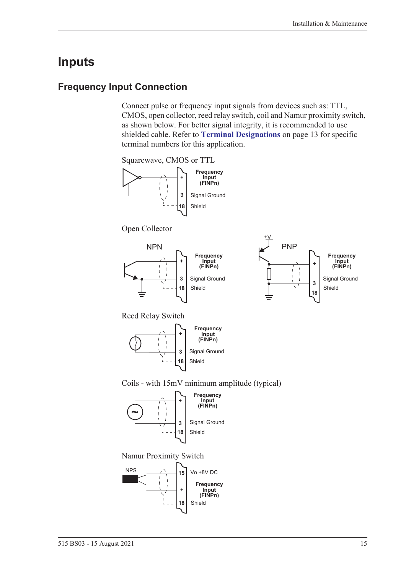## <span id="page-24-0"></span>**Inputs**

### <span id="page-24-1"></span>**Frequency Input Connection**

Connect pulse or frequency input signals from devices such as: TTL, CMOS, open collector, reed relay switch, coil and Namur proximity switch, as shown below. For better signal integrity, it is recommended to use shielded cable. Refer to **[Terminal Designations](#page-22-0)** on page 13 for specific terminal numbers for this application.

Squarewave, CMOS or TTL



Open Collector





Reed Relay Switch



Coils - with 15mV minimum amplitude (typical)



Namur Proximity Switch

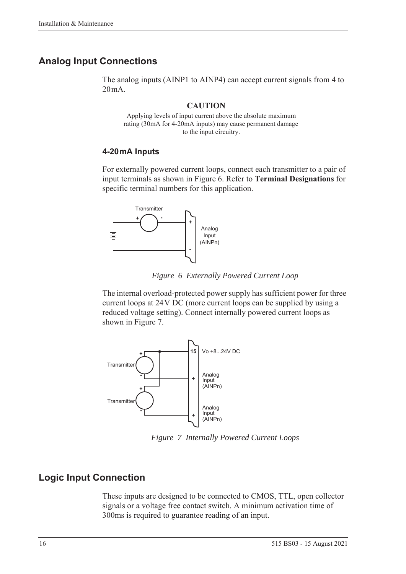## <span id="page-25-0"></span>**Analog Input Connections**

The analog inputs (AINP1 to AINP4) can accept current signals from 4 to 20 mA.

#### **CAUTION**

Applying levels of input current above the absolute maximum rating (30mA for 4-20mA inputs) may cause permanent damage to the input circuitry.

#### **4-20 mA Inputs**

For externally powered current loops, connect each transmitter to a pair of input terminals as shown in [Figure 6.](#page-25-2) Refer to **Terminal Designations** for specific terminal numbers for this application.





<span id="page-25-2"></span>The internal overload-protected power supply has sufficient power for three current loops at 24 V DC (more current loops can be supplied by using a reduced voltage setting). Connect internally powered current loops as shown in [Figure 7](#page-25-3).



<span id="page-25-3"></span>*Figure 7 Internally Powered Current Loops*

## <span id="page-25-1"></span>**Logic Input Connection**

These inputs are designed to be connected to CMOS, TTL, open collector signals or a voltage free contact switch. A minimum activation time of 300ms is required to guarantee reading of an input.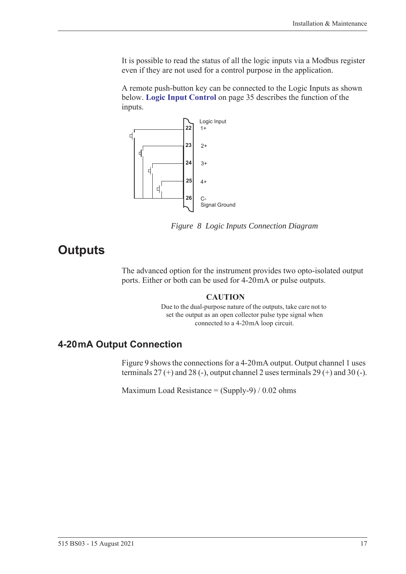It is possible to read the status of all the logic inputs via a Modbus register even if they are not used for a control purpose in the application.

A remote push-button key can be connected to the Logic Inputs as shown below. **[Logic Input Control](#page-44-2)** on page 35 describes the function of the inputs.



*Figure 8 Logic Inputs Connection Diagram*

## <span id="page-26-0"></span>**Outputs**

<span id="page-26-2"></span>The advanced option for the instrument provides two opto-isolated output ports. Either or both can be used for 4-20 mA or pulse outputs.

#### **CAUTION**

Due to the dual-purpose nature of the outputs, take care not to set the output as an open collector pulse type signal when connected to a 4-20mA loop circuit.

## <span id="page-26-1"></span>**4-20 mA Output Connection**

[Figure 9](#page-27-1) shows the connections for a 4-20 mA output. Output channel 1 uses terminals  $27$  (+) and  $28$  (-), output channel 2 uses terminals  $29$  (+) and  $30$  (-).

Maximum Load Resistance =  $(Supply-9)/0.02$  ohms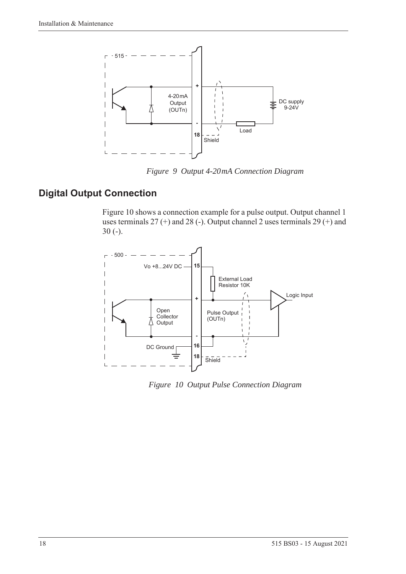

*Figure 9 Output 4-20 mA Connection Diagram*

## <span id="page-27-0"></span>**Digital Output Connection**

<span id="page-27-1"></span>[Figure 10](#page-27-2) shows a connection example for a pulse output. Output channel 1 uses terminals 27 (+) and 28 (-). Output channel 2 uses terminals 29 (+) and 30 (-).



<span id="page-27-2"></span>*Figure 10 Output Pulse Connection Diagram*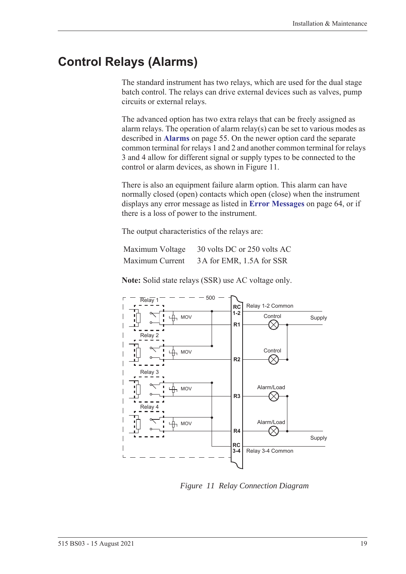## <span id="page-28-0"></span>**Control Relays (Alarms)**

The standard instrument has two relays, which are used for the dual stage batch control. The relays can drive external devices such as valves, pump circuits or external relays.

The advanced option has two extra relays that can be freely assigned as alarm relays. The operation of alarm relay(s) can be set to various modes as described in **Alarms** [on page 55.](#page-64-1) On the newer option card the separate common terminal for relays 1 and 2 and another common terminal for relays 3 and 4 allow for different signal or supply types to be connected to the control or alarm devices, as shown in [Figure 11.](#page-28-1)

There is also an equipment failure alarm option. This alarm can have normally closed (open) contacts which open (close) when the instrument displays any error message as listed in **[Error Messages](#page-73-2)** on page 64, or if there is a loss of power to the instrument.

The output characteristics of the relays are:

| Maximum Voltage | 30 volts DC or 250 volts AC |
|-----------------|-----------------------------|
| Maximum Current | 3A for EMR, 1.5A for SSR    |



**Note:** Solid state relays (SSR) use AC voltage only.

<span id="page-28-1"></span>*Figure 11 Relay Connection Diagram*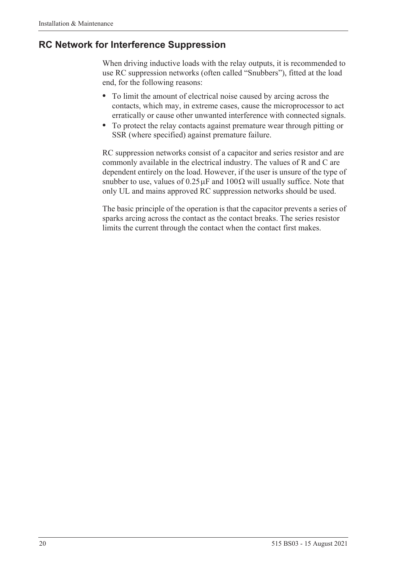### <span id="page-29-0"></span>**RC Network for Interference Suppression**

When driving inductive loads with the relay outputs, it is recommended to use RC suppression networks (often called "Snubbers"), fitted at the load end, for the following reasons:

- **•** To limit the amount of electrical noise caused by arcing across the contacts, which may, in extreme cases, cause the microprocessor to act erratically or cause other unwanted interference with connected signals.
- **•** To protect the relay contacts against premature wear through pitting or SSR (where specified) against premature failure.

RC suppression networks consist of a capacitor and series resistor and are commonly available in the electrical industry. The values of R and C are dependent entirely on the load. However, if the user is unsure of the type of snubber to use, values of  $0.25 \mu$ F and  $100 \Omega$  will usually suffice. Note that only UL and mains approved RC suppression networks should be used.

The basic principle of the operation is that the capacitor prevents a series of sparks arcing across the contact as the contact breaks. The series resistor limits the current through the contact when the contact first makes.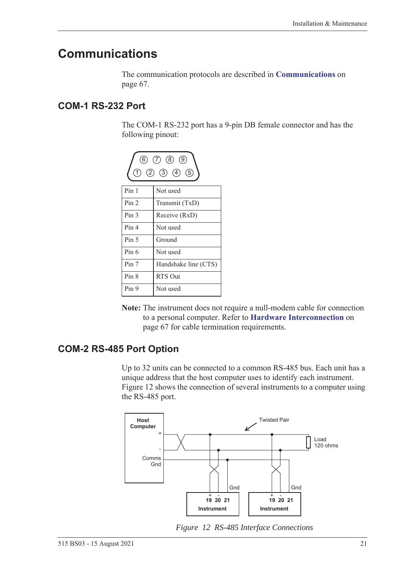## <span id="page-30-0"></span>**Communications**

The communication protocols are described in **[Communications](#page-76-4)** on [page 67](#page-76-4).

## <span id="page-30-1"></span>**COM-1 RS-232 Port**

The COM-1 RS-232 port has a 9-pin DB female connector and has the following pinout:

| $(6)$ (7) (8) (9)<br>$(2)$ $(3)$ $(4)$ $(5)$ |                      |  |  |  |  |  |  |  |
|----------------------------------------------|----------------------|--|--|--|--|--|--|--|
| Pin 1                                        | Not used             |  |  |  |  |  |  |  |
| Pin 2                                        | Transmit (TxD)       |  |  |  |  |  |  |  |
| Pin <sub>3</sub>                             | Receive (RxD)        |  |  |  |  |  |  |  |
| Pin 4                                        | Not used             |  |  |  |  |  |  |  |
| Pin 5                                        | Ground               |  |  |  |  |  |  |  |
| Pin 6                                        | Not used             |  |  |  |  |  |  |  |
| Pin 7                                        | Handshake line (CTS) |  |  |  |  |  |  |  |
| Pin 8                                        | RTS Out              |  |  |  |  |  |  |  |
| Pin 9                                        | Not used             |  |  |  |  |  |  |  |

**Note:** The instrument does not require a null-modem cable for connection to a personal computer. Refer to **[Hardware Interconnection](#page-76-5)** on [page 67](#page-76-5) for cable termination requirements.

## <span id="page-30-2"></span>**COM-2 RS-485 Port Option**

Up to 32 units can be connected to a common RS-485 bus. Each unit has a unique address that the host computer uses to identify each instrument. [Figure 12](#page-30-3) shows the connection of several instruments to a computer using the RS-485 port.



<span id="page-30-3"></span>*Figure 12 RS-485 Interface Connections*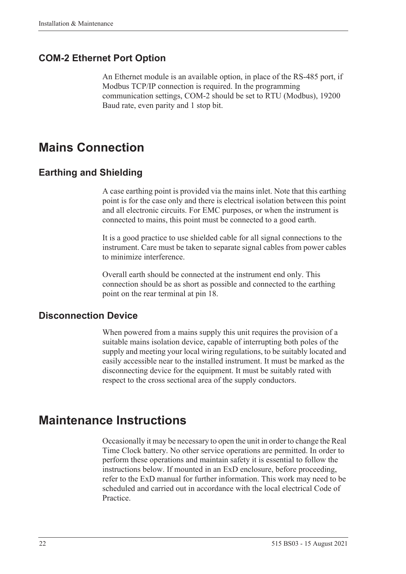## <span id="page-31-0"></span>**COM-2 Ethernet Port Option**

An Ethernet module is an available option, in place of the RS-485 port, if Modbus TCP/IP connection is required. In the programming communication settings, COM-2 should be set to RTU (Modbus), 19200 Baud rate, even parity and 1 stop bit.

## <span id="page-31-1"></span>**Mains Connection**

## <span id="page-31-2"></span>**Earthing and Shielding**

A case earthing point is provided via the mains inlet. Note that this earthing point is for the case only and there is electrical isolation between this point and all electronic circuits. For EMC purposes, or when the instrument is connected to mains, this point must be connected to a good earth.

It is a good practice to use shielded cable for all signal connections to the instrument. Care must be taken to separate signal cables from power cables to minimize interference.

Overall earth should be connected at the instrument end only. This connection should be as short as possible and connected to the earthing point on the rear terminal at pin 18.

## <span id="page-31-3"></span>**Disconnection Device**

When powered from a mains supply this unit requires the provision of a suitable mains isolation device, capable of interrupting both poles of the supply and meeting your local wiring regulations, to be suitably located and easily accessible near to the installed instrument. It must be marked as the disconnecting device for the equipment. It must be suitably rated with respect to the cross sectional area of the supply conductors.

## <span id="page-31-4"></span>**Maintenance Instructions**

Occasionally it may be necessary to open the unit in order to change the Real Time Clock battery. No other service operations are permitted. In order to perform these operations and maintain safety it is essential to follow the instructions below. If mounted in an ExD enclosure, before proceeding, refer to the ExD manual for further information. This work may need to be scheduled and carried out in accordance with the local electrical Code of **Practice**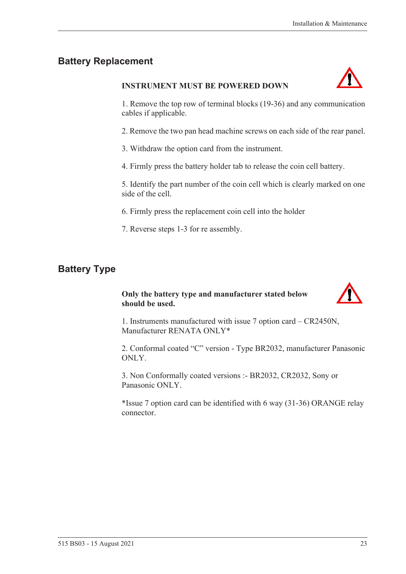## <span id="page-32-0"></span>**Battery Replacement**

#### **INSTRUMENT MUST BE POWERED DOWN**



1. Remove the top row of terminal blocks (19-36) and any communication cables if applicable.

2. Remove the two pan head machine screws on each side of the rear panel.

3. Withdraw the option card from the instrument.

4. Firmly press the battery holder tab to release the coin cell battery.

5. Identify the part number of the coin cell which is clearly marked on one side of the cell.

6. Firmly press the replacement coin cell into the holder

7. Reverse steps 1-3 for re assembly.

## <span id="page-32-1"></span>**Battery Type**

**Only the battery type and manufacturer stated below should be used.** 



1. Instruments manufactured with issue 7 option card – CR2450N, Manufacturer RENATA ONLY\*

2. Conformal coated "C" version - Type BR2032, manufacturer Panasonic ONLY.

3. Non Conformally coated versions :- BR2032, CR2032, Sony or Panasonic ONLY.

\*Issue 7 option card can be identified with 6 way (31-36) ORANGE relay connector.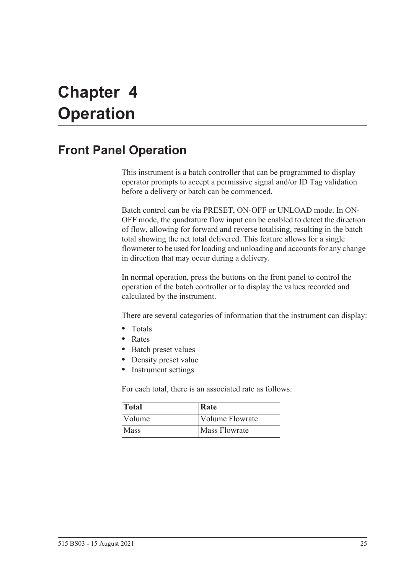# <span id="page-34-0"></span>**Chapter 4 Operation**

## <span id="page-34-1"></span>**Front Panel Operation**

This instrument is a batch controller that can be programmed to display operator prompts to accept a permissive signal and/or ID Tag validation before a delivery or batch can be commenced.

Batch control can be via PRESET, ON-OFF or UNLOAD mode. In ON-OFF mode, the quadrature flow input can be enabled to detect the direction of flow, allowing for forward and reverse totalising, resulting in the batch total showing the net total delivered. This feature allows for a single flowmeter to be used for loading and unloading and accounts for any change in direction that may occur during a delivery.

In normal operation, press the buttons on the front panel to control the operation of the batch controller or to display the values recorded and calculated by the instrument.

There are several categories of information that the instrument can display:

- **•** Totals
- **•** Rates
- **•** Batch preset values
- **•** Density preset value
- **•** Instrument settings

For each total, there is an associated rate as follows:

| Total                       | Rate                   |
|-----------------------------|------------------------|
| <i><u><b>Nolume</b></u></i> | <b>Volume Flowrate</b> |
| <i>Nass</i>                 | Mass Flowrate          |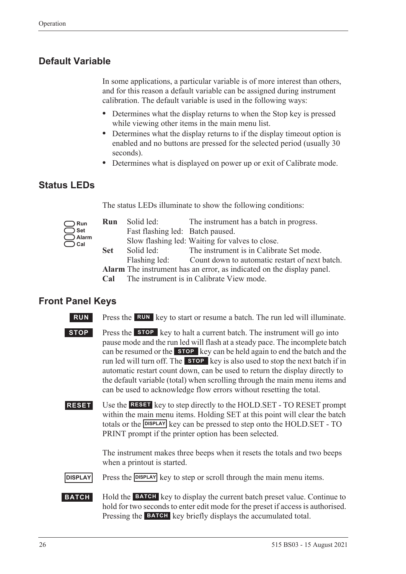## <span id="page-35-0"></span>**Default Variable**

In some applications, a particular variable is of more interest than others, and for this reason a default variable can be assigned during instrument calibration. The default variable is used in the following ways:

- **•** Determines what the display returns to when the Stop key is pressed while viewing other items in the main menu list.
- **•** Determines what the display returns to if the display timeout option is enabled and no buttons are pressed for the selected period (usually 30 seconds).
- **•** Determines what is displayed on power up or exit of Calibrate mode.

## <span id="page-35-1"></span>**Status LEDs**

The status LEDs illuminate to show the following conditions:

| Run   |
|-------|
| Set   |
| Alarm |
| Cal   |

|            | <b>Run</b> Solid led:                                                                                                                                                                         | The instrument has a batch in progress.         |
|------------|-----------------------------------------------------------------------------------------------------------------------------------------------------------------------------------------------|-------------------------------------------------|
|            | Fast flashing led: Batch paused.                                                                                                                                                              |                                                 |
|            |                                                                                                                                                                                               | Slow flashing led: Waiting for valves to close. |
| <b>Set</b> | Solid led:                                                                                                                                                                                    | The instrument is in Calibrate Set mode.        |
|            |                                                                                                                                                                                               |                                                 |
|            |                                                                                                                                                                                               |                                                 |
|            |                                                                                                                                                                                               |                                                 |
|            | Flashing led: Count down to automatic restart of next batch.<br>Alarm The instrument has an error, as indicated on the display panel.<br><b>Cal</b> The instrument is in Calibrate View mode. |                                                 |

## <span id="page-35-2"></span>**Front Panel Keys**

**RUN** Press the **RUN** key to start or resume a batch. The run led will illuminate.

- **STOP** Press the **STOP** key to halt a current batch. The instrument will go into pause mode and the run led will flash at a steady pace. The incomplete batch can be resumed or the **STOP** key can be held again to end the batch and the run led will turn off. The **STOP** key is also used to stop the next batch if in automatic restart count down, can be used to return the display directly to the default variable (total) when scrolling through the main menu items and can be used to acknowledge flow errors without resetting the total.
- **RESET** Use the **RESET** key to step directly to the HOLD.SET TO RESET prompt within the main menu items. Holding SET at this point will clear the batch totals or the **DISPLAY** key can be pressed to step onto the HOLD.SET - TO PRINT prompt if the printer option has been selected.

The instrument makes three beeps when it resets the totals and two beeps when a printout is started.

- **DISPLAY** Press the **DISPLAY** key to step or scroll through the main menu items.
- **BATCH** Hold the **BATCH** key to display the current batch preset value. Continue to hold for two seconds to enter edit mode for the preset if access is authorised. Pressing the **BATCH** key briefly displays the accumulated total.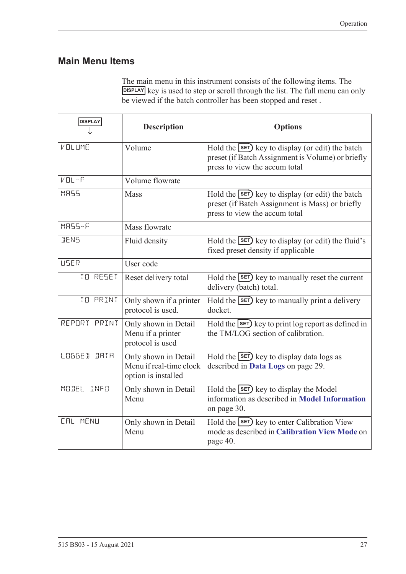# **Main Menu Items**

The main menu in this instrument consists of the following items. The key is used to step or scroll through the list. The full menu can only be viewed if the batch controller has been stopped and reset . **DISPLAY**

| <b>DISPLAY</b>    | <b>Description</b>                                                     | <b>Options</b>                                                                                                                                           |
|-------------------|------------------------------------------------------------------------|----------------------------------------------------------------------------------------------------------------------------------------------------------|
| VOLUME            | Volume                                                                 | Hold the $\boxed{\mathsf{set}}$ key to display (or edit) the batch<br>preset (if Batch Assignment is Volume) or briefly<br>press to view the accum total |
| $V \square L - F$ | Volume flowrate                                                        |                                                                                                                                                          |
| <b>MR55</b>       | Mass                                                                   | Hold the $\boxed{\mathsf{set}}$ key to display (or edit) the batch<br>preset (if Batch Assignment is Mass) or briefly<br>press to view the accum total   |
| <b>MR55-F</b>     | Mass flowrate                                                          |                                                                                                                                                          |
| <b>JEN5</b>       | Fluid density                                                          | Hold the SET key to display (or edit) the fluid's<br>fixed preset density if applicable                                                                  |
| USER              | User code                                                              |                                                                                                                                                          |
| TO RESET          | Reset delivery total                                                   | Hold the <b>SET</b> ) key to manually reset the current<br>delivery (batch) total.                                                                       |
| TO PRINT          | Only shown if a printer<br>protocol is used.                           | Hold the <b>SET</b> ) key to manually print a delivery<br>docket.                                                                                        |
| REPORT PRINT      | Only shown in Detail<br>Menu if a printer<br>protocol is used          | Hold the SET key to print log report as defined in<br>the TM/LOG section of calibration.                                                                 |
| LOGGED DATA       | Only shown in Detail<br>Menu if real-time clock<br>option is installed | Hold the <b>SET</b> key to display data logs as<br>described in Data Logs on page 29.                                                                    |
| MODEL INFO        | Only shown in Detail<br>Menu                                           | Hold the <b>SET</b> key to display the Model<br>information as described in Model Information<br>on page 30.                                             |
| <b>CAL MENU</b>   | Only shown in Detail<br>Menu                                           | Hold the <b>SET</b> ) key to enter Calibration View<br>mode as described in Calibration View Mode on<br>page 40.                                         |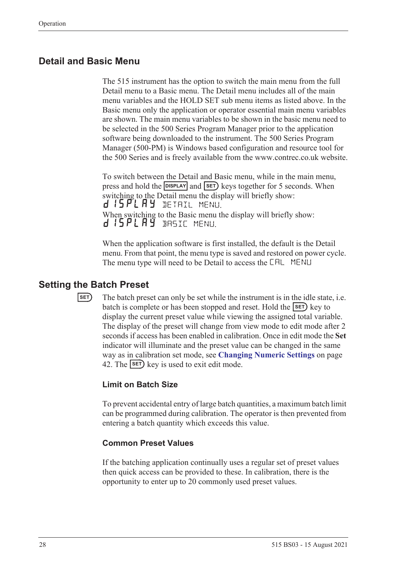### **Detail and Basic Menu**

The 515 instrument has the option to switch the main menu from the full Detail menu to a Basic menu. The Detail menu includes all of the main menu variables and the HOLD SET sub menu items as listed above. In the Basic menu only the application or operator essential main menu variables are shown. The main menu variables to be shown in the basic menu need to be selected in the 500 Series Program Manager prior to the application software being downloaded to the instrument. The 500 Series Program Manager (500-PM) is Windows based configuration and resource tool for the 500 Series and is freely available from the www.contrec.co.uk website.

To switch between the Detail and Basic menu, while in the main menu, press and hold the **DISPLAY** and **SET**) keys together for 5 seconds. When switching to the Detail menu the display will briefly show: d 15 PL A Y DETAIL MENU. When switching to the Basic menu the display will briefly show: d ISPLAY BASIC MENU

When the application software is first installed, the default is the Detail menu. From that point, the menu type is saved and restored on power cycle. The menu type will need to be Detail to access the CAL MENU

### **Setting the Batch Preset**

**SET**

The batch preset can only be set while the instrument is in the idle state, i.e. batch is complete or has been stopped and reset. Hold the **SET** key to display the current preset value while viewing the assigned total variable. The display of the preset will change from view mode to edit mode after 2 seconds if access has been enabled in calibration. Once in edit mode the **Set** indicator will illuminate and the preset value can be changed in the same way as in calibration set mode, see **[Changing Numeric Settings](#page-51-0)** on page [42](#page-51-0). The **SET** key is used to exit edit mode.

### **Limit on Batch Size**

To prevent accidental entry of large batch quantities, a maximum batch limit can be programmed during calibration. The operator is then prevented from entering a batch quantity which exceeds this value.

### **Common Preset Values**

If the batching application continually uses a regular set of preset values then quick access can be provided to these. In calibration, there is the opportunity to enter up to 20 commonly used preset values.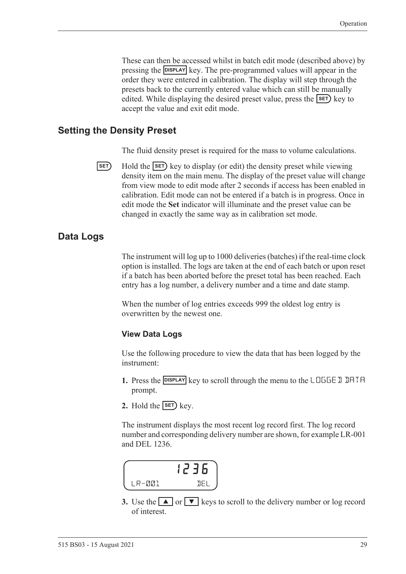These can then be accessed whilst in batch edit mode (described above) by pressing the **DISPLAY** key. The pre-programmed values will appear in the order they were entered in calibration. The display will step through the presets back to the currently entered value which can still be manually edited. While displaying the desired preset value, press the **SET** key to accept the value and exit edit mode.

#### **Setting the Density Preset**

The fluid density preset is required for the mass to volume calculations.

**EXECUTE:** Hold the **SET** key to display (or edit) the density preset while viewing density item on the main menu. The display of the preset value will change from view mode to edit mode after 2 seconds if access has been enabled in calibration. Edit mode can not be entered if a batch is in progress. Once in edit mode the **Set** indicator will illuminate and the preset value can be changed in exactly the same way as in calibration set mode.

### <span id="page-38-0"></span>**Data Logs**

The instrument will log up to 1000 deliveries (batches) if the real-time clock option is installed. The logs are taken at the end of each batch or upon reset if a batch has been aborted before the preset total has been reached. Each entry has a log number, a delivery number and a time and date stamp.

When the number of log entries exceeds 999 the oldest log entry is overwritten by the newest one.

#### **View Data Logs**

Use the following procedure to view the data that has been logged by the instrument:

- **1.** Press the **DISPLAY** key to scroll through the menu to the LOGGE D DATA prompt.
- **2.** Hold the  $\overline{\text{SET}}$  key.

The instrument displays the most recent log record first. The log record number and corresponding delivery number are shown, for example LR-001 and DEL 1236.



**3.** Use the  $\Box$  or  $\Box$  keys to scroll to the delivery number or log record of interest.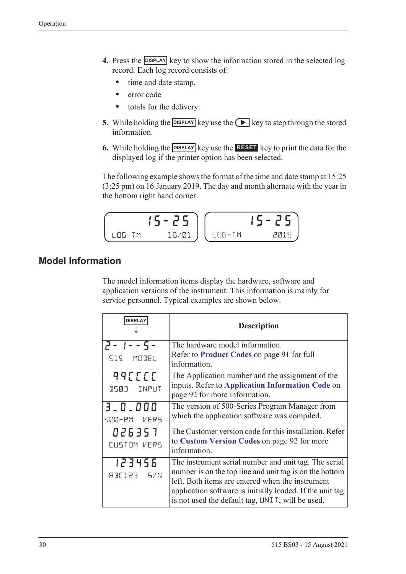- 4. Press the **DISPLAY** key to show the information stored in the selected log record. Each log record consists of:
	- time and date stamp,
	- **•** error code
	- **•** totals for the delivery.
- **5.** While holding the  $\boxed{\text{DISPLAN}}$  key use the  $\boxed{\blacktriangleright}$  key to step through the stored information.
- **6.** While holding the **DISPLAY** key use the **RESET** key to print the data for the displayed log if the printer option has been selected.

The following example shows the format of the time and date stamp at 15:25 (3:25 pm) on 16 January 2019. The day and month alternate with the year in the bottom right hand corner.

$$
\begin{array}{|c|c|c|c|}\n\hline\n & 15-25 \\
 & 15-25 \\
\hline\n & 16-21 \\
\hline\n\end{array}\n\quad\n\begin{array}{|c|c|}\n\hline\n & 15-25 \\
 & 15-25 \\
\hline\n & 2019\n\end{array}
$$

### <span id="page-39-1"></span><span id="page-39-0"></span>**Model Information**

The model information items display the hardware, software and application versions of the instrument. This information is mainly for service personnel. Typical examples are shown below.

| <b>DISPLAY</b>             | <b>Description</b>                                                                                                                                                                                                                                                                    |
|----------------------------|---------------------------------------------------------------------------------------------------------------------------------------------------------------------------------------------------------------------------------------------------------------------------------------|
| $7 - 1 - 5 -$<br>515 MODEL | The hardware model information.<br>Refer to <b>Product Codes</b> on page 91 for full<br>information.                                                                                                                                                                                  |
| 99[[[[<br>B503 INPUT       | The Application number and the assignment of the<br>inputs. Refer to Application Information Code on<br>page 92 for more information.                                                                                                                                                 |
| 3.0.000<br>SØ0-PM VERS     | The version of 500-Series Program Manager from<br>which the application software was compiled.                                                                                                                                                                                        |
| 026357<br>CUSTOM VERS      | The Customer version code for this installation. Refer<br>to Custom Version Codes on page 92 for more<br>information.                                                                                                                                                                 |
| 123456<br>RBE123 5/N       | The instrument serial number and unit tag. The serial<br>number is on the top line and unit tag is on the bottom<br>left. Both items are entered when the instrument<br>application software is initially loaded. If the unit tag<br>is not used the default tag, UNIT, will be used. |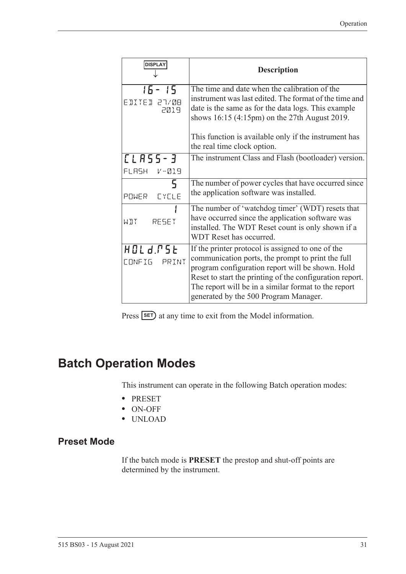| <b>DISPLAY</b>                    | <b>Description</b>                                                                                                                                                                                                                                                                                                      |
|-----------------------------------|-------------------------------------------------------------------------------------------------------------------------------------------------------------------------------------------------------------------------------------------------------------------------------------------------------------------------|
| $15 - 15$<br>EDITED 27/08<br>2019 | The time and date when the calibration of the<br>instrument was last edited. The format of the time and<br>date is the same as for the data logs. This example<br>shows $16:15$ (4:15pm) on the 27th August 2019.                                                                                                       |
|                                   | This function is available only if the instrument has<br>the real time clock option.                                                                                                                                                                                                                                    |
| [LASS-3<br>FLASH<br>$V - Q$ 19    | The instrument Class and Flash (bootloader) version.                                                                                                                                                                                                                                                                    |
| ς<br>POWER EYELE                  | The number of power cycles that have occurred since<br>the application software was installed.                                                                                                                                                                                                                          |
| RESET<br>WIT                      | The number of 'watchdog timer' (WDT) resets that<br>have occurred since the application software was<br>installed. The WDT Reset count is only shown if a<br>WDT Reset has occurred.                                                                                                                                    |
| HOLd.PSE<br>CONFIG<br>PRINT       | If the printer protocol is assigned to one of the<br>communication ports, the prompt to print the full<br>program configuration report will be shown. Hold<br>Reset to start the printing of the configuration report.<br>The report will be in a similar format to the report<br>generated by the 500 Program Manager. |

Press **SET**) at any time to exit from the Model information.

# **Batch Operation Modes**

This instrument can operate in the following Batch operation modes:

- **•** PRESET
- **•** ON-OFF
- **•** UNLOAD

### **Preset Mode**

If the batch mode is **PRESET** the prestop and shut-off points are determined by the instrument.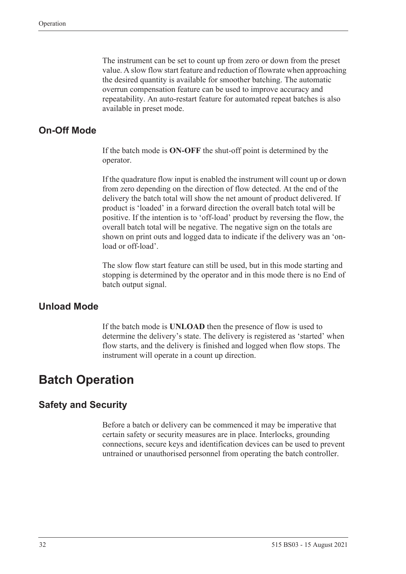The instrument can be set to count up from zero or down from the preset value. A slow flow start feature and reduction of flowrate when approaching the desired quantity is available for smoother batching. The automatic overrun compensation feature can be used to improve accuracy and repeatability. An auto-restart feature for automated repeat batches is also available in preset mode.

### **On-Off Mode**

If the batch mode is **ON-OFF** the shut-off point is determined by the operator.

If the quadrature flow input is enabled the instrument will count up or down from zero depending on the direction of flow detected. At the end of the delivery the batch total will show the net amount of product delivered. If product is 'loaded' in a forward direction the overall batch total will be positive. If the intention is to 'off-load' product by reversing the flow, the overall batch total will be negative. The negative sign on the totals are shown on print outs and logged data to indicate if the delivery was an 'onload or off-load'.

The slow flow start feature can still be used, but in this mode starting and stopping is determined by the operator and in this mode there is no End of batch output signal.

### **Unload Mode**

If the batch mode is **UNLOAD** then the presence of flow is used to determine the delivery's state. The delivery is registered as 'started' when flow starts, and the delivery is finished and logged when flow stops. The instrument will operate in a count up direction.

# **Batch Operation**

### **Safety and Security**

Before a batch or delivery can be commenced it may be imperative that certain safety or security measures are in place. Interlocks, grounding connections, secure keys and identification devices can be used to prevent untrained or unauthorised personnel from operating the batch controller.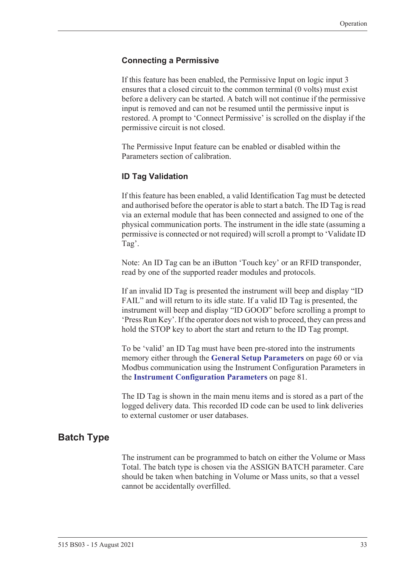#### **Connecting a Permissive**

If this feature has been enabled, the Permissive Input on logic input 3 ensures that a closed circuit to the common terminal (0 volts) must exist before a delivery can be started. A batch will not continue if the permissive input is removed and can not be resumed until the permissive input is restored. A prompt to 'Connect Permissive' is scrolled on the display if the permissive circuit is not closed.

The Permissive Input feature can be enabled or disabled within the Parameters section of calibration.

#### **ID Tag Validation**

If this feature has been enabled, a valid Identification Tag must be detected and authorised before the operator is able to start a batch. The ID Tag is read via an external module that has been connected and assigned to one of the physical communication ports. The instrument in the idle state (assuming a permissive is connected or not required) will scroll a prompt to 'Validate ID Tag'.

Note: An ID Tag can be an iButton 'Touch key' or an RFID transponder, read by one of the supported reader modules and protocols.

If an invalid ID Tag is presented the instrument will beep and display "ID FAIL" and will return to its idle state. If a valid ID Tag is presented, the instrument will beep and display "ID GOOD" before scrolling a prompt to 'Press Run Key'. If the operator does not wish to proceed, they can press and hold the STOP key to abort the start and return to the ID Tag prompt.

To be 'valid' an ID Tag must have been pre-stored into the instruments memory either through the **[General Setup Parameters](#page-69-0)** on page 60 or via Modbus communication using the Instrument Configuration Parameters in the **[Instrument Configuration Parameters](#page-90-0)** on page 81.

The ID Tag is shown in the main menu items and is stored as a part of the logged delivery data. This recorded ID code can be used to link deliveries to external customer or user databases.

### **Batch Type**

The instrument can be programmed to batch on either the Volume or Mass Total. The batch type is chosen via the ASSIGN BATCH parameter. Care should be taken when batching in Volume or Mass units, so that a vessel cannot be accidentally overfilled.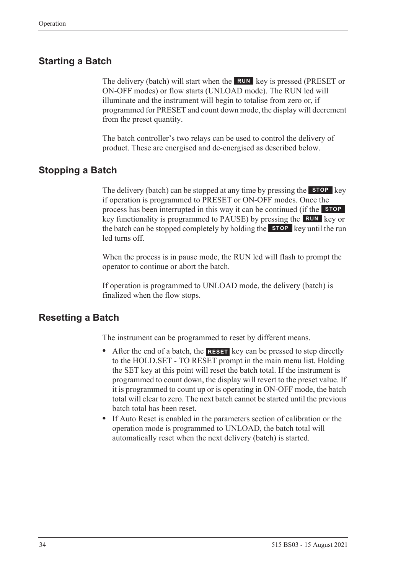# **Starting a Batch**

The delivery (batch) will start when the **RUN** key is pressed (PRESET or ON-OFF modes) or flow starts (UNLOAD mode). The RUN led will illuminate and the instrument will begin to totalise from zero or, if programmed for PRESET and count down mode, the display will decrement from the preset quantity.

The batch controller's two relays can be used to control the delivery of product. These are energised and de-energised as described below.

# **Stopping a Batch**

The delivery (batch) can be stopped at any time by pressing the **STOP** key if operation is programmed to PRESET or ON-OFF modes. Once the process has been interrupted in this way it can be continued (if the **STOP** key functionality is programmed to PAUSE) by pressing the **RUN** key or the batch can be stopped completely by holding the **STOP** key until the run led turns off.

When the process is in pause mode, the RUN led will flash to prompt the operator to continue or abort the batch.

If operation is programmed to UNLOAD mode, the delivery (batch) is finalized when the flow stops.

# **Resetting a Batch**

The instrument can be programmed to reset by different means.

- After the end of a batch, the **RESET** key can be pressed to step directly to the HOLD.SET - TO RESET prompt in the main menu list. Holding the SET key at this point will reset the batch total. If the instrument is programmed to count down, the display will revert to the preset value. If it is programmed to count up or is operating in ON-OFF mode, the batch total will clear to zero. The next batch cannot be started until the previous batch total has been reset.
- **•** If Auto Reset is enabled in the parameters section of calibration or the operation mode is programmed to UNLOAD, the batch total will automatically reset when the next delivery (batch) is started.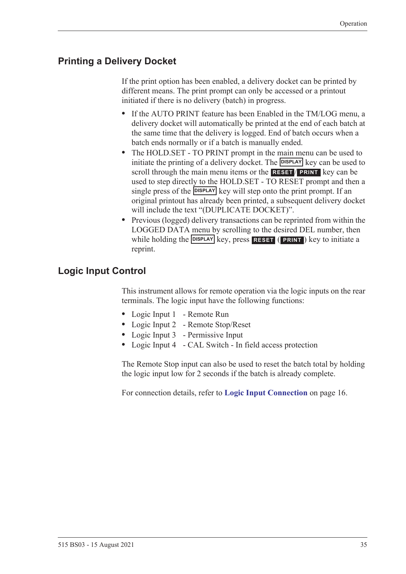# **Printing a Delivery Docket**

If the print option has been enabled, a delivery docket can be printed by different means. The print prompt can only be accessed or a printout initiated if there is no delivery (batch) in progress.

- **•** If the AUTO PRINT feature has been Enabled in the TM/LOG menu, a delivery docket will automatically be printed at the end of each batch at the same time that the delivery is logged. End of batch occurs when a batch ends normally or if a batch is manually ended.
- **•** The HOLD.SET TO PRINT prompt in the main menu can be used to initiate the printing of a delivery docket. The **DISPLAY** key can be used to scroll through the main menu items or the **RESET PRINT** key can be used to step directly to the HOLD.SET - TO RESET prompt and then a single press of the **DISPLAY** key will step onto the print prompt. If an original printout has already been printed, a subsequent delivery docket will include the text "(DUPLICATE DOCKET)".
- **•** Previous (logged) delivery transactions can be reprinted from within the LOGGED DATA menu by scrolling to the desired DEL number, then while holding the **DISPLAY** key, press **RESET** ( **PRINT** ) key to initiate a reprint.

# <span id="page-44-0"></span>**Logic Input Control**

This instrument allows for remote operation via the logic inputs on the rear terminals. The logic input have the following functions:

- **•** Logic Input 1 Remote Run
- **•** Logic Input 2 Remote Stop/Reset
- Logic Input 3 Permissive Input
- **•** Logic Input 4 CAL Switch In field access protection

The Remote Stop input can also be used to reset the batch total by holding the logic input low for 2 seconds if the batch is already complete.

For connection details, refer to **[Logic Input Connection](#page-25-0)** on page 16.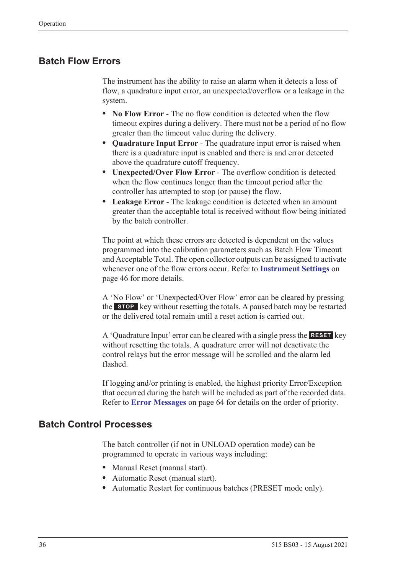# **Batch Flow Errors**

The instrument has the ability to raise an alarm when it detects a loss of flow, a quadrature input error, an unexpected/overflow or a leakage in the system.

- **No Flow Error** The no flow condition is detected when the flow timeout expires during a delivery. There must not be a period of no flow greater than the timeout value during the delivery.
- **• Quadrature Input Error**  The quadrature input error is raised when there is a quadrature input is enabled and there is and error detected above the quadrature cutoff frequency.
- **• Unexpected/Over Flow Error** The overflow condition is detected when the flow continues longer than the timeout period after the controller has attempted to stop (or pause) the flow.
- **• Leakage Error** The leakage condition is detected when an amount greater than the acceptable total is received without flow being initiated by the batch controller.

The point at which these errors are detected is dependent on the values programmed into the calibration parameters such as Batch Flow Timeout and Acceptable Total. The open collector outputs can be assigned to activate whenever one of the flow errors occur. Refer to **[Instrument Settings](#page-55-0)** on [page 46](#page-55-0) for more details.

A 'No Flow' or 'Unexpected/Over Flow' error can be cleared by pressing the **STOP** key without resetting the totals. A paused batch may be restarted or the delivered total remain until a reset action is carried out.

A 'Quadrature Input' error can be cleared with a single press the **RESET** key without resetting the totals. A quadrature error will not deactivate the control relays but the error message will be scrolled and the alarm led flashed.

If logging and/or printing is enabled, the highest priority Error/Exception that occurred during the batch will be included as part of the recorded data. Refer to **[Error Messages](#page-73-0)** on page 64 for details on the order of priority.

# **Batch Control Processes**

The batch controller (if not in UNLOAD operation mode) can be programmed to operate in various ways including:

- **•** Manual Reset (manual start).
- **•** Automatic Reset (manual start).
- **•** Automatic Restart for continuous batches (PRESET mode only).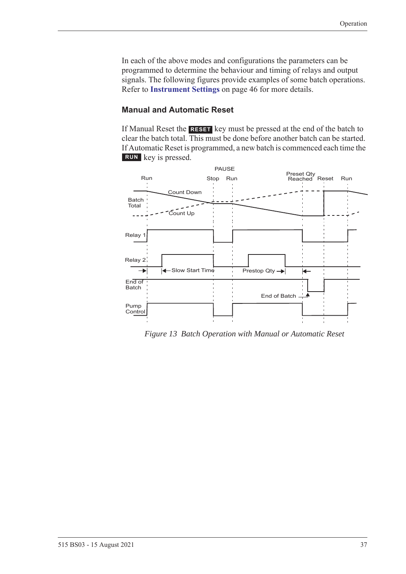In each of the above modes and configurations the parameters can be programmed to determine the behaviour and timing of relays and output signals. The following figures provide examples of some batch operations. Refer to **[Instrument Settings](#page-55-0)** on page 46 for more details.

#### **Manual and Automatic Reset**

If Manual Reset the **RESET** key must be pressed at the end of the batch to clear the batch total. This must be done before another batch can be started. If Automatic Reset is programmed, a new batch is commenced each time the **RUN** key is pressed.



*Figure 13 Batch Operation with Manual or Automatic Reset*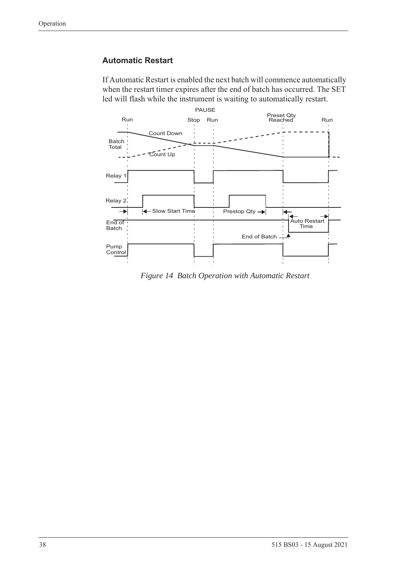### **Automatic Restart**

If Automatic Restart is enabled the next batch will commence automatically when the restart timer expires after the end of batch has occurred. The SET led will flash while the instrument is waiting to automatically restart.



*Figure 14 Batch Operation with Automatic Restart*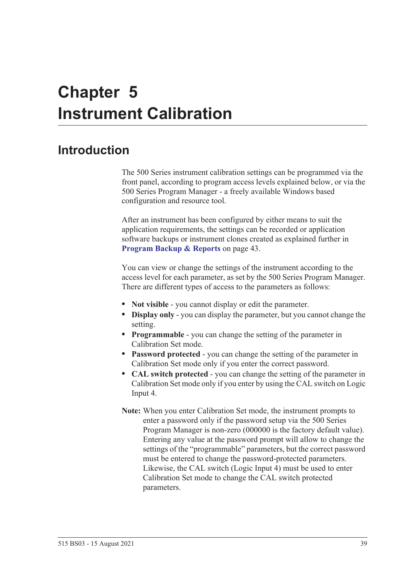# **Chapter 5 Instrument Calibration**

# **Introduction**

The 500 Series instrument calibration settings can be programmed via the front panel, according to program access levels explained below, or via the 500 Series Program Manager - a freely available Windows based configuration and resource tool.

After an instrument has been configured by either means to suit the application requirements, the settings can be recorded or application software backups or instrument clones created as explained further in **[Program Backup & Reports](#page-52-0)** on page 43.

You can view or change the settings of the instrument according to the access level for each parameter, as set by the 500 Series Program Manager. There are different types of access to the parameters as follows:

- **• Not visible** you cannot display or edit the parameter.
- **• Display only** you can display the parameter, but you cannot change the setting.
- **• Programmable** you can change the setting of the parameter in Calibration Set mode.
- **• Password protected** you can change the setting of the parameter in Calibration Set mode only if you enter the correct password.
- **• CAL switch protected**  you can change the setting of the parameter in Calibration Set mode only if you enter by using the CAL switch on Logic Input 4.
- **Note:** When you enter Calibration Set mode, the instrument prompts to enter a password only if the password setup via the 500 Series Program Manager is non-zero (000000 is the factory default value). Entering any value at the password prompt will allow to change the settings of the "programmable" parameters, but the correct password must be entered to change the password-protected parameters. Likewise, the CAL switch (Logic Input 4) must be used to enter Calibration Set mode to change the CAL switch protected parameters.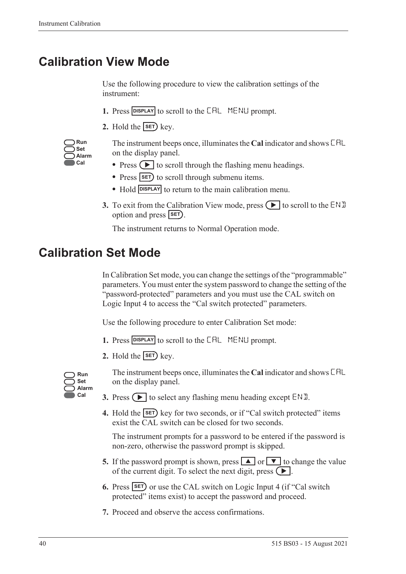# <span id="page-49-0"></span>**Calibration View Mode**

Use the following procedure to view the calibration settings of the instrument:

- 1. Press **DISPLAY** to scroll to the **CAL** MENLI prompt.
- **2.** Hold the  $\overline{\text{SET}}$  key.



The instrument beeps once, illuminates the **Cal** indicator and shows CAL on the display panel.

- Press  $\left( \triangleright \right)$  to scroll through the flashing menu headings.
- Press **SET**) to scroll through submenu items.
- Hold **DISPLAY** to return to the main calibration menu.
- **3.** To exit from the Calibration View mode, press  $\Box$  to scroll to the END option and press **SET**).

The instrument returns to Normal Operation mode.

# **Calibration Set Mode**

In Calibration Set mode, you can change the settings of the "programmable" parameters. You must enter the system password to change the setting of the "password-protected" parameters and you must use the CAL switch on Logic Input 4 to access the "Cal switch protected" parameters.

Use the following procedure to enter Calibration Set mode:

- **1.** Press **DISPLAY** to scroll to the **CAL** MENLI prompt.
- **2.** Hold the  $\overline{\text{SET}}$  key.



The instrument beeps once, illuminates the **Cal** indicator and shows CAL on the display panel.

- **3.** Press  $\left( \blacktriangleright \right)$  to select any flashing menu heading except END.
- **4.** Hold the **SET** key for two seconds, or if "Cal switch protected" items exist the CAL switch can be closed for two seconds.

The instrument prompts for a password to be entered if the password is non-zero, otherwise the password prompt is skipped.

- **5.** If the password prompt is shown, press  $\boxed{\blacktriangle}$  or  $\boxed{\blacktriangledown}$  to change the value of the current digit. To select the next digit, press  $\Box$ .
- **6.** Press **SET** or use the CAL switch on Logic Input 4 (if "Cal switch protected" items exist) to accept the password and proceed.
- **7.** Proceed and observe the access confirmations.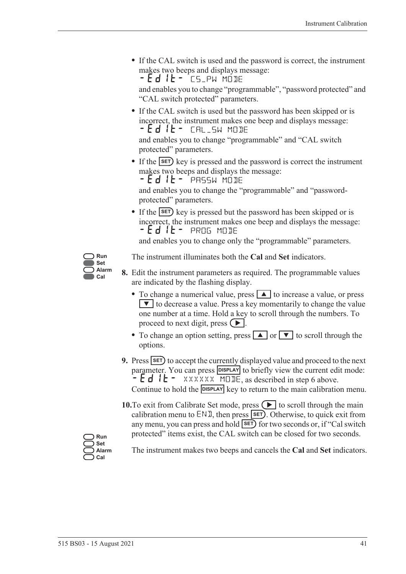**•** If the CAL switch is used and the password is correct, the instrument makes two beeps and displays message:  $-Ed$  it -  $TS$  pw mode

and enables you to change "programmable", "password protected" and "CAL switch protected" parameters.

• If the CAL switch is used but the password has been skipped or is incorrect, the instrument makes one beep and displays message: -EDIT- CAL\_SW MODE

and enables you to change "programmable" and "CAL switch protected" parameters.

- If the **SET**) key is pressed and the password is correct the instrument makes two beeps and displays the message:
	- -EDIT- PASSW MODE and enables you to change the "programmable" and "passwordprotected" parameters.
- If the **SET**) key is pressed but the password has been skipped or is incorrect, the instrument makes one beep and displays the message: -EDIT- PROG MODE

and enables you to change only the "programmable" parameters.



The instrument illuminates both the **Cal** and **Set** indicators.

- **8.** Edit the instrument parameters as required. The programmable values are indicated by the flashing display.
	- To change a numerical value, press **A** to increase a value, or press  $\triangledown$  to decrease a value. Press a key momentarily to change the value one number at a time. Hold a key to scroll through the numbers. To proceed to next digit, press  $(\blacktriangleright)$ .
	- To change an option setting, press  $\Box$  or  $\nabla$  to scroll through the options.
- **9.** Press **SET** to accept the currently displayed value and proceed to the next parameter. You can press **DISPLAY** to briefly view the current edit mode:  $-Ed$   $E - \frac{2}{x}$  XXXXXX MODE, as described in step 6 above. Continue to hold the **DISPLAY** key to return to the main calibration menu.
- **10.**To exit from Calibrate Set mode, press  $\Box$  to scroll through the main calibration menu to  $ENI$ , then press  $SET$ . Otherwise, to quick exit from any menu, you can press and hold **SET** for two seconds or, if "Cal switch protected" items exist, the CAL switch can be closed for two seconds.

**Run Set Alarm Cal**

The instrument makes two beeps and cancels the **Cal** and **Set** indicators.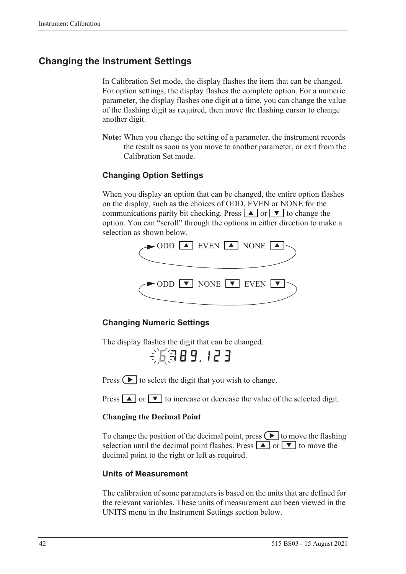# **Changing the Instrument Settings**

In Calibration Set mode, the display flashes the item that can be changed. For option settings, the display flashes the complete option. For a numeric parameter, the display flashes one digit at a time, you can change the value of the flashing digit as required, then move the flashing cursor to change another digit.

**Note:** When you change the setting of a parameter, the instrument records the result as soon as you move to another parameter, or exit from the Calibration Set mode.

### **Changing Option Settings**

When you display an option that can be changed, the entire option flashes on the display, such as the choices of ODD, EVEN or NONE for the communications parity bit checking. Press  $\boxed{\blacktriangle}$  or  $\boxed{\blacktriangledown}$  to change the option. You can "scroll" through the options in either direction to make a selection as shown below.



### <span id="page-51-0"></span>**Changing Numeric Settings**

The display flashes the digit that can be changed.

第第89.123

Press  $\left( \blacktriangleright \right)$  to select the digit that you wish to change.

Press  $\boxed{\blacktriangle}$  or  $\boxed{\blacktriangledown}$  to increase or decrease the value of the selected digit.

#### **Changing the Decimal Point**

To change the position of the decimal point, press  $\Box$  to move the flashing selection until the decimal point flashes. Press  $\boxed{\blacktriangle}$  or  $\boxed{\blacktriangledown}$  to move the decimal point to the right or left as required.

### **Units of Measurement**

The calibration of some parameters is based on the units that are defined for the relevant variables. These units of measurement can been viewed in the UNITS menu in the Instrument Settings section below.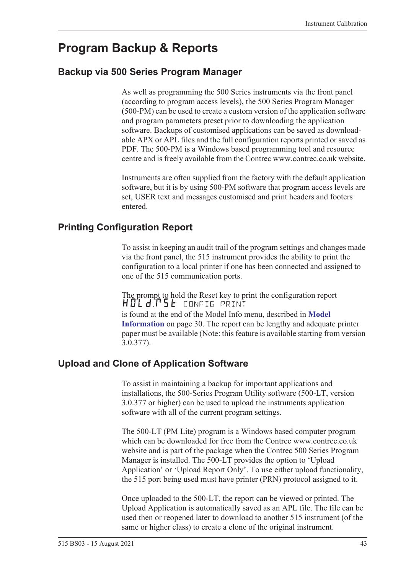# <span id="page-52-0"></span>**Program Backup & Reports**

### **Backup via 500 Series Program Manager**

As well as programming the 500 Series instruments via the front panel (according to program access levels), the 500 Series Program Manager (500-PM) can be used to create a custom version of the application software and program parameters preset prior to downloading the application software. Backups of customised applications can be saved as downloadable APX or APL files and the full configuration reports printed or saved as PDF. The 500-PM is a Windows based programming tool and resource centre and is freely available from the Contrec www.contrec.co.uk website.

Instruments are often supplied from the factory with the default application software, but it is by using 500-PM software that program access levels are set, USER text and messages customised and print headers and footers entered.

### **Printing Configuration Report**

To assist in keeping an audit trail of the program settings and changes made via the front panel, the 515 instrument provides the ability to print the configuration to a local printer if one has been connected and assigned to one of the 515 communication ports.

The prompt to hold the Reset key to print the configuration report HOLd.PSE CONFIG PRINT is found at the end of the Model Info menu, described in **[Model](#page-39-1)  [Information](#page-39-1)** on page 30. The report can be lengthy and adequate printer paper must be available (Note: this feature is available starting from version 3.0.377).

# **Upload and Clone of Application Software**

To assist in maintaining a backup for important applications and installations, the 500-Series Program Utility software (500-LT, version 3.0.377 or higher) can be used to upload the instruments application software with all of the current program settings.

The 500-LT (PM Lite) program is a Windows based computer program which can be downloaded for free from the Contrec www.contrec.co.uk website and is part of the package when the Contrec 500 Series Program Manager is installed. The 500-LT provides the option to 'Upload Application' or 'Upload Report Only'. To use either upload functionality, the 515 port being used must have printer (PRN) protocol assigned to it.

Once uploaded to the 500-LT, the report can be viewed or printed. The Upload Application is automatically saved as an APL file. The file can be used then or reopened later to download to another 515 instrument (of the same or higher class) to create a clone of the original instrument.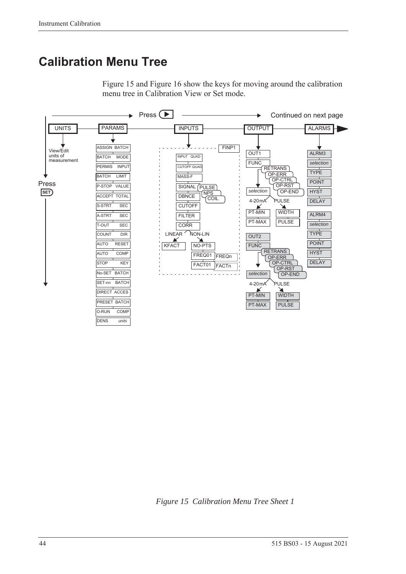# **Calibration Menu Tree**





<span id="page-53-0"></span>*Figure 15 Calibration Menu Tree Sheet 1*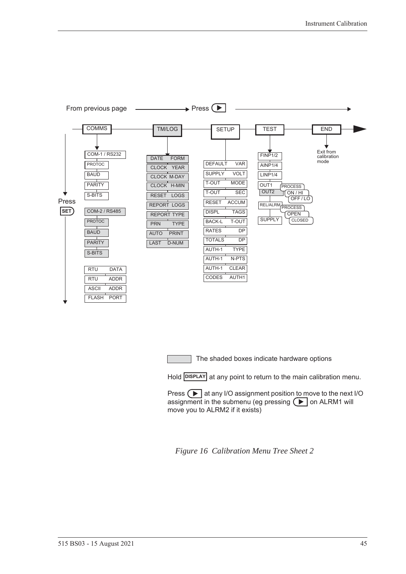

The shaded boxes indicate hardware options

Hold **DISPLAY** at any point to return to the main calibration menu.

Press  $\Box$  at any I/O assignment position to move to the next I/O assignment in the submenu (eg pressing  $\left( \blacktriangleright \right)$  on ALRM1 will move you to ALRM2 if it exists)

<span id="page-54-0"></span>*Figure 16 Calibration Menu Tree Sheet 2*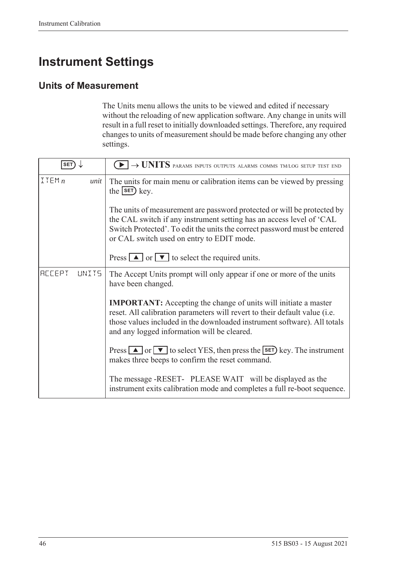# <span id="page-55-0"></span>**Instrument Settings**

# **Units of Measurement**

The Units menu allows the units to be viewed and edited if necessary without the reloading of new application software. Any change in units will result in a full reset to initially downloaded settings. Therefore, any required changes to units of measurement should be made before changing any other settings.

| <b>SET</b>              | $\blacktriangleright$ $\rightarrow$ UNITS params inputs outputs alarms comms tm/log setup test end                                                                                                                                                                              |  |
|-------------------------|---------------------------------------------------------------------------------------------------------------------------------------------------------------------------------------------------------------------------------------------------------------------------------|--|
| ITEMn<br>unit           | The units for main menu or calibration items can be viewed by pressing<br>the $\left  \text{set} \right $ key.                                                                                                                                                                  |  |
|                         | The units of measurement are password protected or will be protected by<br>the CAL switch if any instrument setting has an access level of 'CAL<br>Switch Protected'. To edit the units the correct password must be entered<br>or CAL switch used on entry to EDIT mode.       |  |
|                         | Press $\boxed{\blacktriangle}$ or $\boxed{\blacktriangledown}$ to select the required units.                                                                                                                                                                                    |  |
| <b>ACCEPT</b><br>LINIT5 | The Accept Units prompt will only appear if one or more of the units<br>have been changed.                                                                                                                                                                                      |  |
|                         | <b>IMPORTANT:</b> Accepting the change of units will initiate a master<br>reset. All calibration parameters will revert to their default value (i.e.<br>those values included in the downloaded instrument software). All totals<br>and any logged information will be cleared. |  |
|                         | Press $\Box$ or $\nabla$ to select YES, then press the SET key. The instrument<br>makes three beeps to confirm the reset command.                                                                                                                                               |  |
|                         | The message -RESET- PLEASE WAIT will be displayed as the<br>instrument exits calibration mode and completes a full re-boot sequence.                                                                                                                                            |  |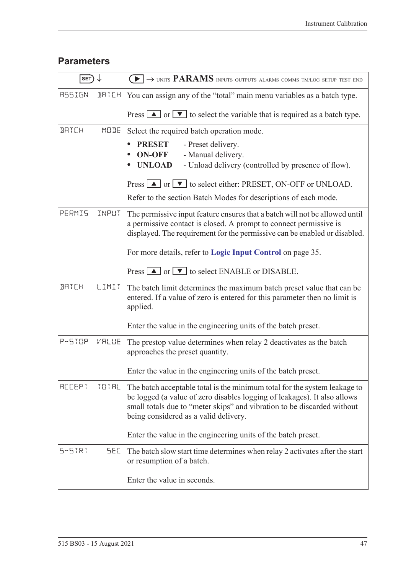# **Parameters**

| SET)          |              | $\blacktriangleright$ $\rightarrow$ units PARAMS inputs outputs alarms comms tm/log setup test end                                                                                                                                                                        |  |
|---------------|--------------|---------------------------------------------------------------------------------------------------------------------------------------------------------------------------------------------------------------------------------------------------------------------------|--|
| <b>RSSIGN</b> | <b>BATCH</b> | You can assign any of the "total" main menu variables as a batch type.                                                                                                                                                                                                    |  |
|               |              | Press $\boxed{\blacktriangle}$ or $\boxed{\blacktriangledown}$ to select the variable that is required as a batch type.                                                                                                                                                   |  |
| <b>BATCH</b>  | MODE         | Select the required batch operation mode.                                                                                                                                                                                                                                 |  |
|               |              | <b>PRESET</b><br>- Preset delivery.                                                                                                                                                                                                                                       |  |
|               |              | <b>ON-OFF</b><br>- Manual delivery.<br><b>UNLOAD</b><br>- Unload delivery (controlled by presence of flow).                                                                                                                                                               |  |
|               |              |                                                                                                                                                                                                                                                                           |  |
|               |              | Press $\Box$ or $\nabla$ to select either: PRESET, ON-OFF or UNLOAD.                                                                                                                                                                                                      |  |
|               |              | Refer to the section Batch Modes for descriptions of each mode.                                                                                                                                                                                                           |  |
| PERMIS        | INPUT        | The permissive input feature ensures that a batch will not be allowed until<br>a permissive contact is closed. A prompt to connect permissive is<br>displayed. The requirement for the permissive can be enabled or disabled.                                             |  |
|               |              | For more details, refer to Logic Input Control on page 35.                                                                                                                                                                                                                |  |
|               |              | Press $\Box$ or $\Box$ to select ENABLE or DISABLE.                                                                                                                                                                                                                       |  |
| <b>BATCH</b>  | LIMIT        | The batch limit determines the maximum batch preset value that can be<br>entered. If a value of zero is entered for this parameter then no limit is<br>applied.                                                                                                           |  |
|               |              | Enter the value in the engineering units of the batch preset.                                                                                                                                                                                                             |  |
| <b>P-510P</b> | VALUE        | The prestop value determines when relay 2 deactivates as the batch<br>approaches the preset quantity.                                                                                                                                                                     |  |
|               |              | Enter the value in the engineering units of the batch preset.                                                                                                                                                                                                             |  |
| <b>ACCEPT</b> | TOTAL        | The batch acceptable total is the minimum total for the system leakage to<br>be logged (a value of zero disables logging of leakages). It also allows<br>small totals due to "meter skips" and vibration to be discarded without<br>being considered as a valid delivery. |  |
|               |              | Enter the value in the engineering units of the batch preset.                                                                                                                                                                                                             |  |
| <b>5-5TRT</b> | <b>SEC</b>   | The batch slow start time determines when relay 2 activates after the start<br>or resumption of a batch.                                                                                                                                                                  |  |
|               |              | Enter the value in seconds.                                                                                                                                                                                                                                               |  |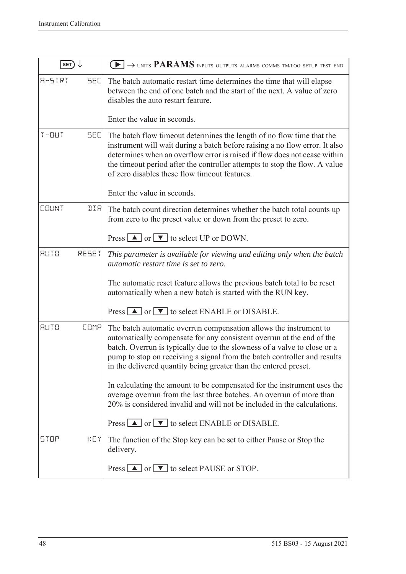| SET)                       | $\blacktriangleright$ $\rightarrow$ units PARAMS inputs outputs alarms comms tm/log setup test end                                                                                                                                                                                                                                                                     |
|----------------------------|------------------------------------------------------------------------------------------------------------------------------------------------------------------------------------------------------------------------------------------------------------------------------------------------------------------------------------------------------------------------|
| A-SIRI<br>SEC.             | The batch automatic restart time determines the time that will elapse<br>between the end of one batch and the start of the next. A value of zero<br>disables the auto restart feature.                                                                                                                                                                                 |
|                            | Enter the value in seconds.                                                                                                                                                                                                                                                                                                                                            |
| $T - 11T$<br>SEC.          | The batch flow timeout determines the length of no flow time that the<br>instrument will wait during a batch before raising a no flow error. It also<br>determines when an overflow error is raised if flow does not cease within<br>the timeout period after the controller attempts to stop the flow. A value<br>of zero disables these flow timeout features.       |
|                            | Enter the value in seconds.                                                                                                                                                                                                                                                                                                                                            |
| <b>COUNT</b><br>JIR.       | The batch count direction determines whether the batch total counts up<br>from zero to the preset value or down from the preset to zero.                                                                                                                                                                                                                               |
|                            | Press $\boxed{\blacktriangle}$ or $\boxed{\blacktriangledown}$ to select UP or DOWN.                                                                                                                                                                                                                                                                                   |
| <b>RUTO</b><br>RESET       | This parameter is available for viewing and editing only when the batch<br>automatic restart time is set to zero.                                                                                                                                                                                                                                                      |
|                            | The automatic reset feature allows the previous batch total to be reset<br>automatically when a new batch is started with the RUN key.                                                                                                                                                                                                                                 |
|                            | Press $\Box$ or $\Box$ to select ENABLE or DISABLE.                                                                                                                                                                                                                                                                                                                    |
| <b>RUTO</b><br><b>COMP</b> | The batch automatic overrun compensation allows the instrument to<br>automatically compensate for any consistent overrun at the end of the<br>batch. Overrun is typically due to the slowness of a valve to close or a<br>pump to stop on receiving a signal from the batch controller and results<br>in the delivered quantity being greater than the entered preset. |
|                            | In calculating the amount to be compensated for the instrument uses the<br>average overrun from the last three batches. An overrun of more than<br>20% is considered invalid and will not be included in the calculations.                                                                                                                                             |
|                            | Press $\Box$ or $\Box$ to select ENABLE or DISABLE.                                                                                                                                                                                                                                                                                                                    |
| <b>STOP</b><br>KEY.        | The function of the Stop key can be set to either Pause or Stop the<br>delivery.                                                                                                                                                                                                                                                                                       |
|                            | Press $\boxed{\blacktriangle}$ or $\boxed{\blacktriangledown}$ to select PAUSE or STOP.                                                                                                                                                                                                                                                                                |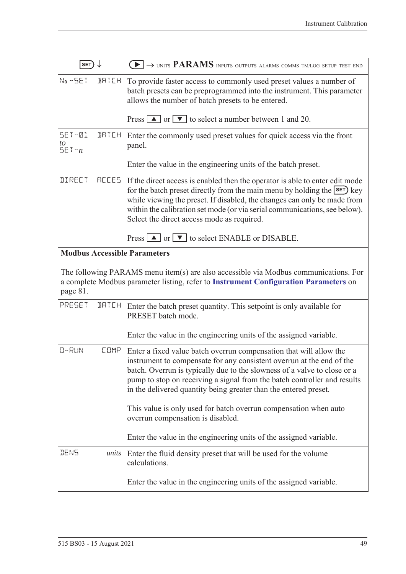| SET)                             |              | $\textcolor{blue}{\blacktriangleright} \rightarrow$ units PARAMS inputs outputs alarms comms tm/log setup test end                                                                                                                                                                                                                                                      |  |
|----------------------------------|--------------|-------------------------------------------------------------------------------------------------------------------------------------------------------------------------------------------------------------------------------------------------------------------------------------------------------------------------------------------------------------------------|--|
| $No - SET$                       | <b>BATCH</b> | To provide faster access to commonly used preset values a number of<br>batch presets can be preprogrammed into the instrument. This parameter<br>allows the number of batch presets to be entered.                                                                                                                                                                      |  |
|                                  |              | Press $\boxed{\blacktriangle}$ or $\boxed{\blacktriangledown}$ to select a number between 1 and 20.                                                                                                                                                                                                                                                                     |  |
| <b>SET-01</b><br>to<br>$SET - n$ | <b>BATCH</b> | Enter the commonly used preset values for quick access via the front<br>panel.                                                                                                                                                                                                                                                                                          |  |
|                                  |              | Enter the value in the engineering units of the batch preset.                                                                                                                                                                                                                                                                                                           |  |
| <b>JIREET</b>                    | <b>ACCES</b> | If the direct access is enabled then the operator is able to enter edit mode<br>for the batch preset directly from the main menu by holding the SET) key<br>while viewing the preset. If disabled, the changes can only be made from<br>within the calibration set mode (or via serial communications, see below).<br>Select the direct access mode as required.        |  |
|                                  |              | Press $\Box$ or $\Box$ to select ENABLE or DISABLE.                                                                                                                                                                                                                                                                                                                     |  |
|                                  |              | <b>Modbus Accessible Parameters</b>                                                                                                                                                                                                                                                                                                                                     |  |
| page 81.                         |              | The following PARAMS menu item(s) are also accessible via Modbus communications. For<br>a complete Modbus parameter listing, refer to Instrument Configuration Parameters on                                                                                                                                                                                            |  |
| PRESET                           | <b>JRTCH</b> | Enter the batch preset quantity. This setpoint is only available for<br>PRESET batch mode.                                                                                                                                                                                                                                                                              |  |
|                                  |              | Enter the value in the engineering units of the assigned variable.                                                                                                                                                                                                                                                                                                      |  |
| $D - R UN$                       | <b>COMP</b>  | Enter a fixed value batch overrun compensation that will allow the<br>instrument to compensate for any consistent overrun at the end of the<br>batch. Overrun is typically due to the slowness of a valve to close or a<br>pump to stop on receiving a signal from the batch controller and results<br>in the delivered quantity being greater than the entered preset. |  |
|                                  |              | This value is only used for batch overrun compensation when auto<br>overrun compensation is disabled.                                                                                                                                                                                                                                                                   |  |
|                                  |              | Enter the value in the engineering units of the assigned variable.                                                                                                                                                                                                                                                                                                      |  |
| JENS                             | units        | Enter the fluid density preset that will be used for the volume<br>calculations.                                                                                                                                                                                                                                                                                        |  |
|                                  |              | Enter the value in the engineering units of the assigned variable.                                                                                                                                                                                                                                                                                                      |  |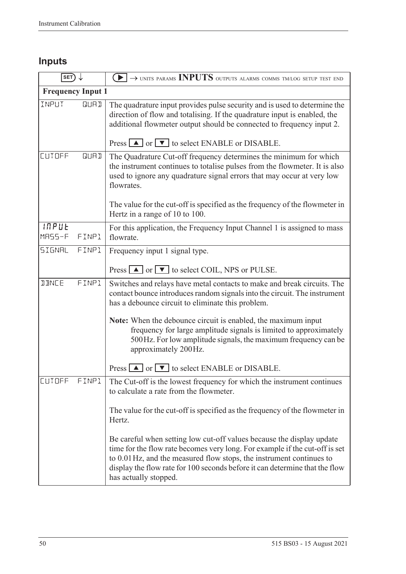# **Inputs**

| SET)                   |                          | $\widetilde{\blacktriangleright\blacktriangleright}$ units params INPUTS outputs alarms comms tm/log setup test end                                                                                                                                                                                                                  |  |
|------------------------|--------------------------|--------------------------------------------------------------------------------------------------------------------------------------------------------------------------------------------------------------------------------------------------------------------------------------------------------------------------------------|--|
|                        | <b>Frequency Input 1</b> |                                                                                                                                                                                                                                                                                                                                      |  |
| INPUT                  | <b>GUAD</b>              | The quadrature input provides pulse security and is used to determine the<br>direction of flow and totalising. If the quadrature input is enabled, the<br>additional flowmeter output should be connected to frequency input 2.<br>Press $\boxed{\blacktriangle}$ or $\boxed{\blacktriangledown}$ to select ENABLE or DISABLE.       |  |
| CUTOFF                 | <b>GURD</b>              | The Quadrature Cut-off frequency determines the minimum for which<br>the instrument continues to totalise pulses from the flowmeter. It is also<br>used to ignore any quadrature signal errors that may occur at very low<br>flowrates.                                                                                              |  |
|                        |                          | The value for the cut-off is specified as the frequency of the flowmeter in<br>Hertz in a range of 10 to 100.                                                                                                                                                                                                                        |  |
| INPUE<br><b>MR55-F</b> | FINP1                    | For this application, the Frequency Input Channel 1 is assigned to mass<br>flowrate.                                                                                                                                                                                                                                                 |  |
| <b>SIGNAL</b>          | FINP1                    | Frequency input 1 signal type.                                                                                                                                                                                                                                                                                                       |  |
|                        |                          | Press $\Box$ or $\Box$ to select COIL, NPS or PULSE.                                                                                                                                                                                                                                                                                 |  |
| <b>JBNCE</b>           | FINP1                    | Switches and relays have metal contacts to make and break circuits. The<br>contact bounce introduces random signals into the circuit. The instrument<br>has a debounce circuit to eliminate this problem.                                                                                                                            |  |
|                        |                          | Note: When the debounce circuit is enabled, the maximum input<br>frequency for large amplitude signals is limited to approximately<br>500Hz. For low amplitude signals, the maximum frequency can be<br>approximately 200Hz.                                                                                                         |  |
|                        |                          | Press $\Box$ or $\nabla$ to select ENABLE or DISABLE.                                                                                                                                                                                                                                                                                |  |
| <b>CUTOFF</b>          | FINP1                    | The Cut-off is the lowest frequency for which the instrument continues<br>to calculate a rate from the flowmeter.                                                                                                                                                                                                                    |  |
|                        |                          | The value for the cut-off is specified as the frequency of the flowmeter in<br>Hertz.                                                                                                                                                                                                                                                |  |
|                        |                          | Be careful when setting low cut-off values because the display update<br>time for the flow rate becomes very long. For example if the cut-off is set<br>to 0.01 Hz, and the measured flow stops, the instrument continues to<br>display the flow rate for 100 seconds before it can determine that the flow<br>has actually stopped. |  |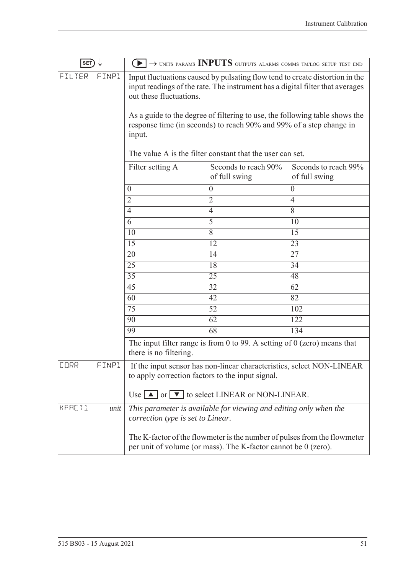| SET)        |       | $\blacktriangleright$ $\rightarrow$ units params INPUTS outputs alarms comms tm/log setup test end                                                                                                                                                                                                                                                                                                                    |                                                                                                                                            |                                       |
|-------------|-------|-----------------------------------------------------------------------------------------------------------------------------------------------------------------------------------------------------------------------------------------------------------------------------------------------------------------------------------------------------------------------------------------------------------------------|--------------------------------------------------------------------------------------------------------------------------------------------|---------------------------------------|
| FILTER      | FINP1 | Input fluctuations caused by pulsating flow tend to create distortion in the<br>input readings of the rate. The instrument has a digital filter that averages<br>out these fluctuations.<br>As a guide to the degree of filtering to use, the following table shows the<br>response time (in seconds) to reach 90% and 99% of a step change in<br>input.<br>The value A is the filter constant that the user can set. |                                                                                                                                            |                                       |
|             |       | Filter setting A                                                                                                                                                                                                                                                                                                                                                                                                      | Seconds to reach 90%<br>of full swing                                                                                                      | Seconds to reach 99%<br>of full swing |
|             |       | $\overline{0}$                                                                                                                                                                                                                                                                                                                                                                                                        | $\boldsymbol{0}$                                                                                                                           | $\boldsymbol{0}$                      |
|             |       | $\overline{2}$                                                                                                                                                                                                                                                                                                                                                                                                        | $\overline{2}$                                                                                                                             | $\overline{4}$                        |
|             |       | $\overline{4}$                                                                                                                                                                                                                                                                                                                                                                                                        | $\overline{4}$                                                                                                                             | $\overline{8}$                        |
|             |       | 6                                                                                                                                                                                                                                                                                                                                                                                                                     | $\overline{5}$                                                                                                                             | 10                                    |
|             |       | 10                                                                                                                                                                                                                                                                                                                                                                                                                    | $\overline{8}$                                                                                                                             | 15                                    |
|             |       | 15                                                                                                                                                                                                                                                                                                                                                                                                                    | $\overline{12}$                                                                                                                            | 23                                    |
|             |       | 20                                                                                                                                                                                                                                                                                                                                                                                                                    | 14                                                                                                                                         | 27                                    |
|             |       | $\overline{25}$                                                                                                                                                                                                                                                                                                                                                                                                       | $\overline{18}$                                                                                                                            | 34                                    |
|             |       | $\overline{35}$                                                                                                                                                                                                                                                                                                                                                                                                       | $\overline{25}$                                                                                                                            | 48                                    |
|             |       | 45                                                                                                                                                                                                                                                                                                                                                                                                                    | 32                                                                                                                                         | 62                                    |
|             |       | $\overline{60}$                                                                                                                                                                                                                                                                                                                                                                                                       | $\overline{42}$                                                                                                                            | 82                                    |
|             |       | $\overline{75}$                                                                                                                                                                                                                                                                                                                                                                                                       | $\overline{52}$                                                                                                                            | 102                                   |
|             |       | 90                                                                                                                                                                                                                                                                                                                                                                                                                    | 62                                                                                                                                         | 122                                   |
|             |       | 99                                                                                                                                                                                                                                                                                                                                                                                                                    | $\overline{68}$                                                                                                                            | 134                                   |
|             |       | there is no filtering.                                                                                                                                                                                                                                                                                                                                                                                                | The input filter range is from 0 to 99. A setting of $0$ (zero) means that                                                                 |                                       |
| <b>CORR</b> | FINP1 | to apply correction factors to the input signal.                                                                                                                                                                                                                                                                                                                                                                      | If the input sensor has non-linear characteristics, select NON-LINEAR<br>Use $\Box$ or $\nabla$ to select LINEAR or NON-LINEAR.            |                                       |
| KFACT1      | unit  | correction type is set to Linear.                                                                                                                                                                                                                                                                                                                                                                                     | This parameter is available for viewing and editing only when the                                                                          |                                       |
|             |       |                                                                                                                                                                                                                                                                                                                                                                                                                       | The K-factor of the flowmeter is the number of pulses from the flowmeter<br>per unit of volume (or mass). The K-factor cannot be 0 (zero). |                                       |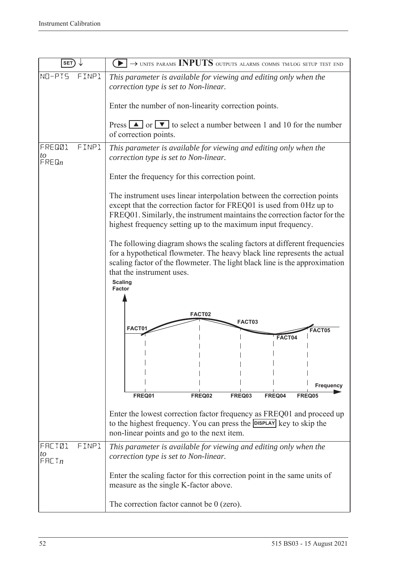| <b>SET</b>                            |       | $\rightarrow$ units params INPUTS outputs alarms comms tm/log setup test end                                                                                                                                                                                                                       |  |
|---------------------------------------|-------|----------------------------------------------------------------------------------------------------------------------------------------------------------------------------------------------------------------------------------------------------------------------------------------------------|--|
| NO-PIS                                | FINP1 | This parameter is available for viewing and editing only when the<br>correction type is set to Non-linear.                                                                                                                                                                                         |  |
|                                       |       | Enter the number of non-linearity correction points.                                                                                                                                                                                                                                               |  |
|                                       |       | Press $\boxed{\blacktriangle}$ or $\boxed{\blacktriangledown}$ to select a number between 1 and 10 for the number<br>of correction points.                                                                                                                                                         |  |
| FRED01<br>to<br>$F$ RE $\mathbb{G}_n$ | FINP1 | This parameter is available for viewing and editing only when the<br>correction type is set to Non-linear.                                                                                                                                                                                         |  |
|                                       |       | Enter the frequency for this correction point.                                                                                                                                                                                                                                                     |  |
|                                       |       | The instrument uses linear interpolation between the correction points<br>except that the correction factor for FREQ01 is used from 0Hz up to<br>FREQ01. Similarly, the instrument maintains the correction factor for the<br>highest frequency setting up to the maximum input frequency.         |  |
|                                       |       | The following diagram shows the scaling factors at different frequencies<br>for a hypothetical flowmeter. The heavy black line represents the actual<br>scaling factor of the flowmeter. The light black line is the approximation<br>that the instrument uses.<br><b>Scaling</b><br><b>Factor</b> |  |
|                                       |       |                                                                                                                                                                                                                                                                                                    |  |
|                                       |       | FACT02<br>FACT03                                                                                                                                                                                                                                                                                   |  |
|                                       |       | <b>FACT0</b><br><b>FACT05</b><br>FACT04                                                                                                                                                                                                                                                            |  |
|                                       |       |                                                                                                                                                                                                                                                                                                    |  |
|                                       |       |                                                                                                                                                                                                                                                                                                    |  |
|                                       |       | Frequency                                                                                                                                                                                                                                                                                          |  |
|                                       |       | FREQ02<br>FREQ03<br>FREQ04<br>FREQ01<br>FREQ05                                                                                                                                                                                                                                                     |  |
|                                       |       | Enter the lowest correction factor frequency as FREQ01 and proceed up<br>to the highest frequency. You can press the <b>DISPLAY</b> key to skip the<br>non-linear points and go to the next item.                                                                                                  |  |
| <b>FACT01</b><br>to<br>F H L T n      | FINP1 | This parameter is available for viewing and editing only when the<br>correction type is set to Non-linear.                                                                                                                                                                                         |  |
|                                       |       | Enter the scaling factor for this correction point in the same units of<br>measure as the single K-factor above.                                                                                                                                                                                   |  |
|                                       |       | The correction factor cannot be $0$ (zero).                                                                                                                                                                                                                                                        |  |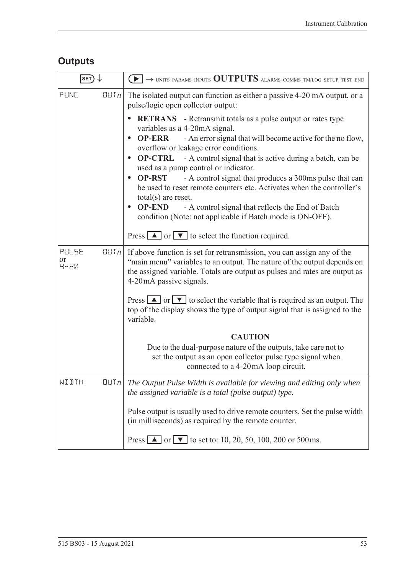# **Outputs**

| SET)                                            | $\left\{ \blacktriangleright\right\} \rightarrow$ units params inputs $\text{OUTPUTS}$ alarms comms tmlog setup test end                                                                                                                                                                                                                                                                                                                                                                                                                                                                                                                                                                                                                                                                                             |
|-------------------------------------------------|----------------------------------------------------------------------------------------------------------------------------------------------------------------------------------------------------------------------------------------------------------------------------------------------------------------------------------------------------------------------------------------------------------------------------------------------------------------------------------------------------------------------------------------------------------------------------------------------------------------------------------------------------------------------------------------------------------------------------------------------------------------------------------------------------------------------|
| FUNE<br>QUTn                                    | The isolated output can function as either a passive 4-20 mA output, or a<br>pulse/logic open collector output:                                                                                                                                                                                                                                                                                                                                                                                                                                                                                                                                                                                                                                                                                                      |
|                                                 | <b>RETRANS</b> - Retransmit totals as a pulse output or rates type<br>variables as a 4-20mA signal.<br><b>OP-ERR</b><br>- An error signal that will become active for the no flow,<br>$\bullet$<br>overflow or leakage error conditions.<br><b>OP-CTRL</b> - A control signal that is active during a batch, can be<br>$\bullet$<br>used as a pump control or indicator.<br><b>OP-RST</b><br>- A control signal that produces a 300ms pulse that can<br>$\bullet$<br>be used to reset remote counters etc. Activates when the controller's<br>total(s) are reset.<br><b>OP-END</b><br>- A control signal that reflects the End of Batch<br>$\bullet$<br>condition (Note: not applicable if Batch mode is ON-OFF).<br>Press $\boxed{\blacktriangle}$ or $\boxed{\blacktriangledown}$ to select the function required. |
| PULSE<br>$\Box$ $\Box$ $\Box$ $n$<br>or<br>4-20 | If above function is set for retransmission, you can assign any of the<br>"main menu" variables to an output. The nature of the output depends on<br>the assigned variable. Totals are output as pulses and rates are output as<br>4-20 mA passive signals.                                                                                                                                                                                                                                                                                                                                                                                                                                                                                                                                                          |
|                                                 | Press $\Box$ or $\nabla$ to select the variable that is required as an output. The<br>top of the display shows the type of output signal that is assigned to the<br>variable.                                                                                                                                                                                                                                                                                                                                                                                                                                                                                                                                                                                                                                        |
|                                                 | <b>CAUTION</b><br>Due to the dual-purpose nature of the outputs, take care not to<br>set the output as an open collector pulse type signal when<br>connected to a 4-20mA loop circuit.                                                                                                                                                                                                                                                                                                                                                                                                                                                                                                                                                                                                                               |
| WIJTH<br>$\Box \Box Tn$                         | The Output Pulse Width is available for viewing and editing only when<br>the assigned variable is a total (pulse output) type.                                                                                                                                                                                                                                                                                                                                                                                                                                                                                                                                                                                                                                                                                       |
|                                                 | Pulse output is usually used to drive remote counters. Set the pulse width<br>(in milliseconds) as required by the remote counter.                                                                                                                                                                                                                                                                                                                                                                                                                                                                                                                                                                                                                                                                                   |
|                                                 | Press $\triangle$ or $\triangledown$ to set to: 10, 20, 50, 100, 200 or 500 ms.                                                                                                                                                                                                                                                                                                                                                                                                                                                                                                                                                                                                                                                                                                                                      |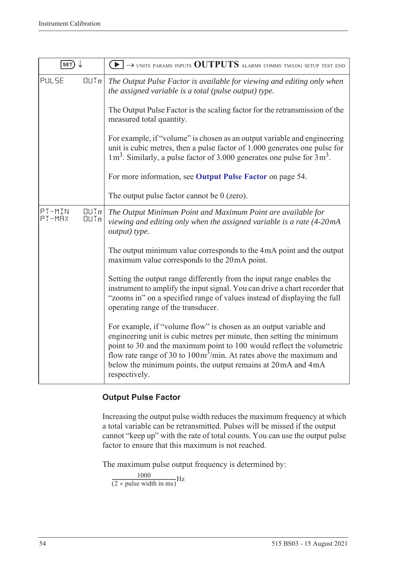| SET)             |                    | $\left\{ \rightarrow \right\}$ UNITS PARAMS INPUTS OUTPUTS ALARMS COMMS TM/LOG SETUP TEST END                                                                                                                                                                                                                                                                                                 |
|------------------|--------------------|-----------------------------------------------------------------------------------------------------------------------------------------------------------------------------------------------------------------------------------------------------------------------------------------------------------------------------------------------------------------------------------------------|
| PULSE            | QUTn               | The Output Pulse Factor is available for viewing and editing only when<br>the assigned variable is a total (pulse output) type.                                                                                                                                                                                                                                                               |
|                  |                    | The Output Pulse Factor is the scaling factor for the retransmission of the<br>measured total quantity.                                                                                                                                                                                                                                                                                       |
|                  |                    | For example, if "volume" is chosen as an output variable and engineering<br>unit is cubic metres, then a pulse factor of 1.000 generates one pulse for<br>$1 \text{ m}^3$ . Similarly, a pulse factor of 3.000 generates one pulse for $3 \text{ m}^3$ .                                                                                                                                      |
|                  |                    | For more information, see Output Pulse Factor on page 54.                                                                                                                                                                                                                                                                                                                                     |
|                  |                    | The output pulse factor cannot be $0$ (zero).                                                                                                                                                                                                                                                                                                                                                 |
| PT-MIN<br>PT-MAX | QUTn<br>$QU$ T $n$ | The Output Minimum Point and Maximum Point are available for<br>viewing and editing only when the assigned variable is a rate (4-20mA<br>output) type.                                                                                                                                                                                                                                        |
|                  |                    | The output minimum value corresponds to the 4mA point and the output<br>maximum value corresponds to the 20mA point.                                                                                                                                                                                                                                                                          |
|                  |                    | Setting the output range differently from the input range enables the<br>instrument to amplify the input signal. You can drive a chart recorder that<br>"zooms in" on a specified range of values instead of displaying the full<br>operating range of the transducer.                                                                                                                        |
|                  |                    | For example, if "volume flow" is chosen as an output variable and<br>engineering unit is cubic metres per minute, then setting the minimum<br>point to 30 and the maximum point to 100 would reflect the volumetric<br>flow rate range of 30 to $100 \text{m}^3/\text{min}$ . At rates above the maximum and<br>below the minimum points, the output remains at 20mA and 4mA<br>respectively. |

### <span id="page-63-0"></span>**Output Pulse Factor**

Increasing the output pulse width reduces the maximum frequency at which a total variable can be retransmitted. Pulses will be missed if the output cannot "keep up" with the rate of total counts. You can use the output pulse factor to ensure that this maximum is not reached.

The maximum pulse output frequency is determined by:

```
1000
\frac{1000}{(2 \times \text{pulse width in ms})}Hz
```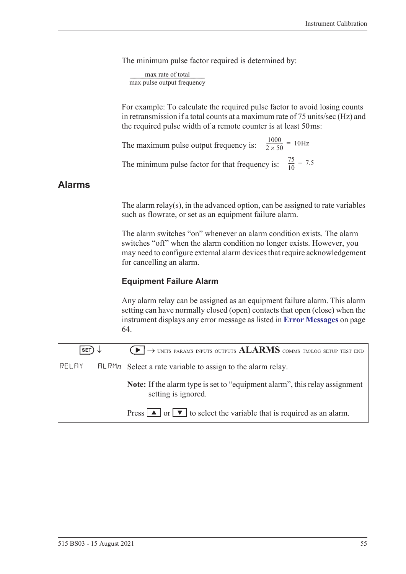The minimum pulse factor required is determined by:

max rate of total max pulse output frequency ------------------------------------------------------------------

For example: To calculate the required pulse factor to avoid losing counts in retransmission if a total counts at a maximum rate of 75 units/sec (Hz) and the required pulse width of a remote counter is at least 50 ms:

The maximum pulse output frequency is:  $\frac{1000}{2 \times 50}$  = 10Hz

The minimum pulse factor for that frequency is:  $\frac{75}{10}$  $\frac{73}{10}$  = 7.5

#### **Alarms**

The alarm relay(s), in the advanced option, can be assigned to rate variables such as flowrate, or set as an equipment failure alarm.

The alarm switches "on" whenever an alarm condition exists. The alarm switches "off" when the alarm condition no longer exists. However, you may need to configure external alarm devices that require acknowledgement for cancelling an alarm.

#### **Equipment Failure Alarm**

Any alarm relay can be assigned as an equipment failure alarm. This alarm setting can have normally closed (open) contacts that open (close) when the instrument displays any error message as listed in **[Error Messages](#page-73-1)** on page [64.](#page-73-1)

| SET   |  | $\blacktriangleright$ $\rightarrow$ units params inputs outputs $ALARMS$ comms tm/log setup test end                |
|-------|--|---------------------------------------------------------------------------------------------------------------------|
| RELAY |  | $\text{FLRM}_n$ Select a rate variable to assign to the alarm relay.                                                |
|       |  | Note: If the alarm type is set to "equipment alarm", this relay assignment<br>setting is ignored.                   |
|       |  | Press $\boxed{\blacktriangle}$ or $\boxed{\blacktriangledown}$ to select the variable that is required as an alarm. |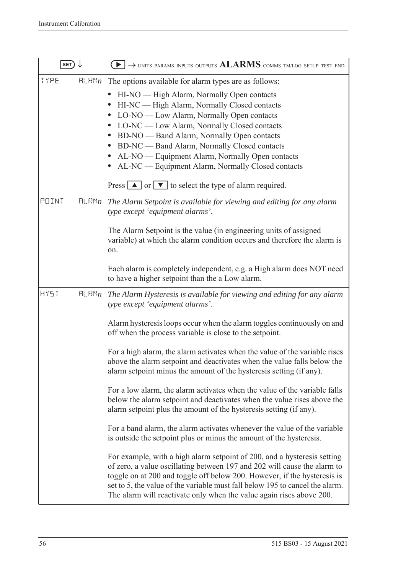| SET)        |       | $\rightarrow$ units params inputs outputs $ALARMS$ comms tm/log setup test end                                                                                                                                                                                                                                                                                                                                 |
|-------------|-------|----------------------------------------------------------------------------------------------------------------------------------------------------------------------------------------------------------------------------------------------------------------------------------------------------------------------------------------------------------------------------------------------------------------|
| TYPE        | HLRMn | The options available for alarm types are as follows:                                                                                                                                                                                                                                                                                                                                                          |
|             |       | HI-NO — High Alarm, Normally Open contacts<br>HI-NC — High Alarm, Normally Closed contacts<br>LO-NO — Low Alarm, Normally Open contacts<br>LO-NC — Low Alarm, Normally Closed contacts<br>BD-NO — Band Alarm, Normally Open contacts<br>BD-NC — Band Alarm, Normally Closed contacts<br>$\bullet$<br>AL-NO — Equipment Alarm, Normally Open contacts<br>٠<br>AL-NC — Equipment Alarm, Normally Closed contacts |
|             |       | Press $\Box$ or $\Box$ to select the type of alarm required.                                                                                                                                                                                                                                                                                                                                                   |
| POINT       | HLRMn | The Alarm Setpoint is available for viewing and editing for any alarm<br>type except 'equipment alarms'.                                                                                                                                                                                                                                                                                                       |
|             |       | The Alarm Setpoint is the value (in engineering units of assigned<br>variable) at which the alarm condition occurs and therefore the alarm is<br>on.                                                                                                                                                                                                                                                           |
|             |       | Each alarm is completely independent, e.g. a High alarm does NOT need<br>to have a higher setpoint than the a Low alarm.                                                                                                                                                                                                                                                                                       |
| <b>HY5T</b> | HLRMn | The Alarm Hysteresis is available for viewing and editing for any alarm<br>type except 'equipment alarms'.                                                                                                                                                                                                                                                                                                     |
|             |       | Alarm hysteresis loops occur when the alarm toggles continuously on and<br>off when the process variable is close to the setpoint.                                                                                                                                                                                                                                                                             |
|             |       | For a high alarm, the alarm activates when the value of the variable rises<br>above the alarm setpoint and deactivates when the value falls below the<br>alarm setpoint minus the amount of the hysteresis setting (if any).                                                                                                                                                                                   |
|             |       | For a low alarm, the alarm activates when the value of the variable falls<br>below the alarm setpoint and deactivates when the value rises above the<br>alarm setpoint plus the amount of the hysteresis setting (if any).                                                                                                                                                                                     |
|             |       | For a band alarm, the alarm activates whenever the value of the variable<br>is outside the setpoint plus or minus the amount of the hysteresis.                                                                                                                                                                                                                                                                |
|             |       | For example, with a high alarm setpoint of 200, and a hysteresis setting<br>of zero, a value oscillating between 197 and 202 will cause the alarm to<br>toggle on at 200 and toggle off below 200. However, if the hysteresis is<br>set to 5, the value of the variable must fall below 195 to cancel the alarm.<br>The alarm will reactivate only when the value again rises above 200.                       |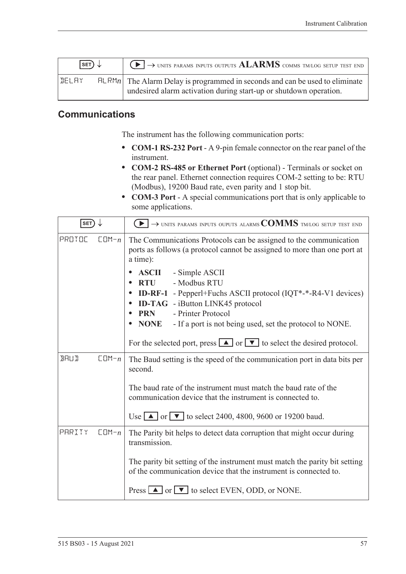| $\boxed{\text{SET}}$ |  | $ \;\textrm{(}\blacktriangleright\;\textrm{]}\to\textrm{units}$ params inputs outputs $ALARMS$ comms tm/log setup test end                                 |
|----------------------|--|------------------------------------------------------------------------------------------------------------------------------------------------------------|
| <b>DELAY</b>         |  | $\mathsf{RLRM}$ The Alarm Delay is programmed in seconds and can be used to eliminate<br>undesired alarm activation during start-up or shutdown operation. |

# <span id="page-66-0"></span>**Communications**

The instrument has the following communication ports:

- **• COM-1 RS-232 Port** A 9-pin female connector on the rear panel of the instrument.
- **• COM-2 RS-485 or Ethernet Port** (optional) Terminals or socket on the rear panel. Ethernet connection requires COM-2 setting to be: RTU (Modbus), 19200 Baud rate, even parity and 1 stop bit.
- **• COM-3 Port** A special communications port that is only applicable to some applications.

| <b>SET</b>  |           | $\rightarrow$ units params inputs ouputs alarms $COMMS$ tm/log setup test end                                                                             |
|-------------|-----------|-----------------------------------------------------------------------------------------------------------------------------------------------------------|
| PROTOC      | $CDM - n$ | The Communications Protocols can be assigned to the communication<br>ports as follows (a protocol cannot be assigned to more than one port at<br>a time): |
|             |           | <b>ASCII</b><br>- Simple ASCII<br>- Modbus RTU<br><b>RTU</b>                                                                                              |
|             |           | <b>ID-RF-1</b> - Pepperl+Fuchs ASCII protocol (IQT*-*-R4-V1 devices)<br><b>ID-TAG</b> - iButton LINK45 protocol                                           |
|             |           | - Printer Protocol<br><b>PRN</b><br><b>NONE</b><br>- If a port is not being used, set the protocol to NONE.                                               |
|             |           | For the selected port, press $\boxed{\triangle}$ or $\boxed{\triangledown}$ to select the desired protocol.                                               |
| <b>BAUD</b> | $CDM - n$ | The Baud setting is the speed of the communication port in data bits per<br>second.                                                                       |
|             |           | The baud rate of the instrument must match the baud rate of the<br>communication device that the instrument is connected to.                              |
|             |           | Use $\blacksquare$ or $\blacksquare$ to select 2400, 4800, 9600 or 19200 baud.                                                                            |
| PARITY      | $CDM - n$ | The Parity bit helps to detect data corruption that might occur during<br>transmission.                                                                   |
|             |           | The parity bit setting of the instrument must match the parity bit setting<br>of the communication device that the instrument is connected to.            |
|             |           | Press $\Box$ or $\nabla$ to select EVEN, ODD, or NONE.                                                                                                    |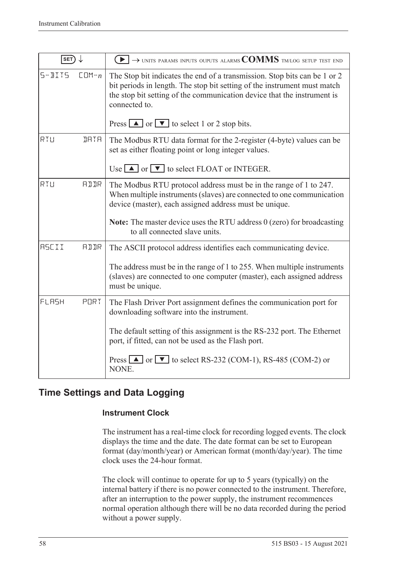| SET)         |             | $\blacktriangleright$ $\mid$ $\rightarrow$ units params inputs ouputs alarms COMMS tm/log setup test end                                                                                                                                                                                                                                                                  |
|--------------|-------------|---------------------------------------------------------------------------------------------------------------------------------------------------------------------------------------------------------------------------------------------------------------------------------------------------------------------------------------------------------------------------|
| $5 - 3115$   | $CDM - n$   | The Stop bit indicates the end of a transmission. Stop bits can be 1 or 2<br>bit periods in length. The stop bit setting of the instrument must match<br>the stop bit setting of the communication device that the instrument is<br>connected to.<br>Press $\boxed{\blacktriangle}$ or $\boxed{\blacktriangledown}$ to select 1 or 2 stop bits.                           |
| RTU          | <b>IRTR</b> | The Modbus RTU data format for the 2-register (4-byte) values can be<br>set as either floating point or long integer values.<br>Use $\Box$ or $\Box$ to select FLOAT or INTEGER.                                                                                                                                                                                          |
| RTU          | <b>RIIR</b> | The Modbus RTU protocol address must be in the range of 1 to 247.<br>When multiple instruments (slaves) are connected to one communication<br>device (master), each assigned address must be unique.<br><b>Note:</b> The master device uses the RTU address $0$ (zero) for broadcasting<br>to all connected slave units.                                                  |
| <b>RSCII</b> | <b>AIIR</b> | The ASCII protocol address identifies each communicating device.<br>The address must be in the range of 1 to 255. When multiple instruments<br>(slaves) are connected to one computer (master), each assigned address<br>must be unique.                                                                                                                                  |
| FLASH        | PORT        | The Flash Driver Port assignment defines the communication port for<br>downloading software into the instrument.<br>The default setting of this assignment is the RS-232 port. The Ethernet<br>port, if fitted, can not be used as the Flash port.<br>Press $\boxed{\blacktriangle}$ or $\boxed{\blacktriangledown}$ to select RS-232 (COM-1), RS-485 (COM-2) or<br>NONE. |

# **Time Settings and Data Logging**

### **Instrument Clock**

The instrument has a real-time clock for recording logged events. The clock displays the time and the date. The date format can be set to European format (day/month/year) or American format (month/day/year). The time clock uses the 24-hour format.

The clock will continue to operate for up to 5 years (typically) on the internal battery if there is no power connected to the instrument. Therefore, after an interruption to the power supply, the instrument recommences normal operation although there will be no data recorded during the period without a power supply.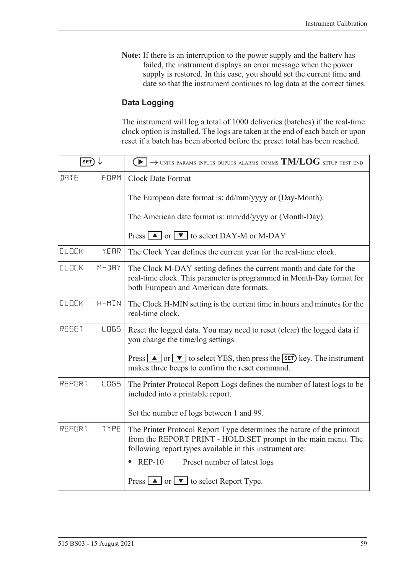**Note:** If there is an interruption to the power supply and the battery has failed, the instrument displays an error message when the power supply is restored. In this case, you should set the current time and date so that the instrument continues to log data at the correct times.

### **Data Logging**

The instrument will log a total of 1000 deliveries (batches) if the real-time clock option is installed. The logs are taken at the end of each batch or upon reset if a batch has been aborted before the preset total has been reached.

| $ $ SET $)$  |           | $\rightarrow$ units params inputs ouputs alarms comms $\mathrm{TM/LOG}$ setup test end                                                                                                              |
|--------------|-----------|-----------------------------------------------------------------------------------------------------------------------------------------------------------------------------------------------------|
| <b>JATE</b>  | FORM      | <b>Clock Date Format</b>                                                                                                                                                                            |
|              |           | The European date format is: dd/mm/yyyy or (Day-Month).                                                                                                                                             |
|              |           | The American date format is: mm/dd/yyyy or (Month-Day).                                                                                                                                             |
|              |           | Press $\boxed{\blacktriangle}$ or $\boxed{\blacktriangledown}$ to select DAY-M or M-DAY                                                                                                             |
| <b>CLOCK</b> | YEAR      | The Clock Year defines the current year for the real-time clock.                                                                                                                                    |
| <b>CLOCK</b> | $M - JHY$ | The Clock M-DAY setting defines the current month and date for the<br>real-time clock. This parameter is programmed in Month-Day format for<br>both European and American date formats.             |
| <b>CLOCK</b> | H-MIN     | The Clock H-MIN setting is the current time in hours and minutes for the<br>real-time clock.                                                                                                        |
| RESET        | LO65      | Reset the logged data. You may need to reset (clear) the logged data if<br>you change the time/log settings.                                                                                        |
|              |           | Press $\Box$ or $\nabla$ to select YES, then press the <b>SET</b> ) key. The instrument<br>makes three beeps to confirm the reset command.                                                          |
| REPORT       | LO65      | The Printer Protocol Report Logs defines the number of latest logs to be<br>included into a printable report.                                                                                       |
|              |           | Set the number of logs between 1 and 99.                                                                                                                                                            |
| REPORT       | TYPE      | The Printer Protocol Report Type determines the nature of the printout<br>from the REPORT PRINT - HOLD.SET prompt in the main menu. The<br>following report types available in this instrument are: |
|              |           | <b>REP-10</b><br>Preset number of latest logs<br>$\bullet$                                                                                                                                          |
|              |           | Press $\boxed{\blacktriangle}$ or $\boxed{\blacktriangledown}$ to select Report Type.                                                                                                               |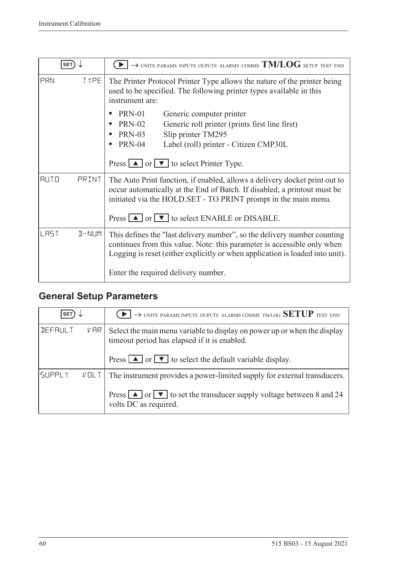| <b>SET</b>  |             | $\rightarrow$ units params inputs ouputs alarms comms $\mathrm{TM}/\mathrm{LOG}$ setup test end                                                                                                                                                                                                         |
|-------------|-------------|---------------------------------------------------------------------------------------------------------------------------------------------------------------------------------------------------------------------------------------------------------------------------------------------------------|
| PRN         | TYPE        | The Printer Protocol Printer Type allows the nature of the printer being<br>used to be specified. The following printer types available in this<br>instrument are:                                                                                                                                      |
|             |             | <b>PRN-01</b><br>Generic computer printer<br><b>PRN-02</b><br>Generic roll printer (prints first line first)<br><b>PRN-03</b><br>Slip printer TM295<br><b>PRN-04</b><br>Label (roll) printer - Citizen CMP30L<br>Press $\boxed{\blacktriangle}$ or $\boxed{\blacktriangledown}$ to select Printer Type. |
|             |             |                                                                                                                                                                                                                                                                                                         |
| <b>RUTO</b> | PRINT       | The Auto Print function, if enabled, allows a delivery docket print out to<br>occur automatically at the End of Batch. If disabled, a printout must be<br>initiated via the HOLD.SET - TO PRINT prompt in the main menu.<br>Press $\Box$ or $\nabla$ to select ENABLE or DISABLE.                       |
|             |             |                                                                                                                                                                                                                                                                                                         |
| LAST        | $I - N L M$ | This defines the "last delivery number", so the delivery number counting<br>continues from this value. Note: this parameter is accessible only when<br>Logging is reset (either explicitly or when application is loaded into unit).                                                                    |
|             |             | Enter the required delivery number.                                                                                                                                                                                                                                                                     |

# <span id="page-69-0"></span>**General Setup Parameters**

| $ $ SET $) \downarrow$ |            | $\rightarrow$ units params inputs ouputs alarms comms tm/log SETUP test end                                              |
|------------------------|------------|--------------------------------------------------------------------------------------------------------------------------|
| <b>JEFAULT</b>         | $V$ RR $ $ | Select the main menu variable to display on power up or when the display<br>timeout period has elapsed if it is enabled. |
|                        |            | Press $\boxed{\blacktriangle}$ or $\boxed{\blacktriangledown}$ to select the default variable display.                   |
| <b>SUPPLY</b>          | VCLT       | The instrument provides a power-limited supply for external transducers.                                                 |
|                        |            | Press $\Box$ or $\nabla$ to set the transducer supply voltage between 8 and 24<br>volts DC as required.                  |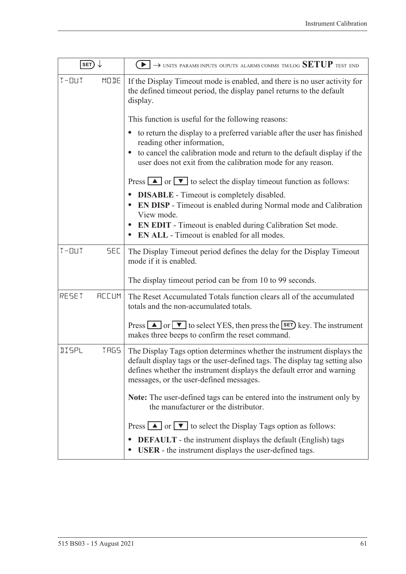| SET)         |              | $\rightarrow$ units params inputs ouputs alarms comms tm/log $\operatorname{SETUP}$ test end<br>(▶                                                                                                                                                                                          |
|--------------|--------------|---------------------------------------------------------------------------------------------------------------------------------------------------------------------------------------------------------------------------------------------------------------------------------------------|
| $T - 111T$   | MODE         | If the Display Timeout mode is enabled, and there is no user activity for<br>the defined timeout period, the display panel returns to the default<br>display.                                                                                                                               |
|              |              | This function is useful for the following reasons:                                                                                                                                                                                                                                          |
|              |              | to return the display to a preferred variable after the user has finished<br>$\bullet$<br>reading other information,<br>to cancel the calibration mode and return to the default display if the<br>user does not exit from the calibration mode for any reason.                             |
|              |              | Press $\boxed{\blacktriangle}$ or $\boxed{\blacktriangledown}$ to select the display timeout function as follows:                                                                                                                                                                           |
|              |              | <b>DISABLE</b> - Timeout is completely disabled.<br>$\bullet$<br><b>EN DISP</b> - Timeout is enabled during Normal mode and Calibration<br>View mode.<br><b>EN EDIT</b> - Timeout is enabled during Calibration Set mode.<br>$\bullet$<br><b>EN ALL</b> - Timeout is enabled for all modes. |
| $T - 111T$   | SEC          | The Display Timeout period defines the delay for the Display Timeout<br>mode if it is enabled.                                                                                                                                                                                              |
|              |              | The display timeout period can be from 10 to 99 seconds.                                                                                                                                                                                                                                    |
| RESET        | <b>REEUM</b> | The Reset Accumulated Totals function clears all of the accumulated<br>totals and the non-accumulated totals.                                                                                                                                                                               |
|              |              | Press $\Box$ or $\nabla$ to select YES, then press the <b>SET</b> ) key. The instrument<br>makes three beeps to confirm the reset command.                                                                                                                                                  |
| <b>IISPL</b> | TRG5         | The Display Tags option determines whether the instrument displays the<br>default display tags or the user-defined tags. The display tag setting also<br>defines whether the instrument displays the default error and warning<br>messages, or the user-defined messages.                   |
|              |              | Note: The user-defined tags can be entered into the instrument only by<br>the manufacturer or the distributor.                                                                                                                                                                              |
|              |              | Press $\Box$ or $\nabla$ to select the Display Tags option as follows:                                                                                                                                                                                                                      |
|              |              | <b>DEFAULT</b> - the instrument displays the default (English) tags<br>$\bullet$<br><b>USER</b> - the instrument displays the user-defined tags.<br>$\bullet$                                                                                                                               |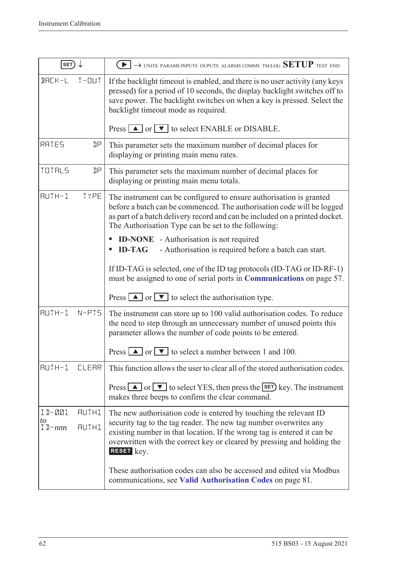| SET)                                  |                              | $\rightarrow$ units params inputs ouputs alarms comms tm/log SETUP test end                                                                                                                                                                                                                                                                                                        |
|---------------------------------------|------------------------------|------------------------------------------------------------------------------------------------------------------------------------------------------------------------------------------------------------------------------------------------------------------------------------------------------------------------------------------------------------------------------------|
| $B H E K - L$                         | $T - \Box L T$               | If the backlight timeout is enabled, and there is no user activity (any keys<br>pressed) for a period of 10 seconds, the display backlight switches off to<br>save power. The backlight switches on when a key is pressed. Select the<br>backlight timeout mode as required.                                                                                                       |
|                                       |                              | Press $\Box$ or $\nabla$ to select ENABLE or DISABLE.                                                                                                                                                                                                                                                                                                                              |
| RATES                                 | ηp                           | This parameter sets the maximum number of decimal places for<br>displaying or printing main menu rates.                                                                                                                                                                                                                                                                            |
| <b>TOTALS</b>                         | ηp                           | This parameter sets the maximum number of decimal places for<br>displaying or printing main menu totals.                                                                                                                                                                                                                                                                           |
| $H$ $H$ $H$ $-1$                      | TYPE                         | The instrument can be configured to ensure authorisation is granted<br>before a batch can be commenced. The authorisation code will be logged<br>as part of a batch delivery record and can be included on a printed docket.<br>The Authorisation Type can be set to the following:                                                                                                |
|                                       |                              | <b>ID-NONE</b> - Authorisation is not required<br><b>ID-TAG</b><br>- Authorisation is required before a batch can start.                                                                                                                                                                                                                                                           |
|                                       |                              | If ID-TAG is selected, one of the ID tag protocols (ID-TAG or ID-RF-1)<br>must be assigned to one of serial ports in Communications on page 57.                                                                                                                                                                                                                                    |
|                                       |                              | Press $\boxed{\blacktriangle}$ or $\boxed{\blacktriangledown}$ to select the authorisation type.                                                                                                                                                                                                                                                                                   |
| <b>AUTH-1 N-PT5</b>                   |                              | The instrument can store up to 100 valid authorisation codes. To reduce<br>the need to step through an unnecessary number of unused points this<br>parameter allows the number of code points to be entered.                                                                                                                                                                       |
|                                       |                              | Press $\boxed{\blacktriangle}$ or $\boxed{\blacktriangledown}$ to select a number between 1 and 100.                                                                                                                                                                                                                                                                               |
| $H$ $I$ $H$ $-1$                      | <b>CLEAR</b>                 | This function allows the user to clear all of the stored authorisation codes.                                                                                                                                                                                                                                                                                                      |
|                                       |                              | Press $\Box$ or $\nabla$ to select YES, then press the <b>SET</b> ) key. The instrument<br>makes three beeps to confirm the clear command.                                                                                                                                                                                                                                         |
| ID-001<br>to<br>$I\mathbb{J}$ - $nnn$ | <b>RUTH1</b><br><b>RUTH1</b> | The new authorisation code is entered by touching the relevant ID<br>security tag to the tag reader. The new tag number overwrites any<br>existing number in that location. If the wrong tag is entered it can be<br>overwritten with the correct key or cleared by pressing and holding the<br>RESET key.<br>These authorisation codes can also be accessed and edited via Modbus |
|                                       |                              | communications, see Valid Authorisation Codes on page 81.                                                                                                                                                                                                                                                                                                                          |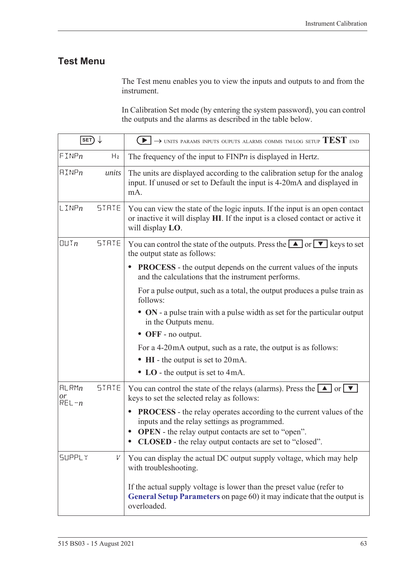### **Test Menu**

The Test menu enables you to view the inputs and outputs to and from the instrument.

In Calibration Set mode (by entering the system password), you can control the outputs and the alarms as described in the table below.

| $ $ SET $)$              |              | $\rightarrow$ units params inputs ouputs alarms comms tm/log setup $\text{TEST}$ end<br>$\rightarrow$                                                                                                                                                                   |
|--------------------------|--------------|-------------------------------------------------------------------------------------------------------------------------------------------------------------------------------------------------------------------------------------------------------------------------|
| FIMPn                    | Hz           | The frequency of the input to $FINPn$ is displayed in Hertz.                                                                                                                                                                                                            |
| $\text{HIMP}_n$          | units        | The units are displayed according to the calibration setup for the analog<br>input. If unused or set to Default the input is 4-20mA and displayed in<br>mA.                                                                                                             |
| $L$ INP $n$              | <b>STATE</b> | You can view the state of the logic inputs. If the input is an open contact<br>or inactive it will display HI. If the input is a closed contact or active it<br>will display LO.                                                                                        |
| $\Box$ $\Box$ $\Box$ $n$ | STATE        | You can control the state of the outputs. Press the $\Box$ or $\nabla$ keys to set<br>the output state as follows:                                                                                                                                                      |
|                          |              | <b>PROCESS</b> - the output depends on the current values of the inputs<br>and the calculations that the instrument performs.                                                                                                                                           |
|                          |              | For a pulse output, such as a total, the output produces a pulse train as<br>follows:                                                                                                                                                                                   |
|                          |              | • ON - a pulse train with a pulse width as set for the particular output<br>in the Outputs menu.                                                                                                                                                                        |
|                          |              | • OFF - no output.                                                                                                                                                                                                                                                      |
|                          |              | For a 4-20 mA output, such as a rate, the output is as follows:                                                                                                                                                                                                         |
|                          |              | • HI - the output is set to 20mA.                                                                                                                                                                                                                                       |
|                          |              | • LO - the output is set to 4mA.                                                                                                                                                                                                                                        |
| HLRMn<br>or<br>$REL - n$ | STATE        | You can control the state of the relays (alarms). Press the $\Box$ or $\nabla$<br>keys to set the selected relay as follows:                                                                                                                                            |
|                          |              | <b>PROCESS</b> - the relay operates according to the current values of the<br>$\bullet$<br>inputs and the relay settings as programmed.<br><b>OPEN</b> - the relay output contacts are set to "open".<br><b>CLOSED</b> - the relay output contacts are set to "closed". |
| <b>SUPPLY</b>            | V            | You can display the actual DC output supply voltage, which may help<br>with troubleshooting.                                                                                                                                                                            |
|                          |              | If the actual supply voltage is lower than the preset value (refer to<br><b>General Setup Parameters</b> on page 60) it may indicate that the output is<br>overloaded.                                                                                                  |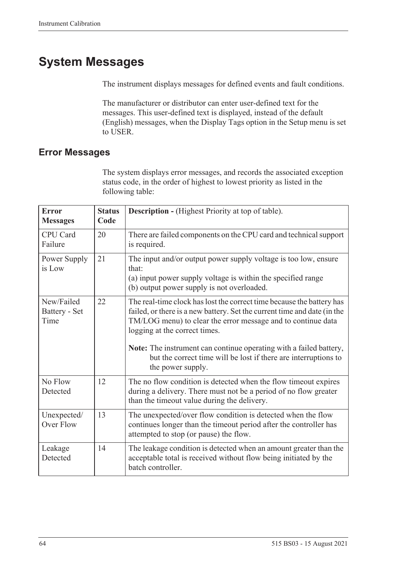# **System Messages**

The instrument displays messages for defined events and fault conditions.

The manufacturer or distributor can enter user-defined text for the messages. This user-defined text is displayed, instead of the default (English) messages, when the Display Tags option in the Setup menu is set to USER.

### <span id="page-73-1"></span>**Error Messages**

The system displays error messages, and records the associated exception status code, in the order of highest to lowest priority as listed in the following table:

<span id="page-73-0"></span>

| <b>Error</b><br><b>Messages</b>     | <b>Status</b><br>Code | <b>Description -</b> (Highest Priority at top of table).                                                                                                                                                                                                                                                                                                                                                         |  |  |  |  |  |  |  |
|-------------------------------------|-----------------------|------------------------------------------------------------------------------------------------------------------------------------------------------------------------------------------------------------------------------------------------------------------------------------------------------------------------------------------------------------------------------------------------------------------|--|--|--|--|--|--|--|
| CPU Card<br>Failure                 | 20                    | There are failed components on the CPU card and technical support<br>is required.                                                                                                                                                                                                                                                                                                                                |  |  |  |  |  |  |  |
| Power Supply<br>is Low              | 21                    | The input and/or output power supply voltage is too low, ensure<br>that:<br>(a) input power supply voltage is within the specified range<br>(b) output power supply is not overloaded.                                                                                                                                                                                                                           |  |  |  |  |  |  |  |
| New/Failed<br>Battery - Set<br>Time | 22                    | The real-time clock has lost the correct time because the battery has<br>failed, or there is a new battery. Set the current time and date (in the<br>TM/LOG menu) to clear the error message and to continue data<br>logging at the correct times.<br>Note: The instrument can continue operating with a failed battery,<br>but the correct time will be lost if there are interruptions to<br>the power supply. |  |  |  |  |  |  |  |
| No Flow<br>Detected                 | 12                    | The no flow condition is detected when the flow timeout expires<br>during a delivery. There must not be a period of no flow greater<br>than the timeout value during the delivery.                                                                                                                                                                                                                               |  |  |  |  |  |  |  |
| Unexpected/<br>Over Flow            | 13                    | The unexpected/over flow condition is detected when the flow<br>continues longer than the timeout period after the controller has<br>attempted to stop (or pause) the flow.                                                                                                                                                                                                                                      |  |  |  |  |  |  |  |
| Leakage<br>Detected                 | 14                    | The leakage condition is detected when an amount greater than the<br>acceptable total is received without flow being initiated by the<br>batch controller.                                                                                                                                                                                                                                                       |  |  |  |  |  |  |  |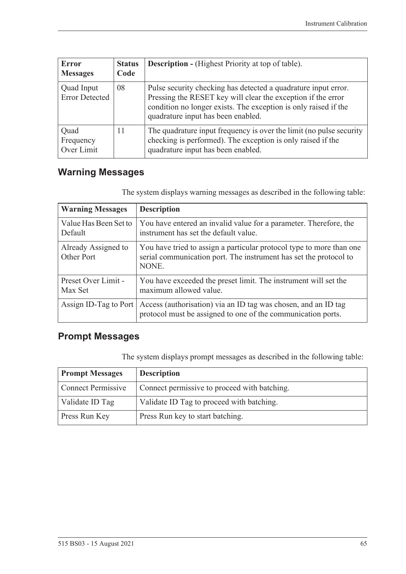| <b>Error</b><br><b>Messages</b>           | <b>Status</b><br>Code | <b>Description -</b> (Highest Priority at top of table).                                                                                                                                                                                |  |  |  |  |  |
|-------------------------------------------|-----------------------|-----------------------------------------------------------------------------------------------------------------------------------------------------------------------------------------------------------------------------------------|--|--|--|--|--|
| 08<br>Quad Input<br><b>Error Detected</b> |                       | Pulse security checking has detected a quadrature input error.<br>Pressing the RESET key will clear the exception if the error<br>condition no longer exists. The exception is only raised if the<br>quadrature input has been enabled. |  |  |  |  |  |
| Quad<br>Frequency<br>Over Limit           | 11                    | The quadrature input frequency is over the limit (no pulse security<br>checking is performed). The exception is only raised if the<br>quadrature input has been enabled.                                                                |  |  |  |  |  |

## **Warning Messages**

The system displays warning messages as described in the following table:

| <b>Warning Messages</b>           | <b>Description</b>                                                                                                                                 |  |  |  |  |  |  |
|-----------------------------------|----------------------------------------------------------------------------------------------------------------------------------------------------|--|--|--|--|--|--|
| Value Has Been Set to<br>Default  | You have entered an invalid value for a parameter. Therefore, the<br>instrument has set the default value.                                         |  |  |  |  |  |  |
| Already Assigned to<br>Other Port | You have tried to assign a particular protocol type to more than one<br>serial communication port. The instrument has set the protocol to<br>NONE. |  |  |  |  |  |  |
| Preset Over Limit -<br>Max Set    | You have exceeded the preset limit. The instrument will set the<br>maximum allowed value.                                                          |  |  |  |  |  |  |
| Assign ID-Tag to Port             | Access (authorisation) via an ID tag was chosen, and an ID tag<br>protocol must be assigned to one of the communication ports.                     |  |  |  |  |  |  |

## **Prompt Messages**

The system displays prompt messages as described in the following table:

| <b>Prompt Messages</b>    | <b>Description</b>                           |
|---------------------------|----------------------------------------------|
| <b>Connect Permissive</b> | Connect permissive to proceed with batching. |
| Validate ID Tag           | Validate ID Tag to proceed with batching.    |
| <b>Press Run Key</b>      | Press Run key to start batching.             |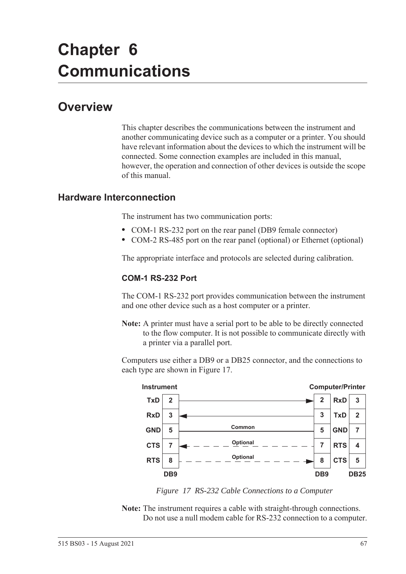# **Chapter 6 Communications**

# **Overview**

<span id="page-76-2"></span>This chapter describes the communications between the instrument and another communicating device such as a computer or a printer. You should have relevant information about the devices to which the instrument will be connected. Some connection examples are included in this manual, however, the operation and connection of other devices is outside the scope of this manual.

### **Hardware Interconnection**

<span id="page-76-3"></span>The instrument has two communication ports:

- **•** COM-1 RS-232 port on the rear panel (DB9 female connector)
- **•** COM-2 RS-485 port on the rear panel (optional) or Ethernet (optional)

The appropriate interface and protocols are selected during calibration.

### <span id="page-76-1"></span>**COM-1 RS-232 Port**

The COM-1 RS-232 port provides communication between the instrument and one other device such as a host computer or a printer.

**Note:** A printer must have a serial port to be able to be directly connected to the flow computer. It is not possible to communicate directly with a printer via a parallel port.

Computers use either a DB9 or a DB25 connector, and the connections to each type are shown in [Figure 17.](#page-76-0)



*Figure 17 RS-232 Cable Connections to a Computer*

<span id="page-76-0"></span>**Note:** The instrument requires a cable with straight-through connections. Do not use a null modem cable for RS-232 connection to a computer.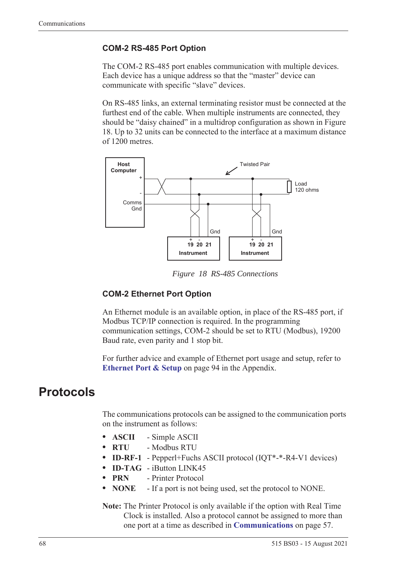### <span id="page-77-1"></span>**COM-2 RS-485 Port Option**

The COM-2 RS-485 port enables communication with multiple devices. Each device has a unique address so that the "master" device can communicate with specific "slave" devices.

On RS-485 links, an external terminating resistor must be connected at the furthest end of the cable. When multiple instruments are connected, they should be "daisy chained" in a multidrop configuration as shown in Figure [18](#page-77-0). Up to 32 units can be connected to the interface at a maximum distance of 1200 metres.



<span id="page-77-3"></span>*Figure 18 RS-485 Connections*

### <span id="page-77-0"></span>**COM-2 Ethernet Port Option**

An Ethernet module is an available option, in place of the RS-485 port, if Modbus TCP/IP connection is required. In the programming communication settings, COM-2 should be set to RTU (Modbus), 19200 Baud rate, even parity and 1 stop bit.

<span id="page-77-2"></span>For further advice and example of Ethernet port usage and setup, refer to **[Ethernet Port & Setup](#page-103-0)** on page 94 in the Appendix.

## **Protocols**

The communications protocols can be assigned to the communication ports on the instrument as follows:

- **• ASCII** Simple ASCII
- **• RTU** Modbus RTU
- **• ID-RF-1** Pepperl+Fuchs ASCII protocol (IQT\*-\*-R4-V1 devices)
- **• ID-TAG** iButton LINK45
- **• PRN** Printer Protocol
- **• NONE** If a port is not being used, set the protocol to NONE.

**Note:** The Printer Protocol is only available if the option with Real Time Clock is installed. Also a protocol cannot be assigned to more than one port at a time as described in **[Communications](#page-66-0)** on page 57.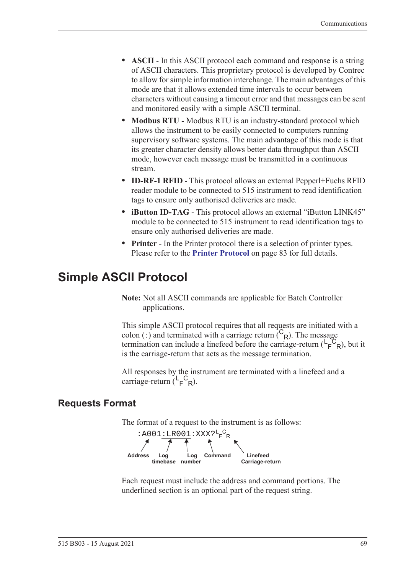- **• ASCII** In this ASCII protocol each command and response is a string of ASCII characters. This proprietary protocol is developed by Contrec to allow for simple information interchange. The main advantages of this mode are that it allows extended time intervals to occur between characters without causing a timeout error and that messages can be sent and monitored easily with a simple ASCII terminal.
- **• Modbus RTU** Modbus RTU is an industry-standard protocol which allows the instrument to be easily connected to computers running supervisory software systems. The main advantage of this mode is that its greater character density allows better data throughput than ASCII mode, however each message must be transmitted in a continuous stream.
- **• ID-RF-1 RFID**  This protocol allows an external Pepperl+Fuchs RFID reader module to be connected to 515 instrument to read identification tags to ensure only authorised deliveries are made.
- **iButton ID-TAG** This protocol allows an external "iButton LINK45" module to be connected to 515 instrument to read identification tags to ensure only authorised deliveries are made.
- <span id="page-78-0"></span>**• Printer** - In the Printer protocol there is a selection of printer types. Please refer to the **[Printer Protocol](#page-92-0)** on page 83 for full details.

## **Simple ASCII Protocol**

**Note:** Not all ASCII commands are applicable for Batch Controller applications.

This simple ASCII protocol requires that all requests are initiated with a colon (:) and terminated with a carriage return  $\binom{C_R}{R}$ . The message termination can include a linefeed before the carriage-return  $(\mathsf{L}_\mathsf{F}^\mathsf{C}_{\mathsf{R}})$ , but it is the carriage-return that acts as the message termination.

<span id="page-78-1"></span>All responses by the instrument are terminated with a linefeed and a carriage-return  $\left({}^{\mathsf{L}}{}_{\mathsf{F}}\mathsf{C}_{\mathsf{R}}\right)$ .

### **Requests Format**

The format of a request to the instrument is as follows:



Each request must include the address and command portions. The underlined section is an optional part of the request string.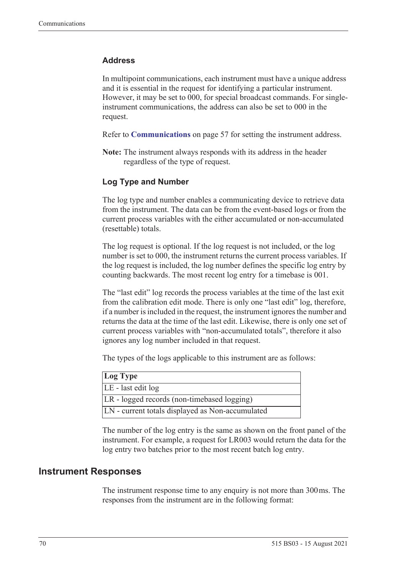### <span id="page-79-0"></span>**Address**

In multipoint communications, each instrument must have a unique address and it is essential in the request for identifying a particular instrument. However, it may be set to 000, for special broadcast commands. For singleinstrument communications, the address can also be set to 000 in the request.

Refer to **[Communications](#page-66-0)** on page 57 for setting the instrument address.

**Note:** The instrument always responds with its address in the header regardless of the type of request.

### **Log Type and Number**

The log type and number enables a communicating device to retrieve data from the instrument. The data can be from the event-based logs or from the current process variables with the either accumulated or non-accumulated (resettable) totals.

The log request is optional. If the log request is not included, or the log number is set to 000, the instrument returns the current process variables. If the log request is included, the log number defines the specific log entry by counting backwards. The most recent log entry for a timebase is 001.

The "last edit" log records the process variables at the time of the last exit from the calibration edit mode. There is only one "last edit" log, therefore, if a number is included in the request, the instrument ignores the number and returns the data at the time of the last edit. Likewise, there is only one set of current process variables with "non-accumulated totals", therefore it also ignores any log number included in that request.

The types of the logs applicable to this instrument are as follows:

| Log Type                                         |
|--------------------------------------------------|
| LE - last edit log                               |
| LR - logged records (non-timebased logging)      |
| LN - current totals displayed as Non-accumulated |

The number of the log entry is the same as shown on the front panel of the instrument. For example, a request for LR003 would return the data for the log entry two batches prior to the most recent batch log entry.

### **Instrument Responses**

<span id="page-79-1"></span>The instrument response time to any enquiry is not more than 300 ms. The responses from the instrument are in the following format: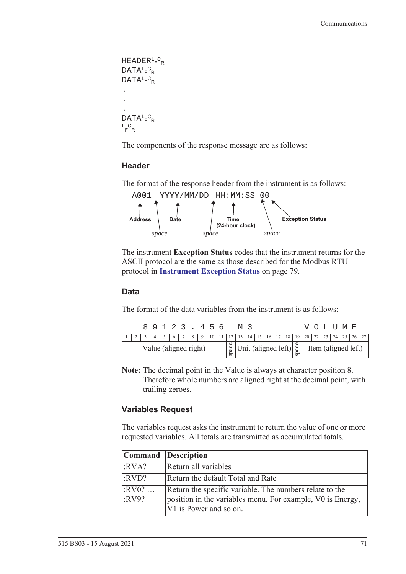```
HEADER<sup>L</sup>F<sup>C</sup>R
DATA<sup>L</sup>F<sup>C</sup>R
DATA<sup>L</sup>F<sup>C</sup>R
.
.
.
DATA<sup>L</sup>F<sup>C</sup>R
L_p^CR
```
The components of the response message are as follows:

### **Header**

The format of the response header from the instrument is as follows:



<span id="page-80-0"></span>The instrument **Exception Status** codes that the instrument returns for the ASCII protocol are the same as those described for the Modbus RTU protocol in **[Instrument Exception Status](#page-88-0)** on page 79.

### **Data**

The format of the data variables from the instrument is as follows:



**Note:** The decimal point in the Value is always at character position 8. Therefore whole numbers are aligned right at the decimal point, with trailing zeroes.

### **Variables Request**

The variables request asks the instrument to return the value of one or more requested variables. All totals are transmitted as accumulated totals.

|                                      | Command Description                                                                                                                             |
|--------------------------------------|-------------------------------------------------------------------------------------------------------------------------------------------------|
| :RVA?                                | Return all variables                                                                                                                            |
| :RVD?                                | Return the default Total and Rate                                                                                                               |
| $\vert:\mathrm{RV}0? \dots$<br>:RV9? | Return the specific variable. The numbers relate to the<br>position in the variables menu. For example, V0 is Energy,<br>V1 is Power and so on. |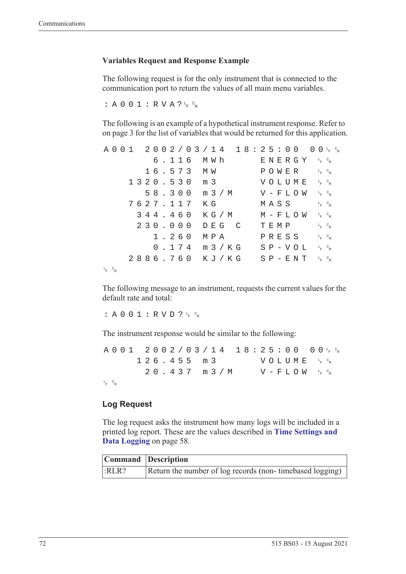#### **Variables Request and Response Example**

The following request is for the only instrument that is connected to the communication port to return the values of all main menu variables.

: A 0 0 1 : R V A ?  $L_F$   $C_R$ 

The following is an example of a hypothetical instrument response. Refer to [on page 3](#page-12-0) for the list of variables that would be returned for this application.

|             |  |  |  |         |  |                  |  |       | A001 2002/03/14 18:25:00 00 <sup>L</sup> F |  |         |  |                                               |  |                         |  |  |
|-------------|--|--|--|---------|--|------------------|--|-------|--------------------------------------------|--|---------|--|-----------------------------------------------|--|-------------------------|--|--|
|             |  |  |  |         |  | 6.116 MWh        |  |       |                                            |  |         |  | $E N E R G Y \vdash c_R$                      |  |                         |  |  |
|             |  |  |  |         |  | 16.573 MW        |  |       |                                            |  |         |  | POWER                                         |  | $L_{\rm F}$ $C_{\rm R}$ |  |  |
|             |  |  |  |         |  | 1320.530 m 3     |  |       |                                            |  |         |  | VOLUME <sup>L</sup> <sup>c</sup> <sub>R</sub> |  |                         |  |  |
|             |  |  |  |         |  |                  |  |       | 58.300 m 3 / M V - F L O W $F_{R}^{c}$     |  |         |  |                                               |  |                         |  |  |
|             |  |  |  |         |  | 7627.117 KG      |  |       |                                            |  | MASS    |  |                                               |  | $L_{F}$ $C_{R}$         |  |  |
|             |  |  |  | 344.460 |  |                  |  |       | K G / M                                    |  |         |  | M – F L O W                                   |  | $L_{F}$ $C_{R}$         |  |  |
|             |  |  |  | 230.000 |  |                  |  | DEG C |                                            |  | T E M P |  |                                               |  | $L_{F}$ $C_{R}$         |  |  |
|             |  |  |  |         |  | 1.260 MPA        |  |       |                                            |  |         |  | PRESS                                         |  | $L_{F}$ $C_{R}$         |  |  |
|             |  |  |  |         |  | $0.174$ m $3/KG$ |  |       |                                            |  |         |  | $S P - V O L$                                 |  | $L_{F}$ $C_{R}$         |  |  |
|             |  |  |  |         |  |                  |  |       | 2886.760 KJ/KG SP-ENT F <sup>C</sup> R     |  |         |  |                                               |  |                         |  |  |
| $L_F$ $C_R$ |  |  |  |         |  |                  |  |       |                                            |  |         |  |                                               |  |                         |  |  |

The following message to an instrument, requests the current values for the default rate and total:

: A 0 0 1 : R V D ?  $L_F$   $C_R$ 

The instrument response would be similar to the following:

A001 2002/03/14 18:25:00 <sup>F</sup> <sup>C</sup> R 126.455 m3 VOLUME  $F$   $\circ$ <sub>R</sub> 20.437 m3/M V-FLOW <sup>L</sup>  $F$   $\circ$ <sub>R</sub> L <sup>F</sup> <sup>C</sup> R

### **Log Request**

The log request asks the instrument how many logs will be included in a printed log report. These are the values described in **[Time Settings and](#page-67-0)  [Data Logging](#page-67-0)** on page 58.

|      | Command Description                                      |
|------|----------------------------------------------------------|
| RLR? | Return the number of log records (non-timebased logging) |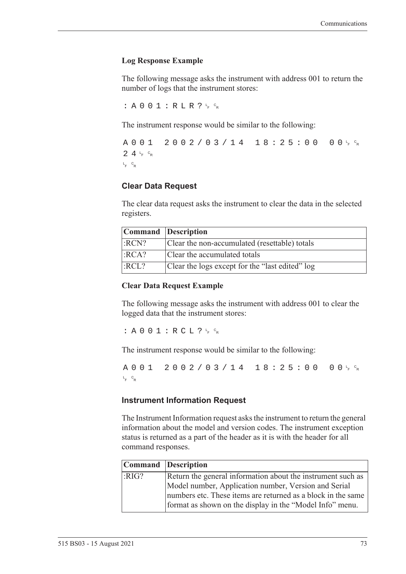#### **Log Response Example**

The following message asks the instrument with address 001 to return the number of logs that the instrument stores:

 $: A 0 0 1 : R L R ? \nvert R$ 

The instrument response would be similar to the following:

A001 2002/03/14 18:25:00 <sup>F</sup> <sup>C</sup> R  $24r$ <sub>F</sub>  $c_R$ L <sup>F</sup> <sup>C</sup> R

#### **Clear Data Request**

The clear data request asks the instrument to clear the data in the selected registers.

| Command Description |                                                 |
|---------------------|-------------------------------------------------|
| :RCN?               | Clear the non-accumulated (resettable) totals   |
| :RCA?               | Clear the accumulated totals                    |
| :RCL?               | Clear the logs except for the "last edited" log |

#### **Clear Data Request Example**

The following message asks the instrument with address 001 to clear the logged data that the instrument stores:

: A 0 0 1 : R C L ?  $L_F$   $c_R$ 

The instrument response would be similar to the following:

 $A001 2002/03/14 18:25:00$  $F$   $C_R$ L <sup>F</sup> <sup>C</sup> R

#### <span id="page-82-0"></span>**Instrument Information Request**

The Instrument Information request asks the instrument to return the general information about the model and version codes. The instrument exception status is returned as a part of the header as it is with the header for all command responses.

| Command Description |                                                              |
|---------------------|--------------------------------------------------------------|
| :RIG?               | Return the general information about the instrument such as  |
|                     | Model number, Application number, Version and Serial         |
|                     | numbers etc. These items are returned as a block in the same |
|                     | format as shown on the display in the "Model Info" menu.     |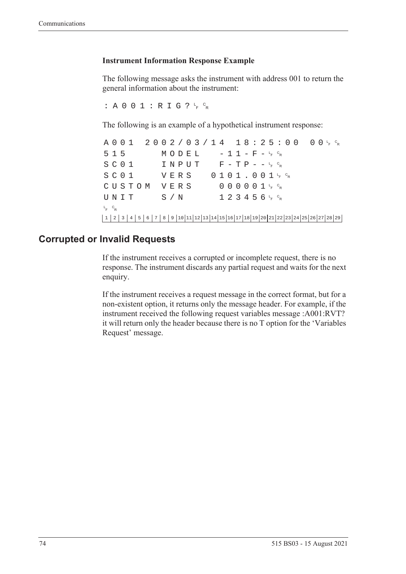#### **Instrument Information Response Example**

The following message asks the instrument with address 001 to return the general information about the instrument:

 $: A 0 0 1 : R I G ? \vdash c_R$ 

The following is an example of a hypothetical instrument response:

```
A001 2002/03/14 18:25:00
                                                      F C
R
515 MODEL -11-F-F_{R}^{c}S C O 1 I N P U T F - T P - - <sup>L</sup><sub>F</sub> <sup>C</sup>R
SC01 VERS 0101.001 L
F C
R
CUSTOM VERS
                                        F C
R
\texttt{UNIT} S/N 123456<sup>L</sup>F <sup>C</sup>R
L
F C
R
1 2 3 4 5 6 7 8 9 10 11 12 13 14 15 16 17 18 19 20 21 22 23 24 25 26 27 28 29
```
### **Corrupted or Invalid Requests**

If the instrument receives a corrupted or incomplete request, there is no response. The instrument discards any partial request and waits for the next enquiry.

If the instrument receives a request message in the correct format, but for a non-existent option, it returns only the message header. For example, if the instrument received the following request variables message :A001:RVT? it will return only the header because there is no T option for the 'Variables Request' message.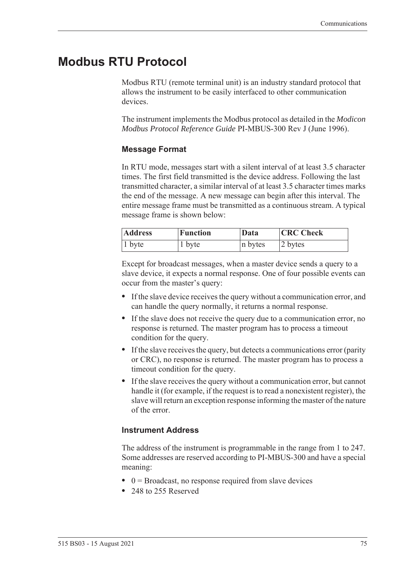# **Modbus RTU Protocol**

Modbus RTU (remote terminal unit) is an industry standard protocol that allows the instrument to be easily interfaced to other communication devices.

The instrument implements the Modbus protocol as detailed in the *Modicon Modbus Protocol Reference Guide* PI-MBUS-300 Rev J (June 1996).

### **Message Format**

In RTU mode, messages start with a silent interval of at least 3.5 character times. The first field transmitted is the device address. Following the last transmitted character, a similar interval of at least 3.5 character times marks the end of the message. A new message can begin after this interval. The entire message frame must be transmitted as a continuous stream. A typical message frame is shown below:

| <b>Address</b> | <b>Function</b> | Data    | <b>CRC</b> Check |  |  |  |  |
|----------------|-----------------|---------|------------------|--|--|--|--|
| $ 1$ byte      | 1 byte          | n bytes | 2 bytes          |  |  |  |  |

Except for broadcast messages, when a master device sends a query to a slave device, it expects a normal response. One of four possible events can occur from the master's query:

- **•** If the slave device receives the query without a communication error, and can handle the query normally, it returns a normal response.
- **•** If the slave does not receive the query due to a communication error, no response is returned. The master program has to process a timeout condition for the query.
- **•** If the slave receives the query, but detects a communications error (parity or CRC), no response is returned. The master program has to process a timeout condition for the query.
- **•** If the slave receives the query without a communication error, but cannot handle it (for example, if the request is to read a nonexistent register), the slave will return an exception response informing the master of the nature of the error.

### **Instrument Address**

The address of the instrument is programmable in the range from 1 to 247. Some addresses are reserved according to PI-MBUS-300 and have a special meaning:

- 0 = Broadcast, no response required from slave devices
- **•** 248 to 255 Reserved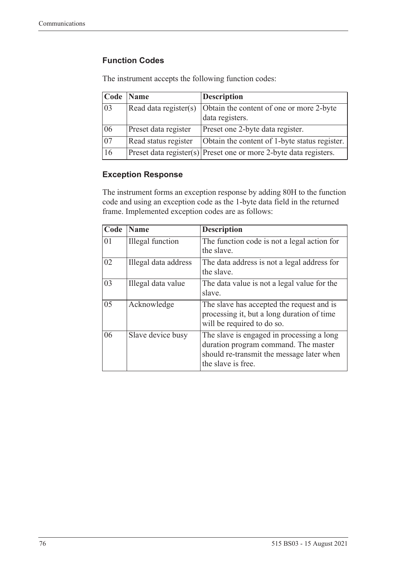### **Function Codes**

| Code            | <b>Name</b>           | <b>Description</b>                                                    |
|-----------------|-----------------------|-----------------------------------------------------------------------|
| 03              | Read data register(s) | Obtain the content of one or more 2-byte<br>data registers.           |
| 06              | Preset data register  | Preset one 2-byte data register.                                      |
| $\overline{07}$ | Read status register  | Obtain the content of 1-byte status register.                         |
| 16              |                       | $ $ Preset data register(s) Preset one or more 2-byte data registers. |

The instrument accepts the following function codes:

### **Exception Response**

The instrument forms an exception response by adding 80H to the function code and using an exception code as the 1-byte data field in the returned frame. Implemented exception codes are as follows:

| Code | <b>Name</b>             | <b>Description</b>                                                                                                                                   |
|------|-------------------------|------------------------------------------------------------------------------------------------------------------------------------------------------|
| 01   | <b>Illegal</b> function | The function code is not a legal action for<br>the slave.                                                                                            |
| 02   | Illegal data address    | The data address is not a legal address for<br>the slave.                                                                                            |
| 03   | Illegal data value      | The data value is not a legal value for the<br>slave.                                                                                                |
| 05   | Acknowledge             | The slave has accepted the request and is<br>processing it, but a long duration of time<br>will be required to do so.                                |
| 06   | Slave device busy       | The slave is engaged in processing a long<br>duration program command. The master<br>should re-transmit the message later when<br>the slave is free. |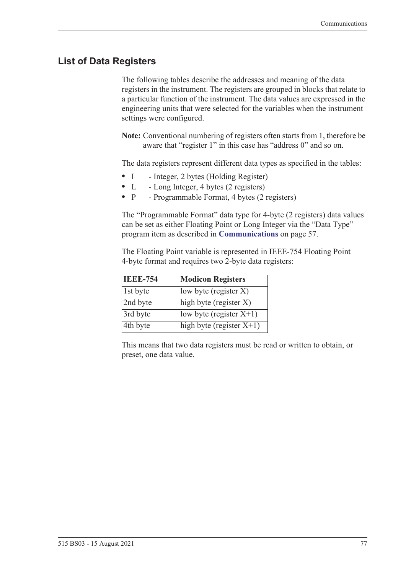### **List of Data Registers**

The following tables describe the addresses and meaning of the data registers in the instrument. The registers are grouped in blocks that relate to a particular function of the instrument. The data values are expressed in the engineering units that were selected for the variables when the instrument settings were configured.

**Note:** Conventional numbering of registers often starts from 1, therefore be aware that "register 1" in this case has "address 0" and so on.

The data registers represent different data types as specified in the tables:

- I Integer, 2 bytes (Holding Register)
- L Long Integer, 4 bytes (2 registers)
- P Programmable Format, 4 bytes (2 registers)

The "Programmable Format" data type for 4-byte (2 registers) data values can be set as either Floating Point or Long Integer via the "Data Type" program item as described in **[Communications](#page-66-0)** on page 57.

The Floating Point variable is represented in IEEE-754 Floating Point 4-byte format and requires two 2-byte data registers:

| <b>IEEE-754</b> | <b>Modicon Registers</b>    |
|-----------------|-----------------------------|
| 1st byte        | low byte (register $X$ )    |
| 2nd byte        | high byte (register $X$ )   |
| 3rd byte        | low byte (register $X+1$ )  |
| 4th byte        | high byte (register $X+1$ ) |

This means that two data registers must be read or written to obtain, or preset, one data value.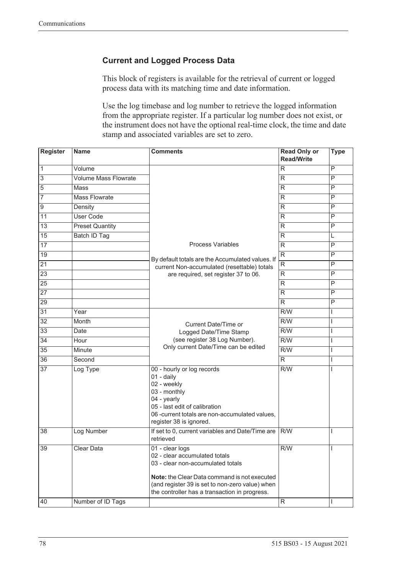### **Current and Logged Process Data**

This block of registers is available for the retrieval of current or logged process data with its matching time and date information.

Use the log timebase and log number to retrieve the logged information from the appropriate register. If a particular log number does not exist, or the instrument does not have the optional real-time clock, the time and date stamp and associated variables are set to zero.

| <b>Register</b> | <b>Name</b>                 | <b>Comments</b>                                                                                                                                                                                                                                  | <b>Read Only or</b><br><b>Read/Write</b> | <b>Type</b>    |
|-----------------|-----------------------------|--------------------------------------------------------------------------------------------------------------------------------------------------------------------------------------------------------------------------------------------------|------------------------------------------|----------------|
| $\mathbf{1}$    | Volume                      |                                                                                                                                                                                                                                                  | R                                        | P              |
| $\overline{3}$  | <b>Volume Mass Flowrate</b> |                                                                                                                                                                                                                                                  | $\mathsf{R}$                             | P              |
| 5               | Mass                        |                                                                                                                                                                                                                                                  | R                                        | P              |
| $\overline{7}$  | <b>Mass Flowrate</b>        |                                                                                                                                                                                                                                                  | $\mathsf{R}$                             | P              |
| $9$             | Density                     |                                                                                                                                                                                                                                                  | R                                        | $\overline{P}$ |
| 11              | <b>User Code</b>            |                                                                                                                                                                                                                                                  | R                                        | P              |
| 13              | <b>Preset Quantity</b>      |                                                                                                                                                                                                                                                  | $\mathsf{R}$                             | $\mathsf{P}$   |
| 15              | Batch ID Tag                |                                                                                                                                                                                                                                                  | R                                        | L              |
| 17              |                             | <b>Process Variables</b>                                                                                                                                                                                                                         | R                                        | P              |
| 19              |                             | By default totals are the Accumulated values. If                                                                                                                                                                                                 | $\mathsf R$                              | P              |
| $\overline{21}$ |                             | current Non-accumulated (resettable) totals                                                                                                                                                                                                      | $\overline{R}$                           | $\overline{P}$ |
| 23              |                             | are required, set register 37 to 06.                                                                                                                                                                                                             | R                                        | P              |
| 25              |                             |                                                                                                                                                                                                                                                  | $\mathsf{R}$                             | P              |
| $\overline{27}$ |                             |                                                                                                                                                                                                                                                  | R                                        | P              |
| 29              |                             |                                                                                                                                                                                                                                                  | R                                        | P              |
| 31              | Year                        |                                                                                                                                                                                                                                                  | R/W                                      | T              |
| $\overline{32}$ | Month                       | Current Date/Time or                                                                                                                                                                                                                             | R/W                                      | I              |
| 33              | Date                        | Logged Date/Time Stamp                                                                                                                                                                                                                           | R/W                                      | ı              |
| 34              | Hour                        | (see register 38 Log Number).                                                                                                                                                                                                                    | R/W                                      | T              |
| $\overline{35}$ | Minute                      | Only current Date/Time can be edited                                                                                                                                                                                                             | R/W                                      | I              |
| 36              | Second                      |                                                                                                                                                                                                                                                  | R                                        | I              |
| 37              | Log Type                    | 00 - hourly or log records<br>$01 - \text{daily}$<br>02 - weekly<br>03 - monthly<br>04 - yearly<br>05 - last edit of calibration<br>06-current totals are non-accumulated values,<br>register 38 is ignored.                                     | R/W                                      | I              |
| 38              | Log Number                  | If set to 0, current variables and Date/Time are<br>retrieved                                                                                                                                                                                    | R/W                                      | I              |
| $\overline{39}$ | Clear Data                  | 01 - clear logs<br>02 - clear accumulated totals<br>03 - clear non-accumulated totals<br><b>Note:</b> the Clear Data command is not executed<br>(and register 39 is set to non-zero value) when<br>the controller has a transaction in progress. | R/W                                      | I              |
| 40              | Number of ID Tags           |                                                                                                                                                                                                                                                  | $\mathsf R$                              |                |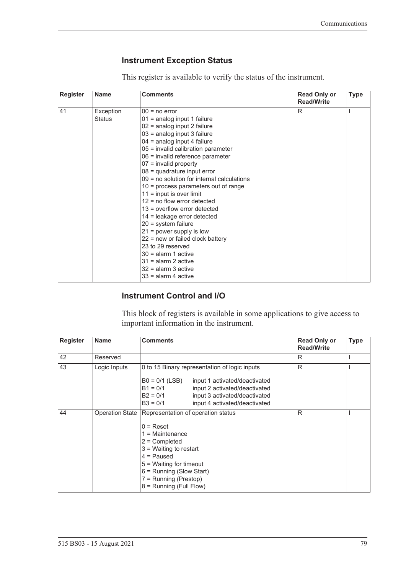### <span id="page-88-1"></span><span id="page-88-0"></span>**Instrument Exception Status**

This register is available to verify the status of the instrument.

| <b>Register</b> | <b>Name</b>   | <b>Comments</b>                              | <b>Read Only or</b><br><b>Read/Write</b> | <b>Type</b> |
|-----------------|---------------|----------------------------------------------|------------------------------------------|-------------|
| 41<br>Exception |               | $00 = no error$                              | R                                        |             |
|                 | <b>Status</b> | $01$ = analog input 1 failure                |                                          |             |
|                 |               | 02 = analog input 2 failure                  |                                          |             |
|                 |               | 03 = analog input 3 failure                  |                                          |             |
|                 |               | 04 = analog input 4 failure                  |                                          |             |
|                 |               | 05 = invalid calibration parameter           |                                          |             |
|                 |               | 06 = invalid reference parameter             |                                          |             |
|                 |               | $07$ = invalid property                      |                                          |             |
|                 |               | $08$ = quadrature input error                |                                          |             |
|                 |               | $09$ = no solution for internal calculations |                                          |             |
|                 |               | $10$ = process parameters out of range       |                                          |             |
|                 |               | $11 =$ input is over limit                   |                                          |             |
|                 |               | $12$ = no flow error detected                |                                          |             |
|                 |               | $13$ = overflow error detected               |                                          |             |
|                 |               | $14$ = leakage error detected                |                                          |             |
|                 |               | $20 =$ system failure                        |                                          |             |
|                 |               | $21$ = power supply is low                   |                                          |             |
|                 |               | $22$ = new or failed clock battery           |                                          |             |
|                 |               | 23 to 29 reserved                            |                                          |             |
|                 |               | $30 =$ alarm 1 active                        |                                          |             |
|                 |               | $31$ = alarm 2 active                        |                                          |             |
|                 |               | $32$ = alarm 3 active                        |                                          |             |
|                 |               | $33$ = alarm 4 active                        |                                          |             |

### **Instrument Control and I/O**

This block of registers is available in some applications to give access to important information in the instrument.

| <b>Register</b> | <b>Name</b>  | <b>Comments</b>                                                                                                                                                                                                                                                      | <b>Read Only or</b><br><b>Read/Write</b> | <b>Type</b> |
|-----------------|--------------|----------------------------------------------------------------------------------------------------------------------------------------------------------------------------------------------------------------------------------------------------------------------|------------------------------------------|-------------|
| 42              | Reserved     |                                                                                                                                                                                                                                                                      | R                                        |             |
| 43              | Logic Inputs | 0 to 15 Binary representation of logic inputs<br>$B0 = 0/1$ (LSB)<br>input 1 activated/deactivated<br>$B1 = 0/1$<br>input 2 activated/deactivated<br>$B2 = 0/1$<br>input 3 activated/deactivated<br>$B3 = 0/1$<br>input 4 activated/deactivated                      | R                                        |             |
| 44              |              | Operation State   Representation of operation status<br>$0 =$ Reset<br>1 = Maintenance<br>$2 =$ Completed<br>$3$ = Waiting to restart<br>$4 =$ Paused<br>$5 =$ Waiting for timeout<br>$6$ = Running (Slow Start)<br>7 = Running (Prestop)<br>8 = Running (Full Flow) | R                                        |             |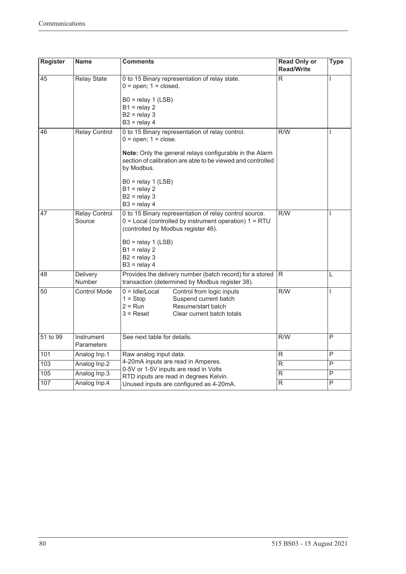| <b>Register</b> | <b>Name</b>                     | <b>Comments</b>                                                                                                                                                                                                                                                                                   | <b>Read Only or</b><br><b>Read/Write</b> | <b>Type</b>    |
|-----------------|---------------------------------|---------------------------------------------------------------------------------------------------------------------------------------------------------------------------------------------------------------------------------------------------------------------------------------------------|------------------------------------------|----------------|
| 45              | <b>Relay State</b>              | 0 to 15 Binary representation of relay state.<br>$0 =$ open; $1 =$ closed.<br>$B0 =$ relay 1 (LSB)<br>$B1 =$ relay 2<br>$B2 =$ relay 3<br>$B3 =$ relay 4                                                                                                                                          | $\overline{\mathsf{R}}$                  | $\overline{1}$ |
| 46              | <b>Relay Control</b>            | 0 to 15 Binary representation of relay control.<br>$0 =$ open; $1 =$ close.<br>Note: Only the general relays configurable in the Alarm<br>section of calibration are able to be viewed and controlled<br>by Modbus.<br>$B0 =$ relay 1 (LSB)<br>$B1 =$ relay 2<br>$B2 =$ relay 3<br>$B3 =$ relay 4 | R/W                                      | I              |
| 47              | <b>Relay Control</b><br>Source  | 0 to 15 Binary representation of relay control source.<br>$0 =$ Local (controlled by instrument operation) $1 = RTU$<br>(controlled by Modbus register 46).<br>$B0 =$ relay 1 (LSB)<br>$B1$ = relay 2<br>$B2 =$ relay 3<br>$B3 =$ relay 4                                                         | R/W                                      | T              |
| 48              | Delivery<br>Number              | Provides the delivery number (batch record) for a stored<br>transaction (determined by Modbus register 38).                                                                                                                                                                                       | R.                                       | L              |
| 50              | <b>Control Mode</b>             | $0 =$ Idle/Local<br>Control from logic inputs<br>$1 = Stop$<br>Suspend current batch<br>Resume/start batch<br>$2 = Run$<br>$3 =$ Reset<br>Clear current batch totals                                                                                                                              | R/W                                      | $\overline{1}$ |
| 51 to 99        | Instrument<br><b>Parameters</b> | See next table for details.                                                                                                                                                                                                                                                                       | R/W                                      | P              |
| 101             | Analog Inp.1                    | Raw analog input data.                                                                                                                                                                                                                                                                            | $\overline{R}$                           | $\overline{P}$ |
| 103             | Analog Inp.2                    | 4-20mA inputs are read in Amperes.                                                                                                                                                                                                                                                                | $\overline{R}$                           | P              |
| 105             | Analog Inp.3                    | 0-5V or 1-5V inputs are read in Volts<br>RTD inputs are read in degrees Kelvin.                                                                                                                                                                                                                   | R                                        | $\overline{P}$ |
| 107             | Analog Inp.4                    | Unused inputs are configured as 4-20mA.                                                                                                                                                                                                                                                           | $\overline{\mathsf{R}}$                  | P              |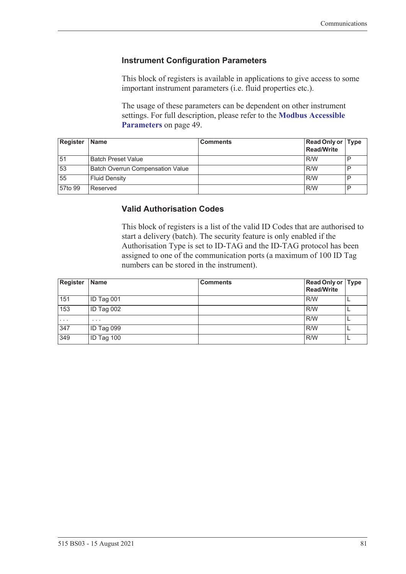### **Instrument Configuration Parameters**

This block of registers is available in applications to give access to some important instrument parameters (i.e. fluid properties etc.).

The usage of these parameters can be dependent on other instrument settings. For full description, please refer to the **[Modbus Accessible](#page-58-0)  [Parameters](#page-58-0)** on page 49.

| <b>Register</b> | <b>Name</b>                             | <b>Comments</b> | Read Only or Type<br><b>Read/Write</b> |  |
|-----------------|-----------------------------------------|-----------------|----------------------------------------|--|
| 51              | <b>Batch Preset Value</b>               |                 | R/W                                    |  |
| 53              | <b>Batch Overrun Compensation Value</b> |                 | R/W                                    |  |
| 55              | <b>Fluid Density</b>                    |                 | R/W                                    |  |
| 57to 99         | Reserved                                |                 | R/W                                    |  |

### <span id="page-90-0"></span>**Valid Authorisation Codes**

This block of registers is a list of the valid ID Codes that are authorised to start a delivery (batch). The security feature is only enabled if the Authorisation Type is set to ID-TAG and the ID-TAG protocol has been assigned to one of the communication ports (a maximum of 100 ID Tag numbers can be stored in the instrument).

| <b>Register</b> | <b>Name</b> | <b>Comments</b> | Read Only or Type<br><b>Read/Write</b> |  |
|-----------------|-------------|-----------------|----------------------------------------|--|
| 151             | ID Tag 001  |                 | R/W                                    |  |
| 153             | ID Tag 002  |                 | R/W                                    |  |
| $\cdots$        | .           |                 | R/W                                    |  |
| 347             | ID Tag 099  |                 | R/W                                    |  |
| 349             | ID Tag 100  |                 | R/W                                    |  |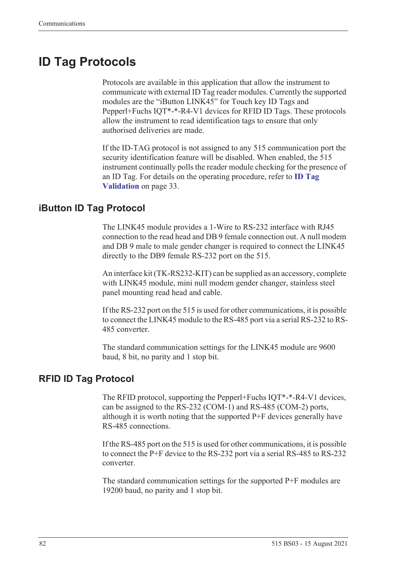# **ID Tag Protocols**

<span id="page-91-1"></span>Protocols are available in this application that allow the instrument to communicate with external ID Tag reader modules. Currently the supported modules are the "iButton LINK45" for Touch key ID Tags and Pepperl+Fuchs IQT\*-\*-R4-V1 devices for RFID ID Tags. These protocols allow the instrument to read identification tags to ensure that only authorised deliveries are made.

If the ID-TAG protocol is not assigned to any 515 communication port the security identification feature will be disabled. When enabled, the 515 instrument continually polls the reader module checking for the presence of an ID Tag. For details on the operating procedure, refer to **[ID Tag](#page-42-0)  Validation** [on page 33.](#page-42-0)

### **iButton ID Tag Protocol**

<span id="page-91-0"></span>The LINK45 module provides a 1-Wire to RS-232 interface with RJ45 connection to the read head and DB 9 female connection out. A null modem and DB 9 male to male gender changer is required to connect the LINK45 directly to the DB9 female RS-232 port on the 515.

An interface kit (TK-RS232-KIT) can be supplied as an accessory, complete with LINK45 module, mini null modem gender changer, stainless steel panel mounting read head and cable.

If the RS-232 port on the 515 is used for other communications, it is possible to connect the LINK45 module to the RS-485 port via a serial RS-232 to RS-485 converter.

The standard communication settings for the LINK45 module are 9600 baud, 8 bit, no parity and 1 stop bit.

### **RFID ID Tag Protocol**

The RFID protocol, supporting the Pepperl+Fuchs IQT\*-\*-R4-V1 devices, can be assigned to the RS-232 (COM-1) and RS-485 (COM-2) ports, although it is worth noting that the supported P+F devices generally have RS-485 connections.

If the RS-485 port on the 515 is used for other communications, it is possible to connect the P+F device to the RS-232 port via a serial RS-485 to RS-232 converter.

The standard communication settings for the supported P+F modules are 19200 baud, no parity and 1 stop bit.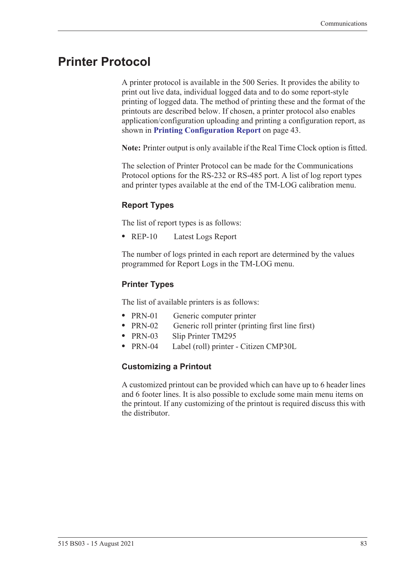# <span id="page-92-0"></span>**Printer Protocol**

A printer protocol is available in the 500 Series. It provides the ability to print out live data, individual logged data and to do some report-style printing of logged data. The method of printing these and the format of the printouts are described below. If chosen, a printer protocol also enables application/configuration uploading and printing a configuration report, as shown in **[Printing Configuration Report](#page-52-0)** on page 43.

**Note:** Printer output is only available if the Real Time Clock option is fitted.

The selection of Printer Protocol can be made for the Communications Protocol options for the RS-232 or RS-485 port. A list of log report types and printer types available at the end of the TM-LOG calibration menu.

### **Report Types**

The list of report types is as follows:

**•** REP-10 Latest Logs Report

The number of logs printed in each report are determined by the values programmed for Report Logs in the TM-LOG menu.

### **Printer Types**

The list of available printers is as follows:

- PRN-01 Generic computer printer
- PRN-02 Generic roll printer (printing first line first)
- **•** PRN-03 Slip Printer TM295
- **•** PRN-04 Label (roll) printer Citizen CMP30L

### <span id="page-92-1"></span>**Customizing a Printout**

A customized printout can be provided which can have up to 6 header lines and 6 footer lines. It is also possible to exclude some main menu items on the printout. If any customizing of the printout is required discuss this with the distributor.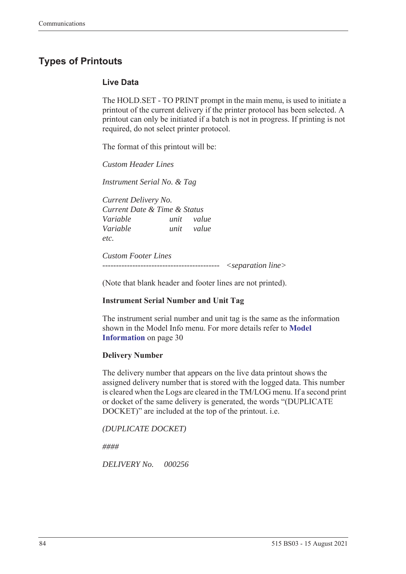### **Types of Printouts**

### **Live Data**

The HOLD.SET - TO PRINT prompt in the main menu, is used to initiate a printout of the current delivery if the printer protocol has been selected. A printout can only be initiated if a batch is not in progress. If printing is not required, do not select printer protocol.

The format of this printout will be:

*Custom Header Lines*

*Instrument Serial No. & Tag*

*Current Delivery No. Current Date & Time & Status Variable unit value Variable unit value etc.*

*Custom Footer Lines ------------------------------------------- <separation line>*

(Note that blank header and footer lines are not printed).

#### **Instrument Serial Number and Unit Tag**

The instrument serial number and unit tag is the same as the information shown in the Model Info menu. For more details refer to **[Model](#page-39-0)  [Information](#page-39-0)** on page 30

#### **Delivery Number**

The delivery number that appears on the live data printout shows the assigned delivery number that is stored with the logged data. This number is cleared when the Logs are cleared in the TM/LOG menu. If a second print or docket of the same delivery is generated, the words "(DUPLICATE DOCKET)" are included at the top of the printout. i.e.

*(DUPLICATE DOCKET)*

*####*

*DELIVERY No. 000256*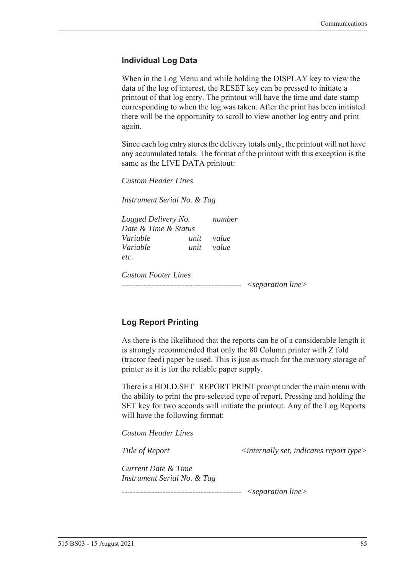#### **Individual Log Data**

When in the Log Menu and while holding the DISPLAY key to view the data of the log of interest, the RESET key can be pressed to initiate a printout of that log entry. The printout will have the time and date stamp corresponding to when the log was taken. After the print has been initiated there will be the opportunity to scroll to view another log entry and print again.

Since each log entry stores the delivery totals only, the printout will not have any accumulated totals. The format of the printout with this exception is the same as the LIVE DATA printout:

*Custom Header Lines*

*Instrument Serial No. & Tag*

| Logged Delivery No.        |      | number     |
|----------------------------|------|------------|
| Date & Time & Status       |      |            |
| Variable                   | unit | value      |
| Variable                   |      | unit value |
| etc.                       |      |            |
| <b>Custom Footer Lines</b> |      |            |

*-------------------------------------------- <separation line>*

### **Log Report Printing**

As there is the likelihood that the reports can be of a considerable length it is strongly recommended that only the 80 Column printer with Z fold (tractor feed) paper be used. This is just as much for the memory storage of printer as it is for the reliable paper supply.

There is a HOLD.SET REPORT PRINT prompt under the main menu with the ability to print the pre-selected type of report. Pressing and holding the SET key for two seconds will initiate the printout. Any of the Log Reports will have the following format:

*Custom Header Lines*

*Title of Report*  $\langle$  *internally set, indicates report type>* 

*Current Date & Time Instrument Serial No. & Tag*

*-------------------------------------------- <separation line>*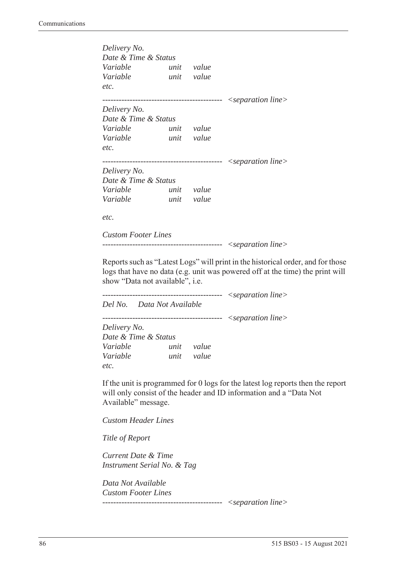*Delivery No. Date & Time & Status Variable unit value Variable unit value etc. -------------------------------------------- <separation line> Delivery No. Date & Time & Status Variable unit value Variable unit value etc. -------------------------------------------- <separation line> Delivery No. Date & Time & Status Variable unit value Variable unit value etc. Custom Footer Lines -------------------------------------------- <separation line>* Reports such as "Latest Logs" will print in the historical order, and for those logs that have no data (e.g. unit was powered off at the time) the print will show "Data not available", i.e.

*-------------------------------------------- <separation line> Del No. Data Not Available -------------------------------------------- <separation line> Delivery No. Date & Time & Status Variable unit value Variable unit value etc.*

If the unit is programmed for 0 logs for the latest log reports then the report will only consist of the header and ID information and a "Data Not Available" message.

*Custom Header Lines*

*Title of Report*

*Current Date & Time Instrument Serial No. & Tag*

*Data Not Available Custom Footer Lines -------------------------------------------- <separation line>*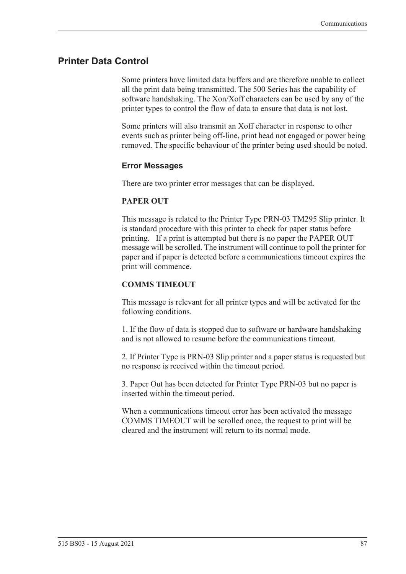### **Printer Data Control**

Some printers have limited data buffers and are therefore unable to collect all the print data being transmitted. The 500 Series has the capability of software handshaking. The Xon/Xoff characters can be used by any of the printer types to control the flow of data to ensure that data is not lost.

Some printers will also transmit an Xoff character in response to other events such as printer being off-line, print head not engaged or power being removed. The specific behaviour of the printer being used should be noted.

### **Error Messages**

There are two printer error messages that can be displayed.

#### **PAPER OUT**

This message is related to the Printer Type PRN-03 TM295 Slip printer. It is standard procedure with this printer to check for paper status before printing. If a print is attempted but there is no paper the PAPER OUT message will be scrolled. The instrument will continue to poll the printer for paper and if paper is detected before a communications timeout expires the print will commence.

#### **COMMS TIMEOUT**

This message is relevant for all printer types and will be activated for the following conditions.

1. If the flow of data is stopped due to software or hardware handshaking and is not allowed to resume before the communications timeout.

2. If Printer Type is PRN-03 Slip printer and a paper status is requested but no response is received within the timeout period.

3. Paper Out has been detected for Printer Type PRN-03 but no paper is inserted within the timeout period.

When a communications timeout error has been activated the message COMMS TIMEOUT will be scrolled once, the request to print will be cleared and the instrument will return to its normal mode.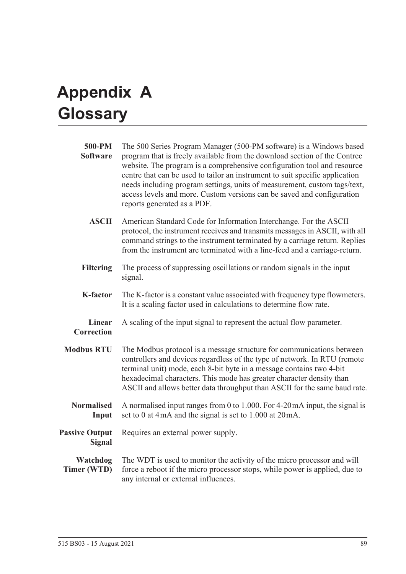# <span id="page-98-1"></span>**Appendix A Glossary**

<span id="page-98-0"></span>

| 500-PM<br><b>Software</b>              | The 500 Series Program Manager (500-PM software) is a Windows based<br>program that is freely available from the download section of the Contrec<br>website. The program is a comprehensive configuration tool and resource<br>centre that can be used to tailor an instrument to suit specific application<br>needs including program settings, units of measurement, custom tags/text,<br>access levels and more. Custom versions can be saved and configuration<br>reports generated as a PDF. |
|----------------------------------------|---------------------------------------------------------------------------------------------------------------------------------------------------------------------------------------------------------------------------------------------------------------------------------------------------------------------------------------------------------------------------------------------------------------------------------------------------------------------------------------------------|
| <b>ASCII</b>                           | American Standard Code for Information Interchange. For the ASCII<br>protocol, the instrument receives and transmits messages in ASCII, with all<br>command strings to the instrument terminated by a carriage return. Replies<br>from the instrument are terminated with a line-feed and a carriage-return.                                                                                                                                                                                      |
| <b>Filtering</b>                       | The process of suppressing oscillations or random signals in the input<br>signal.                                                                                                                                                                                                                                                                                                                                                                                                                 |
| <b>K-factor</b>                        | The K-factor is a constant value associated with frequency type flowmeters.<br>It is a scaling factor used in calculations to determine flow rate.                                                                                                                                                                                                                                                                                                                                                |
| <b>Linear</b><br>Correction            | A scaling of the input signal to represent the actual flow parameter.                                                                                                                                                                                                                                                                                                                                                                                                                             |
| <b>Modbus RTU</b>                      | The Modbus protocol is a message structure for communications between<br>controllers and devices regardless of the type of network. In RTU (remote<br>terminal unit) mode, each 8-bit byte in a message contains two 4-bit<br>hexadecimal characters. This mode has greater character density than<br>ASCII and allows better data throughput than ASCII for the same baud rate.                                                                                                                  |
| <b>Normalised</b><br>Input             | A normalised input ranges from 0 to 1.000. For $4-20$ mA input, the signal is<br>set to 0 at 4mA and the signal is set to 1.000 at 20mA.                                                                                                                                                                                                                                                                                                                                                          |
| <b>Passive Output</b><br><b>Signal</b> | Requires an external power supply.                                                                                                                                                                                                                                                                                                                                                                                                                                                                |
| Watchdog<br>Timer (WTD)                | The WDT is used to monitor the activity of the micro processor and will<br>force a reboot if the micro processor stops, while power is applied, due to<br>any internal or external influences.                                                                                                                                                                                                                                                                                                    |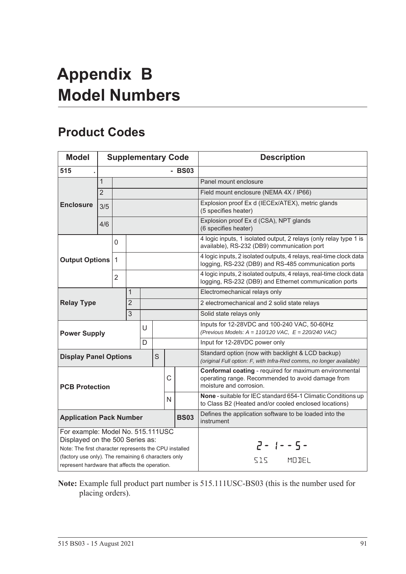# **Appendix B Model Numbers**

# <span id="page-100-0"></span>**Product Codes**

| <b>Model</b>                                                                                                                                                                                                                            | <b>Supplementary Code</b> |                |                |                                                                                                                        |   | <b>Description</b> |                                                                      |                                                                                                                                        |
|-----------------------------------------------------------------------------------------------------------------------------------------------------------------------------------------------------------------------------------------|---------------------------|----------------|----------------|------------------------------------------------------------------------------------------------------------------------|---|--------------------|----------------------------------------------------------------------|----------------------------------------------------------------------------------------------------------------------------------------|
| 515                                                                                                                                                                                                                                     |                           |                |                |                                                                                                                        |   |                    | - BS03                                                               |                                                                                                                                        |
|                                                                                                                                                                                                                                         | $\mathbf{1}$              |                |                |                                                                                                                        |   |                    |                                                                      | Panel mount enclosure                                                                                                                  |
|                                                                                                                                                                                                                                         | $\overline{2}$            |                |                |                                                                                                                        |   |                    |                                                                      | Field mount enclosure (NEMA 4X / IP66)                                                                                                 |
| <b>Enclosure</b>                                                                                                                                                                                                                        | 3/5                       |                |                |                                                                                                                        |   |                    |                                                                      | Explosion proof Ex d (IECEx/ATEX), metric glands<br>(5 specifies heater)                                                               |
|                                                                                                                                                                                                                                         | 4/6                       |                |                |                                                                                                                        |   |                    |                                                                      | Explosion proof Ex d (CSA), NPT glands<br>(6 specifies heater)                                                                         |
|                                                                                                                                                                                                                                         |                           | 0              |                |                                                                                                                        |   |                    |                                                                      | 4 logic inputs, 1 isolated output, 2 relays (only relay type 1 is<br>available), RS-232 (DB9) communication port                       |
| <b>Output Options</b>                                                                                                                                                                                                                   |                           | $\mathbf{1}$   |                |                                                                                                                        |   |                    |                                                                      | 4 logic inputs, 2 isolated outputs, 4 relays, real-time clock data<br>logging, RS-232 (DB9) and RS-485 communication ports             |
|                                                                                                                                                                                                                                         |                           | $\overline{2}$ |                |                                                                                                                        |   |                    |                                                                      | 4 logic inputs, 2 isolated outputs, 4 relays, real-time clock data<br>logging, RS-232 (DB9) and Ethernet communication ports           |
|                                                                                                                                                                                                                                         |                           |                | 1              |                                                                                                                        |   |                    |                                                                      | Electromechanical relays only                                                                                                          |
| <b>Relay Type</b>                                                                                                                                                                                                                       |                           | $\overline{2}$ |                |                                                                                                                        |   |                    | 2 electromechanical and 2 solid state relays                         |                                                                                                                                        |
|                                                                                                                                                                                                                                         |                           |                | $\overline{3}$ |                                                                                                                        |   |                    |                                                                      | Solid state relays only                                                                                                                |
| <b>Power Supply</b>                                                                                                                                                                                                                     |                           |                |                | U                                                                                                                      |   |                    |                                                                      | Inputs for 12-28VDC and 100-240 VAC, 50-60Hz<br>(Previous Models: $A = 110/120$ VAC, $E = 220/240$ VAC)                                |
|                                                                                                                                                                                                                                         |                           |                |                | D                                                                                                                      |   |                    |                                                                      | Input for 12-28VDC power only                                                                                                          |
| <b>Display Panel Options</b>                                                                                                                                                                                                            |                           |                |                |                                                                                                                        | S |                    |                                                                      | Standard option (now with backlight & LCD backup)<br>(original Full option: F, with Infra-Red comms, no longer available)              |
| <b>PCB Protection</b>                                                                                                                                                                                                                   |                           |                |                |                                                                                                                        |   | C                  |                                                                      | Conformal coating - required for maximum environmental<br>operating range. Recommended to avoid damage from<br>moisture and corrosion. |
|                                                                                                                                                                                                                                         | N                         |                |                | None - suitable for IEC standard 654-1 Climatic Conditions up<br>to Class B2 (Heated and/or cooled enclosed locations) |   |                    |                                                                      |                                                                                                                                        |
| <b>BS03</b><br><b>Application Pack Number</b>                                                                                                                                                                                           |                           |                |                |                                                                                                                        |   |                    | Defines the application software to be loaded into the<br>instrument |                                                                                                                                        |
| For example: Model No. 515.111USC<br>Displayed on the 500 Series as:<br>Note: The first character represents the CPU installed<br>(factory use only). The remaining 6 characters only<br>represent hardware that affects the operation. |                           |                |                |                                                                                                                        |   |                    |                                                                      | $2 - 1 - - 5 -$<br>515<br>MODEL                                                                                                        |

**Note:** Example full product part number is 515.111USC-BS03 (this is the number used for placing orders).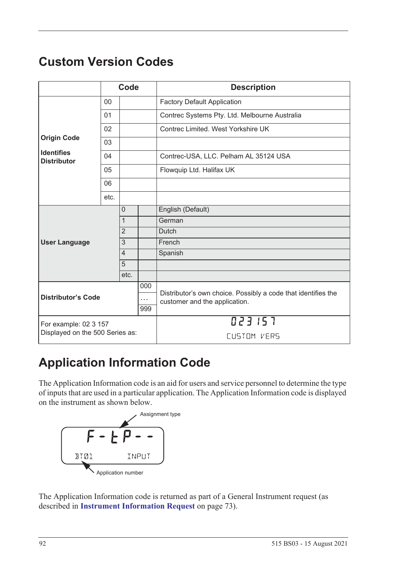# <span id="page-101-1"></span>**Custom Version Codes**

|                                              | Code |                        |                                                                                                | <b>Description</b>                            |  |  |
|----------------------------------------------|------|------------------------|------------------------------------------------------------------------------------------------|-----------------------------------------------|--|--|
|                                              | 00   |                        |                                                                                                | <b>Factory Default Application</b>            |  |  |
|                                              | 01   |                        |                                                                                                | Contrec Systems Pty. Ltd. Melbourne Australia |  |  |
|                                              | 02   |                        |                                                                                                | Contrec Limited. West Yorkshire UK            |  |  |
| <b>Origin Code</b>                           | 03   |                        |                                                                                                |                                               |  |  |
| <b>Identifies</b><br><b>Distributor</b>      | 04   |                        |                                                                                                | Contrec-USA, LLC. Pelham AL 35124 USA         |  |  |
|                                              | 05   |                        |                                                                                                | Flowquip Ltd. Halifax UK                      |  |  |
|                                              | 06   |                        |                                                                                                |                                               |  |  |
|                                              | etc. |                        |                                                                                                |                                               |  |  |
|                                              |      | English (Default)<br>0 |                                                                                                |                                               |  |  |
|                                              |      | $\mathbf{1}$           |                                                                                                | German                                        |  |  |
|                                              |      | $\overline{2}$         |                                                                                                | Dutch                                         |  |  |
| 3<br><b>User Language</b>                    |      |                        | French                                                                                         |                                               |  |  |
|                                              |      | $\overline{4}$         |                                                                                                | Spanish                                       |  |  |
|                                              |      | $\overline{5}$         |                                                                                                |                                               |  |  |
|                                              |      | etc.                   |                                                                                                |                                               |  |  |
|                                              | 000  |                        |                                                                                                |                                               |  |  |
| <b>Distributor's Code</b><br>$\ldots$<br>999 |      |                        | Distributor's own choice. Possibly a code that identifies the<br>customer and the application. |                                               |  |  |
|                                              |      |                        |                                                                                                |                                               |  |  |
| For example: 02 3 157                        |      |                        |                                                                                                | 023157                                        |  |  |
| Displayed on the 500 Series as:              |      |                        | <b>CUSTOM VERS</b>                                                                             |                                               |  |  |

# **Application Information Code**

The Application Information code is an aid for users and service personnel to determine the type of inputs that are used in a particular application. The Application Information code is displayed on the instrument as shown below.

<span id="page-101-0"></span>

The Application Information code is returned as part of a General Instrument request (as described in **[Instrument Information Request](#page-82-0)** on page 73).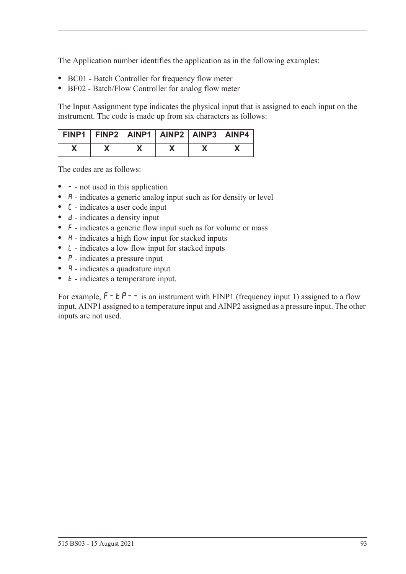The Application number identifies the application as in the following examples:

- **•** BC01 Batch Controller for frequency flow meter
- **•** BF02 Batch/Flow Controller for analog flow meter

The Input Assignment type indicates the physical input that is assigned to each input on the instrument. The code is made up from six characters as follows:

| FINP1   FINP2   AINP1   AINP2   AINP3   AINP4 |  |  |  |
|-----------------------------------------------|--|--|--|
|                                               |  |  |  |

The codes are as follows:

- - not used in this application
- **A** indicates a generic analog input such as for density or level
- **•** C indicates a user code input
- d indicates a density input
- **•** F indicates a generic flow input such as for volume or mass
- H indicates a high flow input for stacked inputs
- **•** L indicates a low flow input for stacked inputs
- **•** P indicates a pressure input
- **q** indicates a quadrature input
- *k* indicates a temperature input.

For example,  $F - tP - -$  is an instrument with FINP1 (frequency input 1) assigned to a flow input, AINP1 assigned to a temperature input and AINP2 assigned as a pressure input. The other inputs are not used.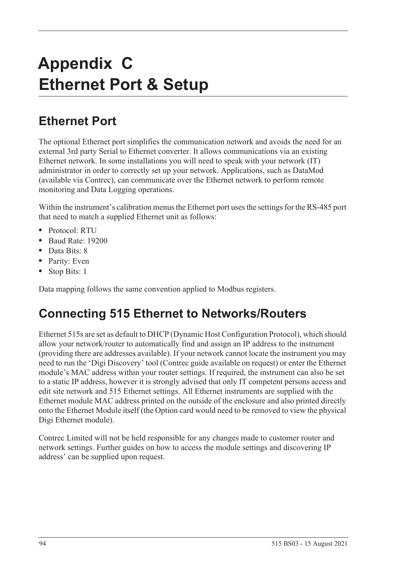# <span id="page-103-0"></span>**Appendix C Ethernet Port & Setup**

# **Ethernet Port**

The optional Ethernet port simplifies the communication network and avoids the need for an external 3rd party Serial to Ethernet converter. It allows communications via an existing Ethernet network. In some installations you will need to speak with your network (IT) administrator in order to correctly set up your network. Applications, such as DataMod (available via Contrec), can communicate over the Ethernet network to perform remote monitoring and Data Logging operations.

Within the instrument's calibration menus the Ethernet port uses the settings for the RS-485 port that need to match a supplied Ethernet unit as follows:

- **•** Protocol: RTU
- **•** Baud Rate: 19200
- **•** Data Bits: 8
- **•** Parity: Even
- **•** Stop Bits: 1

Data mapping follows the same convention applied to Modbus registers.

# **Connecting 515 Ethernet to Networks/Routers**

Ethernet 515s are set as default to DHCP (Dynamic Host Configuration Protocol), which should allow your network/router to automatically find and assign an IP address to the instrument (providing there are addresses available). If your network cannot locate the instrument you may need to run the 'Digi Discovery' tool (Contrec guide available on request) or enter the Ethernet module's MAC address within your router settings. If required, the instrument can also be set to a static IP address, however it is strongly advised that only IT competent persons access and edit site network and 515 Ethernet settings. All Ethernet instruments are supplied with the Ethernet module MAC address printed on the outside of the enclosure and also printed directly onto the Ethernet Module itself (the Option card would need to be removed to view the physical Digi Ethernet module).

Contrec Limited will not be held responsible for any changes made to customer router and network settings. Further guides on how to access the module settings and discovering IP address' can be supplied upon request.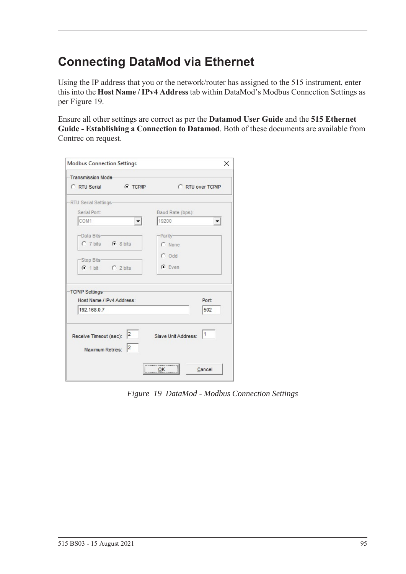# **Connecting DataMod via Ethernet**

Using the IP address that you or the network/router has assigned to the 515 instrument, enter this into the **Host Name / IPv4 Address** tab within DataMod's Modbus Connection Settings as per [Figure 19.](#page-104-0)

Ensure all other settings are correct as per the **Datamod User Guide** and the **515 Ethernet Guide - Establishing a Connection to Datamod**. Both of these documents are available from Contrec on request.

| Transmission Mode-                                   |                 |                     |                      |
|------------------------------------------------------|-----------------|---------------------|----------------------|
| C RTU Serial                                         | <b>C</b> TCP/IP | C RTU over TCP/IP   |                      |
| -RTU Serial Settings-                                |                 |                     |                      |
| Serial Port:                                         |                 | Baud Rate (bps):    |                      |
| COM1                                                 |                 | 19200               | $\blacktriangledown$ |
| -Data Bits-                                          |                 | -Parity-            |                      |
| C 7 bits C 8 bits                                    |                 | C None              |                      |
|                                                      |                 | $C$ Odd             |                      |
| -Stop Bits-                                          |                 | $G$ Even            |                      |
| $C$ 1 bit $C$ 2 bits                                 |                 |                     |                      |
| TCP/IP Settings                                      |                 |                     |                      |
| Host Name / IPv4 Address:                            |                 |                     | Port:                |
| 192.168.0.7                                          |                 |                     | 502                  |
| Receive Timeout (sec): $\vert^2$<br>Maximum Retries: | 2               | Slave Unit Address: | 11                   |
|                                                      |                 | ,                   | Cancel               |

<span id="page-104-0"></span>*Figure 19 DataMod - Modbus Connection Settings*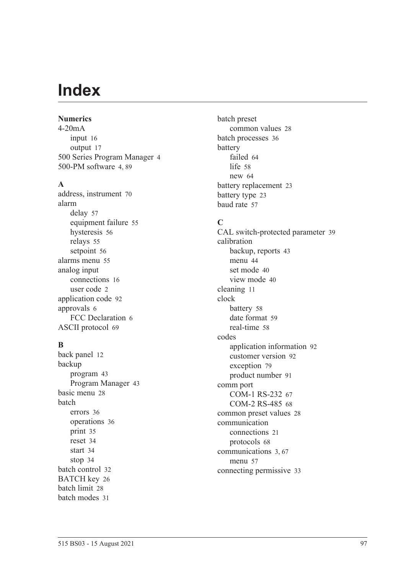# **Index**

### **Numerics**

4-20mA input [16](#page-25-0) output [17](#page-26-0) 500 Series Program Manage[r 4](#page-13-0) 500-PM software [4,](#page-13-0) [89](#page-98-0)

### **A**

address, instrumen[t 70](#page-79-0) alarm dela[y 57](#page-66-1) equipment failur[e 55](#page-64-0) hysteresi[s 56](#page-65-0) relays [55](#page-64-1) setpoin[t 56](#page-65-1) alarms menu [55](#page-64-2) analog input connection[s 16](#page-25-1) user code [2](#page-11-0) application cod[e 92](#page-101-0) approvals [6](#page-15-0) FCC Declaration [6](#page-15-1) ASCII protoco[l 69](#page-78-0)

### **B**

back panel [12](#page-21-0) backup program [43](#page-52-1) Program Manage[r 43](#page-52-2) basic men[u 28](#page-37-0) batch error[s 36](#page-45-0) operation[s 36](#page-45-1) print [35](#page-44-0) reset [34](#page-43-0) start [34](#page-43-1) sto[p 34](#page-43-2) batch contro[l 32](#page-41-0) BATCH ke[y 26](#page-35-0) batch limit [28](#page-37-1) batch mode[s 31](#page-40-0)

batch preset common values [28](#page-37-2) batch processes [36](#page-45-1) battery faile[d 64](#page-73-0) life [58](#page-67-1) new [64](#page-73-0) battery replacement [23](#page-32-0) battery type [23](#page-32-1) baud rat[e 57](#page-66-2)

### $\Gamma$

CAL switch-protected parameter [39](#page-48-0) calibration backup, reports [43](#page-52-1) menu [44](#page-53-0) set mode [40](#page-49-0) view mode [40](#page-49-1) cleaning [11](#page-20-0) clock batter[y 58](#page-67-1) date format [59](#page-68-0) real-tim[e 58](#page-67-2) codes application information [92](#page-101-0) customer versio[n 92](#page-101-1) exception [79](#page-88-1) product numbe[r 91](#page-100-0) comm port COM-1 RS-232 [67](#page-76-1) COM-2 RS-485 [68](#page-77-1) common preset value[s 28](#page-37-2) communication connection[s 21](#page-30-0) protocols [68](#page-77-2) communication[s 3,](#page-12-1) [67](#page-76-2) menu [57](#page-66-3) connecting permissive [33](#page-42-1)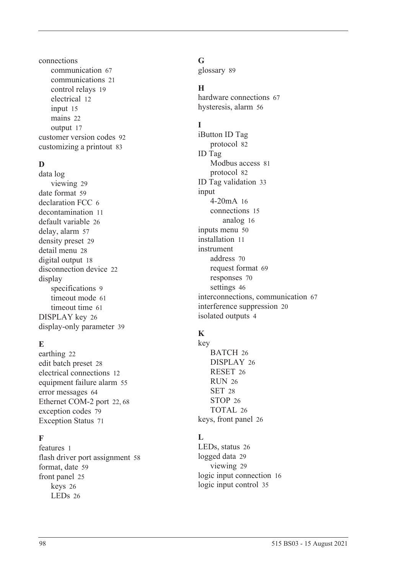connections communicatio[n 67](#page-76-3) communication[s 21](#page-30-0) control relay[s 19](#page-28-0) electrical [12](#page-21-1) inpu[t 15](#page-24-0) main[s 22](#page-31-0) outpu[t 17](#page-26-1) customer version code[s 92](#page-101-1) customizing a printout [83](#page-92-1)

### **D**

data log viewin[g 29](#page-38-0) date format [59](#page-68-0) declaration FCC [6](#page-15-1) decontamination [11](#page-20-0) default variable [26](#page-35-1) delay, alar[m 57](#page-66-1) density prese[t 29](#page-38-1) detail men[u 28](#page-37-0) digital outpu[t 18](#page-27-0) disconnection device [22](#page-31-1) display specifications [9](#page-18-0) timeout mod[e 61](#page-70-0) timeout time [61](#page-70-1) DISPLAY key [26](#page-35-2) display-only parameter [39](#page-48-1)

### **E**

earthin[g 22](#page-31-2) edit batch prese[t 28](#page-37-3) electrical connections [12](#page-21-1) equipment failure alarm [55](#page-64-0) error message[s 64](#page-73-1) Ethernet COM-2 por[t 22,](#page-31-3) [68](#page-77-3) exception codes [79](#page-88-1) Exception Status [71](#page-80-0)

### **F**

features [1](#page-10-0) flash driver port assignmen[t 58](#page-67-3) format, date [59](#page-68-0) front pane[l 25](#page-34-0) keys [26](#page-35-3) LEDs [26](#page-35-4)

### **G**

glossary [89](#page-98-1)

### **H**

hardware connections [67](#page-76-3) hysteresis, alar[m 56](#page-65-0)

### **I**

iButton ID Tag protocol [82](#page-91-0) ID Tag Modbus access [81](#page-90-0) protocol [82](#page-91-1) ID Tag validation [33](#page-42-2) input 4-20mA [16](#page-25-0) connections [15](#page-24-0) analog [16](#page-25-1) inputs menu [50](#page-59-0) installation [11](#page-20-1) instrument address [70](#page-79-0) request forma[t 69](#page-78-1) response[s 70](#page-79-1) setting[s 46](#page-55-0) interconnections, communication [67](#page-76-3) interference suppression [20](#page-29-0) isolated output[s 4](#page-13-1)

### **K**

key BATC[H 26](#page-35-0) DISPLA[Y 26](#page-35-2) RESE[T 26](#page-35-5) RUN [26](#page-35-6) SET [28](#page-37-4) STOP [26](#page-35-7) TOTAL [26](#page-35-8) keys, front panel [26](#page-35-3)

### **L**

LEDs, status [26](#page-35-4) logged dat[a 29](#page-38-0) viewin[g 29](#page-38-2) logic input connection [16](#page-25-2) logic input contro[l 35](#page-44-1)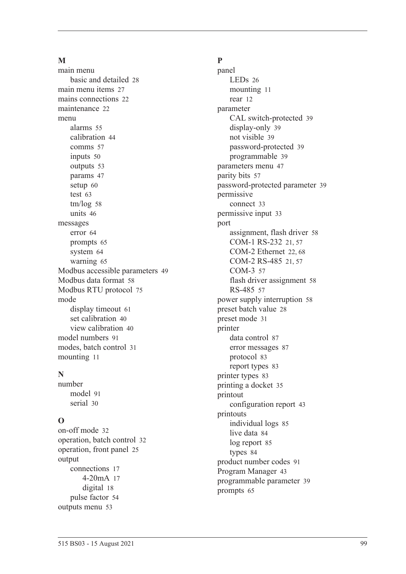main menu basic and detaile[d 28](#page-37-0) main menu items [27](#page-36-0) mains connection[s 22](#page-31-0) maintenance [22](#page-31-1) menu alarm[s 55](#page-64-0) calibratio[n 44](#page-53-0) comms [57](#page-66-0) input[s 50](#page-59-0) output[s 53](#page-62-0) params [47](#page-56-0) setu[p 60](#page-69-0) test [63](#page-72-0) tm/lo[g 58](#page-67-0) unit[s 46](#page-55-0) messages erro[r 64](#page-73-0) prompt[s 65](#page-74-0) syste[m 64](#page-73-1) warnin[g 65](#page-74-1) Modbus accessible parameters [49](#page-58-0) Modbus data forma[t 58](#page-67-1) Modbus RTU protoco[l 75](#page-84-0) mode display timeou[t 61](#page-70-0) set calibration [40](#page-49-0) view calibration [40](#page-49-1) model number[s 91](#page-100-0) modes, batch contro[l 31](#page-40-0) mountin[g 11](#page-20-0)

## **N**

number mode[l 91](#page-100-0) seria[l 30](#page-39-0)

# **O**

on-off mode [32](#page-41-0) operation, batch contro[l 32](#page-41-1) operation, front panel [25](#page-34-0) output connection[s 17](#page-26-0) 4-20m[A 17](#page-26-1) digital [18](#page-27-0) pulse facto[r 54](#page-63-0) outputs men[u 53](#page-62-0)

## **P**

M<br>
main mean identical 28<br>
main mean identical 28<br>
main mean identical 28<br>
main contributes 22<br>
main contributes 22<br>
main contributes 20<br>
contributes 20<br>
contributes 39<br>
contributes 39<br>
contributes 39<br>
contributes 39<br>
in t panel LEDs [26](#page-35-0) mounting [11](#page-20-0) rear [12](#page-21-0) parameter CAL switch-protected [39](#page-48-0) display-only [39](#page-48-1) not visibl[e 39](#page-48-2) password-protected [39](#page-48-3) programmable [39](#page-48-4) parameters men[u 47](#page-56-0) parity bit[s 57](#page-66-1) password-protected parameter [39](#page-48-3) permissive connec[t 33](#page-42-0) permissive input [33](#page-42-1) port assignment, flash driver [58](#page-67-2) COM-1 RS-232 [21,](#page-30-0) [57](#page-66-2) COM-2 Ethernet [22,](#page-31-2) [68](#page-77-0) COM-2 RS-485 [21,](#page-30-1) [57](#page-66-3) COM-[3 57](#page-66-4) flash driver assignment [58](#page-67-2) RS-485 [57](#page-66-5) power supply interruption [58](#page-67-3) preset batch value [28](#page-37-1) preset mod[e 31](#page-40-1) printer data control [87](#page-96-0) error messages [87](#page-96-1) protocol [83](#page-92-0) report types [83](#page-92-1) printer type[s 83](#page-92-2) printing a docke[t 35](#page-44-0) printout configuration repor[t 43](#page-52-0) printouts individual logs [85](#page-94-0) live data [84](#page-93-0) log report [85](#page-94-1) type[s 84](#page-93-1) product number codes [91](#page-100-1) Program Manager [43](#page-52-1) programmable parameter [39](#page-48-4) prompt[s 65](#page-74-0)